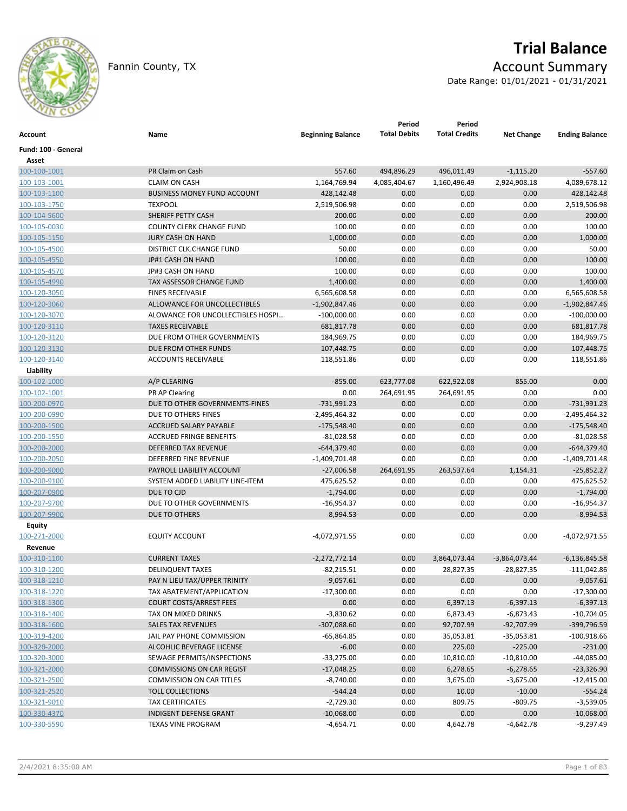

# **Trial Balance** Fannin County, TX **Account Summary**

Date Range: 01/01/2021 - 01/31/2021

| Account             | Name                               | <b>Beginning Balance</b> | Period<br><b>Total Debits</b> | Period<br><b>Total Credits</b> | <b>Net Change</b> | <b>Ending Balance</b> |
|---------------------|------------------------------------|--------------------------|-------------------------------|--------------------------------|-------------------|-----------------------|
| Fund: 100 - General |                                    |                          |                               |                                |                   |                       |
| Asset               |                                    |                          |                               |                                |                   |                       |
| 100-100-1001        | PR Claim on Cash                   | 557.60                   | 494,896.29                    | 496,011.49                     | $-1,115.20$       | $-557.60$             |
| 100-103-1001        | <b>CLAIM ON CASH</b>               | 1,164,769.94             | 4,085,404.67                  | 1,160,496.49                   | 2,924,908.18      | 4,089,678.12          |
| 100-103-1100        | <b>BUSINESS MONEY FUND ACCOUNT</b> | 428,142.48               | 0.00                          | 0.00                           | 0.00              | 428,142.48            |
| 100-103-1750        | <b>TEXPOOL</b>                     | 2,519,506.98             | 0.00                          | 0.00                           | 0.00              | 2,519,506.98          |
| 100-104-5600        | SHERIFF PETTY CASH                 | 200.00                   | 0.00                          | 0.00                           | 0.00              | 200.00                |
| 100-105-0030        | COUNTY CLERK CHANGE FUND           | 100.00                   | 0.00                          | 0.00                           | 0.00              | 100.00                |
| 100-105-1150        | <b>JURY CASH ON HAND</b>           | 1,000.00                 | 0.00                          | 0.00                           | 0.00              | 1,000.00              |
| 100-105-4500        | DISTRICT CLK.CHANGE FUND           | 50.00                    | 0.00                          | 0.00                           | 0.00              | 50.00                 |
| 100-105-4550        | JP#1 CASH ON HAND                  | 100.00                   | 0.00                          | 0.00                           | 0.00              | 100.00                |
| 100-105-4570        | JP#3 CASH ON HAND                  | 100.00                   | 0.00                          | 0.00                           | 0.00              | 100.00                |
| 100-105-4990        | TAX ASSESSOR CHANGE FUND           | 1,400.00                 | 0.00                          | 0.00                           | 0.00              | 1,400.00              |
| 100-120-3050        | <b>FINES RECEIVABLE</b>            | 6,565,608.58             | 0.00                          | 0.00                           | 0.00              | 6,565,608.58          |
| 100-120-3060        | ALLOWANCE FOR UNCOLLECTIBLES       | $-1,902,847.46$          | 0.00                          | 0.00                           | 0.00              | $-1,902,847.46$       |
| 100-120-3070        | ALOWANCE FOR UNCOLLECTIBLES HOSPI  | $-100,000.00$            | 0.00                          | 0.00                           | 0.00              | $-100,000.00$         |
| 100-120-3110        | <b>TAXES RECEIVABLE</b>            | 681,817.78               | 0.00                          | 0.00                           | 0.00              | 681,817.78            |
| 100-120-3120        | DUE FROM OTHER GOVERNMENTS         | 184,969.75               | 0.00                          | 0.00                           | 0.00              | 184,969.75            |
| 100-120-3130        | DUE FROM OTHER FUNDS               | 107,448.75               | 0.00                          | 0.00                           | 0.00              | 107,448.75            |
| 100-120-3140        | ACCOUNTS RECEIVABLE                | 118,551.86               | 0.00                          | 0.00                           | 0.00              | 118,551.86            |
| Liability           |                                    |                          |                               |                                |                   |                       |
| 100-102-1000        | A/P CLEARING                       | $-855.00$                | 623,777.08                    | 622,922.08                     | 855.00            | 0.00                  |
| 100-102-1001        | PR AP Clearing                     | 0.00                     | 264,691.95                    | 264,691.95                     | 0.00              | 0.00                  |
| 100-200-0970        | DUE TO OTHER GOVERNMENTS-FINES     | $-731,991.23$            | 0.00                          | 0.00                           | 0.00              | $-731,991.23$         |
| 100-200-0990        | DUE TO OTHERS-FINES                | $-2,495,464.32$          | 0.00                          | 0.00                           | 0.00              | $-2,495,464.32$       |
| 100-200-1500        | ACCRUED SALARY PAYABLE             | $-175,548.40$            | 0.00                          | 0.00                           | 0.00              | $-175,548.40$         |
| 100-200-1550        | <b>ACCRUED FRINGE BENEFITS</b>     | $-81,028.58$             | 0.00                          | 0.00                           | 0.00              | $-81,028.58$          |
| 100-200-2000        | DEFERRED TAX REVENUE               | $-644,379.40$            | 0.00                          | 0.00                           | 0.00              | $-644,379.40$         |
| 100-200-2050        | DEFERRED FINE REVENUE              | $-1,409,701.48$          | 0.00                          | 0.00                           | 0.00              | $-1,409,701.48$       |
| 100-200-9000        | PAYROLL LIABILITY ACCOUNT          | $-27,006.58$             | 264,691.95                    | 263,537.64                     | 1,154.31          | $-25,852.27$          |
| 100-200-9100        | SYSTEM ADDED LIABILITY LINE-ITEM   | 475,625.52               | 0.00                          | 0.00                           | 0.00              | 475,625.52            |
| 100-207-0900        | DUE TO CJD                         | $-1,794.00$              | 0.00                          | 0.00                           | 0.00              | $-1,794.00$           |
| 100-207-9700        | DUE TO OTHER GOVERNMENTS           | $-16,954.37$             | 0.00                          | 0.00                           | 0.00              | -16,954.37            |
| 100-207-9900        | DUE TO OTHERS                      | $-8,994.53$              | 0.00                          | 0.00                           | 0.00              | $-8,994.53$           |
| Equity              |                                    |                          |                               |                                |                   |                       |
| 100-271-2000        | <b>EQUITY ACCOUNT</b>              | -4,072,971.55            | 0.00                          | 0.00                           | 0.00              | -4,072,971.55         |
| Revenue             |                                    |                          |                               |                                |                   |                       |
| 100-310-1100        | <b>CURRENT TAXES</b>               | $-2,272,772.14$          | 0.00                          | 3,864,073.44                   | $-3,864,073.44$   | $-6,136,845.58$       |
| 100-310-1200        | <b>DELINQUENT TAXES</b>            | $-82,215.51$             | 0.00                          | 28,827.35                      | $-28,827.35$      | $-111,042.86$         |
| 100-318-1210        | PAY N LIEU TAX/UPPER TRINITY       | $-9,057.61$              | 0.00                          | 0.00                           | 0.00              | $-9,057.61$           |
| 100-318-1220        | TAX ABATEMENT/APPLICATION          | $-17,300.00$             | 0.00                          | 0.00                           | 0.00              | $-17,300.00$          |
| 100-318-1300        | <b>COURT COSTS/ARREST FEES</b>     | 0.00                     | 0.00                          | 6,397.13                       | $-6,397.13$       | $-6,397.13$           |
| 100-318-1400        | TAX ON MIXED DRINKS                | $-3,830.62$              | 0.00                          | 6,873.43                       | $-6,873.43$       | $-10,704.05$          |
| 100-318-1600        | <b>SALES TAX REVENUES</b>          | $-307,088.60$            | 0.00                          | 92,707.99                      | $-92,707.99$      | -399,796.59           |
| 100-319-4200        | JAIL PAY PHONE COMMISSION          | $-65,864.85$             | 0.00                          | 35,053.81                      | $-35,053.81$      | $-100,918.66$         |
| 100-320-2000        | ALCOHLIC BEVERAGE LICENSE          | $-6.00$                  | 0.00                          | 225.00                         | $-225.00$         | $-231.00$             |
| 100-320-3000        | SEWAGE PERMITS/INSPECTIONS         | $-33,275.00$             | 0.00                          | 10,810.00                      | $-10,810.00$      | $-44,085.00$          |
| 100-321-2000        | <b>COMMISSIONS ON CAR REGIST</b>   | $-17,048.25$             | 0.00                          | 6,278.65                       | $-6,278.65$       | $-23,326.90$          |
| 100-321-2500        | <b>COMMISSION ON CAR TITLES</b>    | $-8,740.00$              | 0.00                          | 3,675.00                       | $-3,675.00$       | $-12,415.00$          |
| 100-321-2520        | <b>TOLL COLLECTIONS</b>            | $-544.24$                | 0.00                          | 10.00                          | $-10.00$          | $-554.24$             |
| 100-321-9010        | <b>TAX CERTIFICATES</b>            | $-2,729.30$              | 0.00                          | 809.75                         | $-809.75$         | $-3,539.05$           |
| 100-330-4370        | INDIGENT DEFENSE GRANT             | $-10,068.00$             | 0.00                          | 0.00                           | 0.00              | $-10,068.00$          |
| 100-330-5590        | <b>TEXAS VINE PROGRAM</b>          | $-4,654.71$              | 0.00                          | 4,642.78                       | $-4,642.78$       | $-9,297.49$           |
|                     |                                    |                          |                               |                                |                   |                       |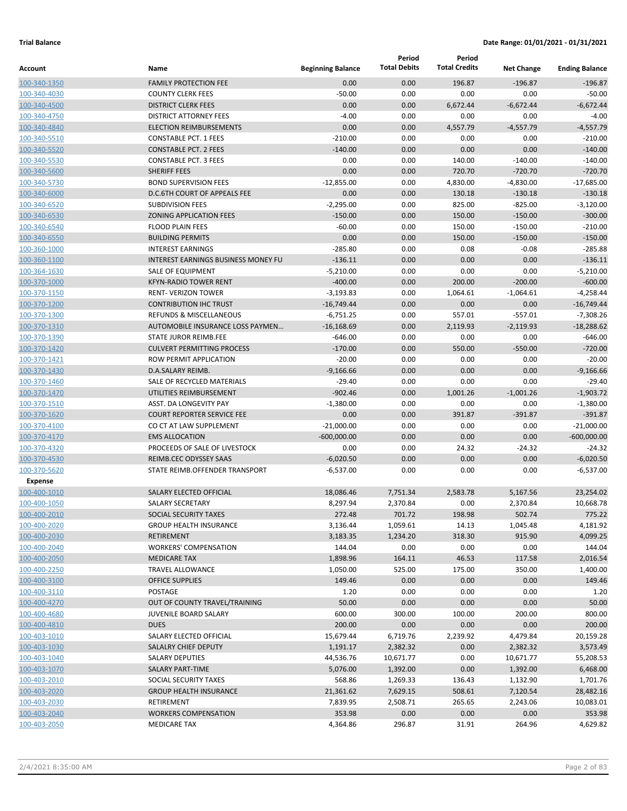|                              |                                                   |                          | Period              | Period               |                     |                               |
|------------------------------|---------------------------------------------------|--------------------------|---------------------|----------------------|---------------------|-------------------------------|
| Account                      | Name                                              | <b>Beginning Balance</b> | <b>Total Debits</b> | <b>Total Credits</b> | <b>Net Change</b>   | <b>Ending Balance</b>         |
| 100-340-1350                 | <b>FAMILY PROTECTION FEE</b>                      | 0.00                     | 0.00                | 196.87               | $-196.87$           | $-196.87$                     |
| 100-340-4030                 | <b>COUNTY CLERK FEES</b>                          | $-50.00$                 | 0.00                | 0.00                 | 0.00                | $-50.00$                      |
| 100-340-4500                 | <b>DISTRICT CLERK FEES</b>                        | 0.00                     | 0.00                | 6,672.44             | $-6,672.44$         | $-6,672.44$                   |
| 100-340-4750                 | <b>DISTRICT ATTORNEY FEES</b>                     | $-4.00$                  | 0.00                | 0.00                 | 0.00                | $-4.00$                       |
| 100-340-4840                 | <b>ELECTION REIMBURSEMENTS</b>                    | 0.00                     | 0.00                | 4,557.79             | $-4,557.79$         | $-4,557.79$                   |
| 100-340-5510                 | <b>CONSTABLE PCT. 1 FEES</b>                      | $-210.00$                | 0.00                | 0.00                 | 0.00                | $-210.00$                     |
| 100-340-5520                 | <b>CONSTABLE PCT. 2 FEES</b>                      | $-140.00$                | 0.00                | 0.00                 | 0.00                | $-140.00$                     |
| 100-340-5530                 | <b>CONSTABLE PCT. 3 FEES</b>                      | 0.00                     | 0.00                | 140.00               | $-140.00$           | $-140.00$                     |
| 100-340-5600                 | <b>SHERIFF FEES</b>                               | 0.00                     | 0.00                | 720.70               | $-720.70$           | $-720.70$                     |
| 100-340-5730                 | <b>BOND SUPERVISION FEES</b>                      | $-12,855.00$             | 0.00                | 4,830.00             | $-4,830.00$         | $-17,685.00$                  |
| 100-340-6000                 | D.C.6TH COURT OF APPEALS FEE                      | 0.00                     | 0.00                | 130.18               | $-130.18$           | $-130.18$                     |
| 100-340-6520                 | <b>SUBDIVISION FEES</b>                           | $-2,295.00$              | 0.00                | 825.00               | $-825.00$           | $-3,120.00$                   |
| 100-340-6530                 | <b>ZONING APPLICATION FEES</b>                    | $-150.00$                | 0.00                | 150.00               | $-150.00$           | $-300.00$                     |
| 100-340-6540                 | <b>FLOOD PLAIN FEES</b>                           | $-60.00$                 | 0.00                | 150.00               | $-150.00$           | $-210.00$                     |
| 100-340-6550                 | <b>BUILDING PERMITS</b>                           | 0.00                     | 0.00                | 150.00               | $-150.00$           | $-150.00$                     |
| 100-360-1000                 | <b>INTEREST EARNINGS</b>                          | $-285.80$                | 0.00                | 0.08                 | $-0.08$             | $-285.88$                     |
| 100-360-1100                 | <b>INTEREST EARNINGS BUSINESS MONEY FU</b>        | $-136.11$                | 0.00                | 0.00                 | 0.00                | $-136.11$                     |
| 100-364-1630                 | <b>SALE OF EQUIPMENT</b>                          | $-5,210.00$              | 0.00                | 0.00                 | 0.00                | $-5,210.00$                   |
| 100-370-1000                 | <b>KFYN-RADIO TOWER RENT</b>                      | $-400.00$                | 0.00                | 200.00               | $-200.00$           | $-600.00$                     |
| 100-370-1150                 | <b>RENT- VERIZON TOWER</b>                        | $-3,193.83$              | 0.00                | 1,064.61             | $-1,064.61$         | $-4,258.44$                   |
| 100-370-1200                 | <b>CONTRIBUTION IHC TRUST</b>                     | $-16,749.44$             | 0.00                | 0.00                 | 0.00                | $-16,749.44$                  |
| 100-370-1300                 | <b>REFUNDS &amp; MISCELLANEOUS</b>                | $-6,751.25$              | 0.00                | 557.01               | $-557.01$           | $-7,308.26$                   |
| 100-370-1310                 | AUTOMOBILE INSURANCE LOSS PAYMEN                  | $-16,168.69$             | 0.00                | 2,119.93             | $-2,119.93$         | $-18,288.62$                  |
| 100-370-1390                 | <b>STATE JUROR REIMB.FEE</b>                      | $-646.00$                | 0.00                | 0.00                 | 0.00                | $-646.00$                     |
| 100-370-1420                 | <b>CULVERT PERMITTING PROCESS</b>                 | $-170.00$                | 0.00                | 550.00               | $-550.00$           | $-720.00$                     |
| 100-370-1421                 | ROW PERMIT APPLICATION                            | $-20.00$                 | 0.00                | 0.00                 | 0.00                | $-20.00$                      |
| 100-370-1430                 | D.A.SALARY REIMB.                                 | $-9,166.66$              | 0.00                | 0.00                 | 0.00                | $-9,166.66$                   |
| 100-370-1460                 | SALE OF RECYCLED MATERIALS                        | $-29.40$<br>$-902.46$    | 0.00<br>0.00        | 0.00                 | 0.00                | $-29.40$                      |
| 100-370-1470                 | UTILITIES REIMBURSEMENT<br>ASST. DA LONGEVITY PAY | $-1,380.00$              | 0.00                | 1,001.26<br>0.00     | $-1,001.26$<br>0.00 | $-1,903.72$<br>$-1,380.00$    |
| 100-370-1510                 | <b>COURT REPORTER SERVICE FEE</b>                 | 0.00                     | 0.00                | 391.87               | $-391.87$           | $-391.87$                     |
| 100-370-1620<br>100-370-4100 | CO CT AT LAW SUPPLEMENT                           | $-21,000.00$             | 0.00                | 0.00                 | 0.00                |                               |
| 100-370-4170                 | <b>EMS ALLOCATION</b>                             | $-600,000.00$            | 0.00                | 0.00                 | 0.00                | $-21,000.00$<br>$-600,000.00$ |
| 100-370-4320                 | PROCEEDS OF SALE OF LIVESTOCK                     | 0.00                     | 0.00                | 24.32                | $-24.32$            | $-24.32$                      |
| 100-370-4530                 | <b>REIMB.CEC ODYSSEY SAAS</b>                     | $-6,020.50$              | 0.00                | 0.00                 | 0.00                | $-6,020.50$                   |
| 100-370-5620                 | STATE REIMB.OFFENDER TRANSPORT                    | $-6,537.00$              | 0.00                | 0.00                 | 0.00                | $-6,537.00$                   |
| <b>Expense</b>               |                                                   |                          |                     |                      |                     |                               |
| 100-400-1010                 | SALARY ELECTED OFFICIAL                           | 18,086.46                | 7,751.34            | 2,583.78             | 5,167.56            | 23,254.02                     |
| 100-400-1050                 | <b>SALARY SECRETARY</b>                           | 8,297.94                 | 2,370.84            | 0.00                 | 2,370.84            | 10,668.78                     |
| 100-400-2010                 | SOCIAL SECURITY TAXES                             | 272.48                   | 701.72              | 198.98               | 502.74              | 775.22                        |
| 100-400-2020                 | <b>GROUP HEALTH INSURANCE</b>                     | 3,136.44                 | 1,059.61            | 14.13                | 1,045.48            | 4,181.92                      |
| 100-400-2030                 | <b>RETIREMENT</b>                                 | 3,183.35                 | 1,234.20            | 318.30               | 915.90              | 4,099.25                      |
| 100-400-2040                 | <b>WORKERS' COMPENSATION</b>                      | 144.04                   | 0.00                | 0.00                 | 0.00                | 144.04                        |
| 100-400-2050                 | <b>MEDICARE TAX</b>                               | 1,898.96                 | 164.11              | 46.53                | 117.58              | 2,016.54                      |
| 100-400-2250                 | <b>TRAVEL ALLOWANCE</b>                           | 1,050.00                 | 525.00              | 175.00               | 350.00              | 1,400.00                      |
| 100-400-3100                 | <b>OFFICE SUPPLIES</b>                            | 149.46                   | 0.00                | 0.00                 | 0.00                | 149.46                        |
| 100-400-3110                 | POSTAGE                                           | 1.20                     | 0.00                | 0.00                 | 0.00                | 1.20                          |
| 100-400-4270                 | OUT OF COUNTY TRAVEL/TRAINING                     | 50.00                    | 0.00                | 0.00                 | 0.00                | 50.00                         |
| 100-400-4680                 | <b>JUVENILE BOARD SALARY</b>                      | 600.00                   | 300.00              | 100.00               | 200.00              | 800.00                        |
| 100-400-4810                 | <b>DUES</b>                                       | 200.00                   | 0.00                | 0.00                 | 0.00                | 200.00                        |
| 100-403-1010                 | SALARY ELECTED OFFICIAL                           | 15,679.44                | 6,719.76            | 2,239.92             | 4,479.84            | 20,159.28                     |
| 100-403-1030                 | SALALRY CHIEF DEPUTY                              | 1,191.17                 | 2,382.32            | 0.00                 | 2,382.32            | 3,573.49                      |
| 100-403-1040                 | <b>SALARY DEPUTIES</b>                            | 44,536.76                | 10,671.77           | 0.00                 | 10,671.77           | 55,208.53                     |
| 100-403-1070                 | SALARY PART-TIME                                  | 5,076.00                 | 1,392.00            | 0.00                 | 1,392.00            | 6,468.00                      |
| 100-403-2010                 | SOCIAL SECURITY TAXES                             | 568.86                   | 1,269.33            | 136.43               | 1,132.90            | 1,701.76                      |
| 100-403-2020                 | <b>GROUP HEALTH INSURANCE</b>                     | 21,361.62                | 7,629.15            | 508.61               | 7,120.54            | 28,482.16                     |
| 100-403-2030                 | RETIREMENT                                        | 7,839.95                 | 2,508.71            | 265.65               | 2,243.06            | 10,083.01                     |
| 100-403-2040                 | <b>WORKERS COMPENSATION</b>                       | 353.98                   | 0.00                | 0.00                 | 0.00                | 353.98                        |
| 100-403-2050                 | <b>MEDICARE TAX</b>                               | 4,364.86                 | 296.87              | 31.91                | 264.96              | 4,629.82                      |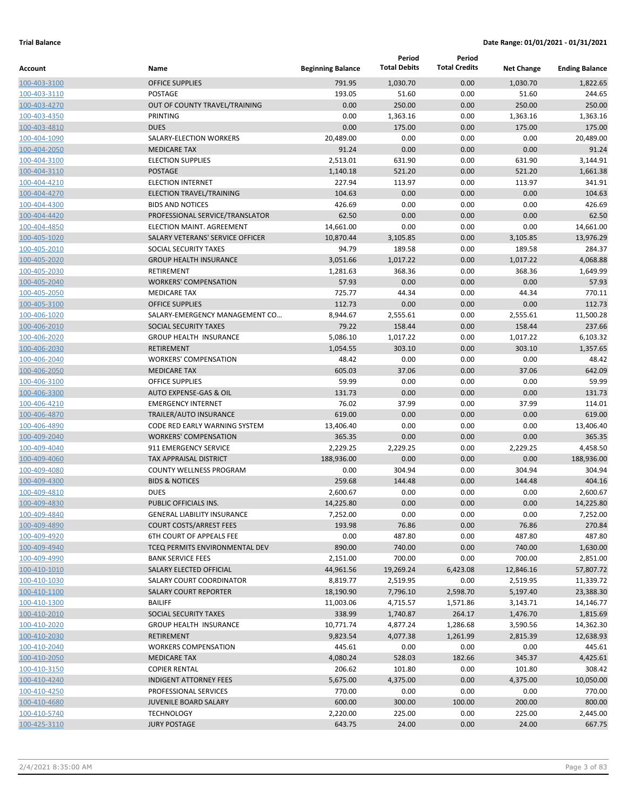| Account                      | Name                                                | <b>Beginning Balance</b> | Period<br><b>Total Debits</b> | Period<br><b>Total Credits</b> | <b>Net Change</b>    | <b>Ending Balance</b>  |
|------------------------------|-----------------------------------------------------|--------------------------|-------------------------------|--------------------------------|----------------------|------------------------|
|                              |                                                     |                          |                               |                                |                      |                        |
| 100-403-3100                 | <b>OFFICE SUPPLIES</b>                              | 791.95                   | 1,030.70                      | 0.00                           | 1,030.70             | 1,822.65               |
| 100-403-3110<br>100-403-4270 | POSTAGE<br>OUT OF COUNTY TRAVEL/TRAINING            | 193.05<br>0.00           | 51.60<br>250.00               | 0.00<br>0.00                   | 51.60<br>250.00      | 244.65<br>250.00       |
| 100-403-4350                 | PRINTING                                            | 0.00                     | 1,363.16                      | 0.00                           | 1,363.16             | 1,363.16               |
| 100-403-4810                 | <b>DUES</b>                                         | 0.00                     | 175.00                        | 0.00                           | 175.00               | 175.00                 |
| 100-404-1090                 | SALARY-ELECTION WORKERS                             | 20,489.00                | 0.00                          | 0.00                           | 0.00                 | 20,489.00              |
| 100-404-2050                 | <b>MEDICARE TAX</b>                                 | 91.24                    | 0.00                          | 0.00                           | 0.00                 | 91.24                  |
| 100-404-3100                 | <b>ELECTION SUPPLIES</b>                            | 2,513.01                 | 631.90                        | 0.00                           | 631.90               | 3,144.91               |
| 100-404-3110                 | <b>POSTAGE</b>                                      | 1,140.18                 | 521.20                        | 0.00                           | 521.20               | 1,661.38               |
| 100-404-4210                 | <b>ELECTION INTERNET</b>                            | 227.94                   | 113.97                        | 0.00                           | 113.97               | 341.91                 |
| 100-404-4270                 | <b>ELECTION TRAVEL/TRAINING</b>                     | 104.63                   | 0.00                          | 0.00                           | 0.00                 | 104.63                 |
| 100-404-4300                 | <b>BIDS AND NOTICES</b>                             | 426.69                   | 0.00                          | 0.00                           | 0.00                 | 426.69                 |
| 100-404-4420                 | PROFESSIONAL SERVICE/TRANSLATOR                     | 62.50                    | 0.00                          | 0.00                           | 0.00                 | 62.50                  |
| 100-404-4850                 | ELECTION MAINT. AGREEMENT                           | 14,661.00                | 0.00                          | 0.00                           | 0.00                 | 14,661.00              |
| 100-405-1020                 | SALARY VETERANS' SERVICE OFFICER                    | 10,870.44                | 3,105.85                      | 0.00                           | 3,105.85             | 13,976.29              |
| 100-405-2010                 | SOCIAL SECURITY TAXES                               | 94.79                    | 189.58                        | 0.00                           | 189.58               | 284.37                 |
| 100-405-2020                 | <b>GROUP HEALTH INSURANCE</b>                       | 3,051.66                 | 1,017.22                      | 0.00                           | 1,017.22             | 4,068.88               |
| 100-405-2030                 | <b>RETIREMENT</b>                                   | 1,281.63                 | 368.36                        | 0.00                           | 368.36               | 1,649.99               |
| 100-405-2040                 | <b>WORKERS' COMPENSATION</b>                        | 57.93                    | 0.00                          | 0.00                           | 0.00                 | 57.93                  |
| 100-405-2050                 | <b>MEDICARE TAX</b>                                 | 725.77                   | 44.34                         | 0.00                           | 44.34                | 770.11                 |
| 100-405-3100                 | <b>OFFICE SUPPLIES</b>                              | 112.73                   | 0.00                          | 0.00                           | 0.00                 | 112.73                 |
| 100-406-1020                 | SALARY-EMERGENCY MANAGEMENT CO                      | 8,944.67                 | 2,555.61                      | 0.00                           | 2,555.61             | 11,500.28              |
| 100-406-2010                 | SOCIAL SECURITY TAXES                               | 79.22                    | 158.44                        | 0.00                           | 158.44               | 237.66                 |
| 100-406-2020                 | <b>GROUP HEALTH INSURANCE</b>                       | 5,086.10                 | 1,017.22                      | 0.00                           | 1,017.22             | 6,103.32               |
| 100-406-2030                 | <b>RETIREMENT</b>                                   | 1,054.55                 | 303.10                        | 0.00                           | 303.10               | 1,357.65               |
| 100-406-2040                 | <b>WORKERS' COMPENSATION</b>                        | 48.42                    | 0.00                          | 0.00                           | 0.00                 | 48.42                  |
| 100-406-2050                 | <b>MEDICARE TAX</b>                                 | 605.03                   | 37.06                         | 0.00                           | 37.06                | 642.09                 |
| 100-406-3100                 | <b>OFFICE SUPPLIES</b>                              | 59.99                    | 0.00                          | 0.00                           | 0.00                 | 59.99                  |
| 100-406-3300                 | AUTO EXPENSE-GAS & OIL                              | 131.73                   | 0.00                          | 0.00                           | 0.00                 | 131.73                 |
| 100-406-4210                 | <b>EMERGENCY INTERNET</b>                           | 76.02                    | 37.99                         | 0.00                           | 37.99                | 114.01                 |
| 100-406-4870                 | <b>TRAILER/AUTO INSURANCE</b>                       | 619.00                   | 0.00                          | 0.00                           | 0.00                 | 619.00                 |
| 100-406-4890                 | CODE RED EARLY WARNING SYSTEM                       | 13,406.40                | 0.00                          | 0.00                           | 0.00                 | 13,406.40              |
| 100-409-2040                 | <b>WORKERS' COMPENSATION</b>                        | 365.35                   | 0.00                          | 0.00                           | 0.00                 | 365.35                 |
| 100-409-4040                 | 911 EMERGENCY SERVICE                               | 2,229.25                 | 2,229.25                      | 0.00                           | 2,229.25             | 4,458.50               |
| 100-409-4060                 | <b>TAX APPRAISAL DISTRICT</b>                       | 188,936.00               | 0.00                          | 0.00                           | 0.00                 | 188,936.00             |
| 100-409-4080                 | <b>COUNTY WELLNESS PROGRAM</b>                      | 0.00                     | 304.94                        | 0.00                           | 304.94               | 304.94                 |
| 100-409-4300                 | <b>BIDS &amp; NOTICES</b>                           | 259.68                   | 144.48                        | 0.00                           | 144.48               | 404.16                 |
| 100-409-4810                 | <b>DUES</b>                                         | 2,600.67                 | 0.00                          | 0.00                           | 0.00                 | 2,600.67               |
| 100-409-4830                 | <b>PUBLIC OFFICIALS INS.</b>                        | 14,225.80                | 0.00                          | 0.00                           | 0.00                 | 14,225.80              |
| 100-409-4840                 | <b>GENERAL LIABILITY INSURANCE</b>                  | 7,252.00                 | 0.00                          | 0.00                           | 0.00                 | 7,252.00               |
| 100-409-4890                 | <b>COURT COSTS/ARREST FEES</b>                      | 193.98                   | 76.86                         | 0.00                           | 76.86                | 270.84                 |
| 100-409-4920                 | <b>6TH COURT OF APPEALS FEE</b>                     | 0.00                     | 487.80                        | 0.00                           | 487.80               | 487.80                 |
| 100-409-4940                 | TCEQ PERMITS ENVIRONMENTAL DEV                      | 890.00                   | 740.00                        | 0.00                           | 740.00               | 1,630.00               |
| 100-409-4990                 | <b>BANK SERVICE FEES</b>                            | 2,151.00                 | 700.00                        | 0.00                           | 700.00               | 2,851.00               |
| 100-410-1010<br>100-410-1030 | SALARY ELECTED OFFICIAL<br>SALARY COURT COORDINATOR | 44,961.56<br>8,819.77    | 19,269.24<br>2,519.95         | 6,423.08<br>0.00               | 12,846.16            | 57,807.72<br>11,339.72 |
|                              | <b>SALARY COURT REPORTER</b>                        |                          |                               |                                | 2,519.95             | 23,388.30              |
| 100-410-1100                 | <b>BAILIFF</b>                                      | 18,190.90<br>11,003.06   | 7,796.10<br>4,715.57          | 2,598.70                       | 5,197.40<br>3,143.71 | 14,146.77              |
| 100-410-1300<br>100-410-2010 | SOCIAL SECURITY TAXES                               | 338.99                   | 1,740.87                      | 1,571.86<br>264.17             | 1,476.70             | 1,815.69               |
| 100-410-2020                 | <b>GROUP HEALTH INSURANCE</b>                       | 10,771.74                | 4,877.24                      | 1,286.68                       | 3,590.56             | 14,362.30              |
| 100-410-2030                 | <b>RETIREMENT</b>                                   | 9,823.54                 | 4,077.38                      | 1,261.99                       | 2,815.39             | 12,638.93              |
| 100-410-2040                 | <b>WORKERS COMPENSATION</b>                         | 445.61                   | 0.00                          | 0.00                           | 0.00                 | 445.61                 |
| 100-410-2050                 | <b>MEDICARE TAX</b>                                 | 4,080.24                 | 528.03                        | 182.66                         | 345.37               | 4,425.61               |
| 100-410-3150                 | <b>COPIER RENTAL</b>                                | 206.62                   | 101.80                        | 0.00                           | 101.80               | 308.42                 |
| 100-410-4240                 | <b>INDIGENT ATTORNEY FEES</b>                       | 5,675.00                 | 4,375.00                      | 0.00                           | 4,375.00             | 10,050.00              |
| 100-410-4250                 | PROFESSIONAL SERVICES                               | 770.00                   | 0.00                          | 0.00                           | 0.00                 | 770.00                 |
| 100-410-4680                 | <b>JUVENILE BOARD SALARY</b>                        | 600.00                   | 300.00                        | 100.00                         | 200.00               | 800.00                 |
| 100-410-5740                 | <b>TECHNOLOGY</b>                                   | 2,220.00                 | 225.00                        | 0.00                           | 225.00               | 2,445.00               |
| 100-425-3110                 | <b>JURY POSTAGE</b>                                 | 643.75                   | 24.00                         | 0.00                           | 24.00                | 667.75                 |
|                              |                                                     |                          |                               |                                |                      |                        |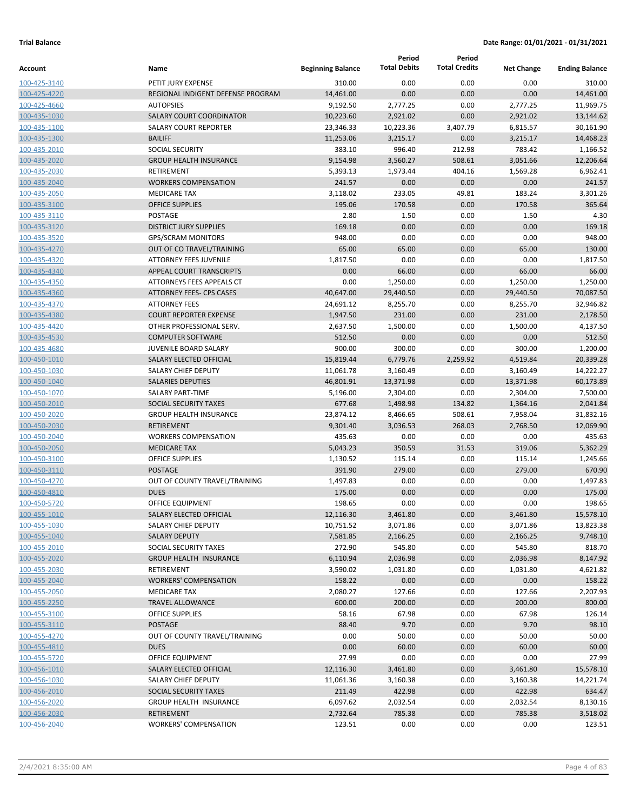|              |                                   |                          | Period              | Period               |                   |                       |
|--------------|-----------------------------------|--------------------------|---------------------|----------------------|-------------------|-----------------------|
| Account      | Name                              | <b>Beginning Balance</b> | <b>Total Debits</b> | <b>Total Credits</b> | <b>Net Change</b> | <b>Ending Balance</b> |
| 100-425-3140 | PETIT JURY EXPENSE                | 310.00                   | 0.00                | 0.00                 | 0.00              | 310.00                |
| 100-425-4220 | REGIONAL INDIGENT DEFENSE PROGRAM | 14,461.00                | 0.00                | 0.00                 | 0.00              | 14,461.00             |
| 100-425-4660 | <b>AUTOPSIES</b>                  | 9,192.50                 | 2,777.25            | 0.00                 | 2,777.25          | 11,969.75             |
| 100-435-1030 | <b>SALARY COURT COORDINATOR</b>   | 10,223.60                | 2,921.02            | 0.00                 | 2,921.02          | 13,144.62             |
| 100-435-1100 | <b>SALARY COURT REPORTER</b>      | 23,346.33                | 10,223.36           | 3,407.79             | 6,815.57          | 30,161.90             |
| 100-435-1300 | <b>BAILIFF</b>                    | 11,253.06                | 3,215.17            | 0.00                 | 3,215.17          | 14,468.23             |
| 100-435-2010 | <b>SOCIAL SECURITY</b>            | 383.10                   | 996.40              | 212.98               | 783.42            | 1,166.52              |
| 100-435-2020 | <b>GROUP HEALTH INSURANCE</b>     | 9,154.98                 | 3,560.27            | 508.61               | 3,051.66          | 12,206.64             |
| 100-435-2030 | <b>RETIREMENT</b>                 | 5,393.13                 | 1,973.44            | 404.16               | 1,569.28          | 6,962.41              |
| 100-435-2040 | <b>WORKERS COMPENSATION</b>       | 241.57                   | 0.00                | 0.00                 | 0.00              | 241.57                |
| 100-435-2050 | <b>MEDICARE TAX</b>               | 3,118.02                 | 233.05              | 49.81                | 183.24            | 3,301.26              |
| 100-435-3100 | <b>OFFICE SUPPLIES</b>            | 195.06                   | 170.58              | 0.00                 | 170.58            | 365.64                |
| 100-435-3110 | POSTAGE                           | 2.80                     | 1.50                | 0.00                 | 1.50              | 4.30                  |
| 100-435-3120 | <b>DISTRICT JURY SUPPLIES</b>     | 169.18                   | 0.00                | 0.00                 | 0.00              | 169.18                |
| 100-435-3520 | <b>GPS/SCRAM MONITORS</b>         | 948.00                   | 0.00                | 0.00                 | 0.00              | 948.00                |
| 100-435-4270 | OUT OF CO TRAVEL/TRAINING         | 65.00                    | 65.00               | 0.00                 | 65.00             | 130.00                |
| 100-435-4320 | <b>ATTORNEY FEES JUVENILE</b>     | 1,817.50                 | 0.00                | 0.00                 | 0.00              | 1,817.50              |
| 100-435-4340 | APPEAL COURT TRANSCRIPTS          | 0.00                     | 66.00               | 0.00                 | 66.00             | 66.00                 |
| 100-435-4350 | ATTORNEYS FEES APPEALS CT         | 0.00                     | 1,250.00            | 0.00                 | 1,250.00          | 1,250.00              |
| 100-435-4360 | <b>ATTORNEY FEES- CPS CASES</b>   | 40,647.00                | 29,440.50           | 0.00                 | 29,440.50         | 70,087.50             |
| 100-435-4370 | <b>ATTORNEY FEES</b>              | 24,691.12                | 8,255.70            | 0.00                 | 8,255.70          | 32,946.82             |
| 100-435-4380 | <b>COURT REPORTER EXPENSE</b>     | 1,947.50                 | 231.00              | 0.00                 | 231.00            | 2,178.50              |
| 100-435-4420 | OTHER PROFESSIONAL SERV.          | 2,637.50                 | 1,500.00            | 0.00                 | 1,500.00          | 4,137.50              |
| 100-435-4530 | <b>COMPUTER SOFTWARE</b>          | 512.50                   | 0.00                | 0.00                 | 0.00              | 512.50                |
| 100-435-4680 | <b>JUVENILE BOARD SALARY</b>      | 900.00                   | 300.00              | 0.00                 | 300.00            | 1,200.00              |
| 100-450-1010 | SALARY ELECTED OFFICIAL           | 15,819.44                | 6,779.76            | 2,259.92             | 4,519.84          | 20,339.28             |
| 100-450-1030 | SALARY CHIEF DEPUTY               | 11,061.78                | 3,160.49            | 0.00                 | 3,160.49          | 14,222.27             |
| 100-450-1040 | <b>SALARIES DEPUTIES</b>          | 46,801.91                | 13,371.98           | 0.00                 | 13,371.98         | 60,173.89             |
| 100-450-1070 | <b>SALARY PART-TIME</b>           | 5,196.00                 | 2,304.00            | 0.00                 | 2,304.00          | 7,500.00              |
| 100-450-2010 | <b>SOCIAL SECURITY TAXES</b>      | 677.68                   | 1,498.98            | 134.82               | 1,364.16          | 2,041.84              |
| 100-450-2020 | <b>GROUP HEALTH INSURANCE</b>     | 23,874.12                | 8,466.65            | 508.61               | 7,958.04          | 31,832.16             |
| 100-450-2030 | <b>RETIREMENT</b>                 | 9,301.40                 | 3,036.53            | 268.03               | 2,768.50          | 12,069.90             |
| 100-450-2040 | <b>WORKERS COMPENSATION</b>       | 435.63                   | 0.00                | 0.00                 | 0.00              | 435.63                |
| 100-450-2050 | <b>MEDICARE TAX</b>               | 5,043.23                 | 350.59              | 31.53                | 319.06            | 5,362.29              |
| 100-450-3100 | <b>OFFICE SUPPLIES</b>            | 1,130.52                 | 115.14              | 0.00                 | 115.14            | 1,245.66              |
| 100-450-3110 | <b>POSTAGE</b>                    | 391.90                   | 279.00              | 0.00                 | 279.00            | 670.90                |
| 100-450-4270 | OUT OF COUNTY TRAVEL/TRAINING     | 1,497.83                 | 0.00                | 0.00                 | 0.00              | 1,497.83              |
| 100-450-4810 | <b>DUES</b>                       | 175.00                   | 0.00                | 0.00                 | 0.00              | 175.00                |
| 100-450-5720 | <b>OFFICE EQUIPMENT</b>           | 198.65                   | 0.00                | 0.00                 | 0.00              | 198.65                |
| 100-455-1010 | SALARY ELECTED OFFICIAL           | 12,116.30                | 3,461.80            | 0.00                 | 3,461.80          | 15,578.10             |
| 100-455-1030 | SALARY CHIEF DEPUTY               | 10,751.52                | 3,071.86            | 0.00                 | 3,071.86          | 13,823.38             |
| 100-455-1040 | <b>SALARY DEPUTY</b>              | 7,581.85                 | 2,166.25            | 0.00                 | 2,166.25          | 9,748.10              |
| 100-455-2010 | SOCIAL SECURITY TAXES             | 272.90                   | 545.80              | 0.00                 | 545.80            | 818.70                |
| 100-455-2020 | <b>GROUP HEALTH INSURANCE</b>     | 6,110.94                 | 2,036.98            | 0.00                 | 2,036.98          | 8,147.92              |
| 100-455-2030 | <b>RETIREMENT</b>                 | 3,590.02                 | 1,031.80            | 0.00                 | 1,031.80          | 4,621.82              |
| 100-455-2040 | <b>WORKERS' COMPENSATION</b>      | 158.22                   | 0.00                | 0.00                 | 0.00              | 158.22                |
| 100-455-2050 | <b>MEDICARE TAX</b>               | 2,080.27                 | 127.66              | 0.00                 | 127.66            | 2,207.93              |
| 100-455-2250 | <b>TRAVEL ALLOWANCE</b>           | 600.00                   | 200.00              | 0.00                 | 200.00            | 800.00                |
| 100-455-3100 | <b>OFFICE SUPPLIES</b>            | 58.16                    | 67.98               | 0.00                 | 67.98             | 126.14                |
| 100-455-3110 | <b>POSTAGE</b>                    | 88.40                    | 9.70                | 0.00                 | 9.70              | 98.10                 |
| 100-455-4270 | OUT OF COUNTY TRAVEL/TRAINING     | 0.00                     | 50.00               | 0.00                 | 50.00             | 50.00                 |
| 100-455-4810 | <b>DUES</b>                       | 0.00                     | 60.00               | 0.00                 | 60.00             | 60.00                 |
| 100-455-5720 | OFFICE EQUIPMENT                  | 27.99                    | 0.00                | 0.00                 | 0.00              | 27.99                 |
| 100-456-1010 | SALARY ELECTED OFFICIAL           | 12,116.30                | 3,461.80            | 0.00                 | 3,461.80          | 15,578.10             |
| 100-456-1030 | SALARY CHIEF DEPUTY               | 11,061.36                | 3,160.38            | 0.00                 | 3,160.38          | 14,221.74             |
| 100-456-2010 | SOCIAL SECURITY TAXES             | 211.49                   | 422.98              | 0.00                 | 422.98            | 634.47                |
| 100-456-2020 | <b>GROUP HEALTH INSURANCE</b>     | 6,097.62                 | 2,032.54            | 0.00                 | 2,032.54          | 8,130.16              |
| 100-456-2030 | <b>RETIREMENT</b>                 | 2,732.64                 | 785.38              | 0.00                 | 785.38            | 3,518.02              |
| 100-456-2040 | <b>WORKERS' COMPENSATION</b>      | 123.51                   | 0.00                | 0.00                 | 0.00              | 123.51                |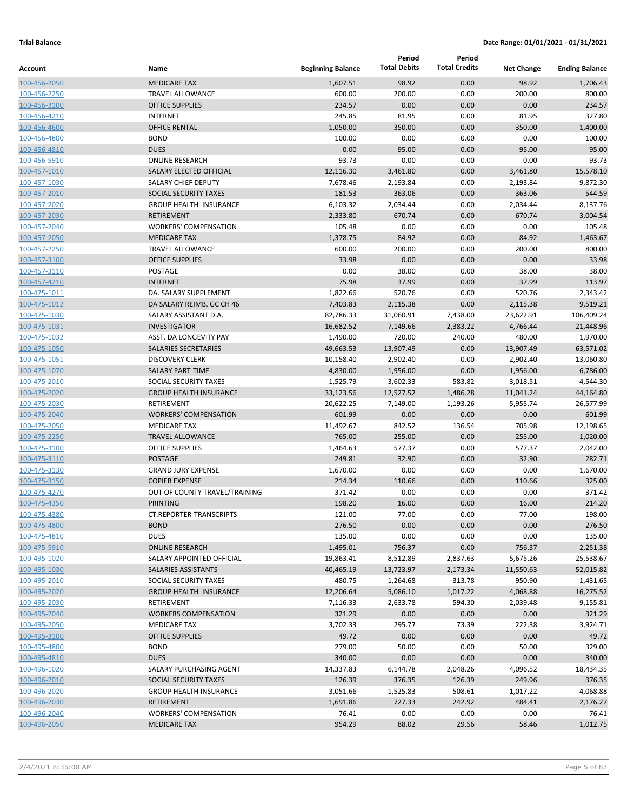|                              |                                               |                          | Period              | Period               |                    |                        |
|------------------------------|-----------------------------------------------|--------------------------|---------------------|----------------------|--------------------|------------------------|
| Account                      | Name                                          | <b>Beginning Balance</b> | <b>Total Debits</b> | <b>Total Credits</b> | <b>Net Change</b>  | <b>Ending Balance</b>  |
| 100-456-2050                 | <b>MEDICARE TAX</b>                           | 1,607.51                 | 98.92               | 0.00                 | 98.92              | 1,706.43               |
| 100-456-2250                 | <b>TRAVEL ALLOWANCE</b>                       | 600.00                   | 200.00              | 0.00                 | 200.00             | 800.00                 |
| 100-456-3100                 | <b>OFFICE SUPPLIES</b>                        | 234.57                   | 0.00                | 0.00                 | 0.00               | 234.57                 |
| 100-456-4210                 | <b>INTERNET</b>                               | 245.85                   | 81.95               | 0.00                 | 81.95              | 327.80                 |
| 100-456-4600                 | <b>OFFICE RENTAL</b>                          | 1,050.00                 | 350.00              | 0.00                 | 350.00             | 1,400.00               |
| 100-456-4800                 | <b>BOND</b>                                   | 100.00                   | 0.00                | 0.00                 | 0.00               | 100.00                 |
| 100-456-4810                 | <b>DUES</b>                                   | 0.00                     | 95.00               | 0.00                 | 95.00              | 95.00                  |
| 100-456-5910                 | <b>ONLINE RESEARCH</b>                        | 93.73                    | 0.00                | 0.00                 | 0.00               | 93.73                  |
| 100-457-1010                 | SALARY ELECTED OFFICIAL                       | 12,116.30                | 3,461.80            | 0.00                 | 3,461.80           | 15,578.10              |
| 100-457-1030                 | <b>SALARY CHIEF DEPUTY</b>                    | 7,678.46                 | 2,193.84            | 0.00                 | 2,193.84           | 9,872.30               |
| 100-457-2010                 | <b>SOCIAL SECURITY TAXES</b>                  | 181.53                   | 363.06              | 0.00                 | 363.06             | 544.59                 |
| 100-457-2020                 | <b>GROUP HEALTH INSURANCE</b>                 | 6,103.32                 | 2,034.44            | 0.00                 | 2,034.44           | 8,137.76               |
| 100-457-2030                 | <b>RETIREMENT</b>                             | 2,333.80                 | 670.74              | 0.00                 | 670.74             | 3,004.54               |
| 100-457-2040                 | <b>WORKERS' COMPENSATION</b>                  | 105.48                   | 0.00                | 0.00                 | 0.00               | 105.48                 |
| 100-457-2050                 | <b>MEDICARE TAX</b>                           | 1,378.75                 | 84.92               | 0.00                 | 84.92              | 1,463.67               |
| 100-457-2250                 | <b>TRAVEL ALLOWANCE</b>                       | 600.00                   | 200.00              | 0.00                 | 200.00             | 800.00                 |
| 100-457-3100                 | <b>OFFICE SUPPLIES</b>                        | 33.98                    | 0.00                | 0.00                 | 0.00               | 33.98                  |
| 100-457-3110                 | <b>POSTAGE</b>                                | 0.00                     | 38.00               | 0.00                 | 38.00              | 38.00                  |
| 100-457-4210                 | <b>INTERNET</b>                               | 75.98                    | 37.99               | 0.00                 | 37.99              | 113.97                 |
| 100-475-1011                 | DA. SALARY SUPPLEMENT                         | 1,822.66                 | 520.76              | 0.00                 | 520.76             | 2,343.42               |
| 100-475-1012                 | DA SALARY REIMB. GC CH 46                     | 7,403.83                 | 2,115.38            | 0.00                 | 2,115.38           | 9,519.21<br>106,409.24 |
| 100-475-1030                 | SALARY ASSISTANT D.A.                         | 82,786.33                | 31,060.91           | 7,438.00             | 23,622.91          |                        |
| 100-475-1031                 | <b>INVESTIGATOR</b><br>ASST. DA LONGEVITY PAY | 16,682.52<br>1,490.00    | 7,149.66<br>720.00  | 2,383.22<br>240.00   | 4,766.44<br>480.00 | 21,448.96<br>1,970.00  |
| 100-475-1032<br>100-475-1050 | <b>SALARIES SECRETARIES</b>                   | 49,663.53                | 13,907.49           | 0.00                 | 13,907.49          | 63,571.02              |
| 100-475-1051                 | <b>DISCOVERY CLERK</b>                        | 10,158.40                | 2,902.40            | 0.00                 | 2,902.40           | 13,060.80              |
| 100-475-1070                 | <b>SALARY PART-TIME</b>                       | 4,830.00                 | 1,956.00            | 0.00                 | 1,956.00           | 6,786.00               |
| 100-475-2010                 | SOCIAL SECURITY TAXES                         | 1,525.79                 | 3,602.33            | 583.82               | 3,018.51           | 4,544.30               |
| 100-475-2020                 | <b>GROUP HEALTH INSURANCE</b>                 | 33,123.56                | 12,527.52           | 1,486.28             | 11,041.24          | 44,164.80              |
| 100-475-2030                 | RETIREMENT                                    | 20,622.25                | 7,149.00            | 1,193.26             | 5,955.74           | 26,577.99              |
| 100-475-2040                 | <b>WORKERS' COMPENSATION</b>                  | 601.99                   | 0.00                | 0.00                 | 0.00               | 601.99                 |
| 100-475-2050                 | <b>MEDICARE TAX</b>                           | 11,492.67                | 842.52              | 136.54               | 705.98             | 12,198.65              |
| 100-475-2250                 | <b>TRAVEL ALLOWANCE</b>                       | 765.00                   | 255.00              | 0.00                 | 255.00             | 1,020.00               |
| 100-475-3100                 | <b>OFFICE SUPPLIES</b>                        | 1,464.63                 | 577.37              | 0.00                 | 577.37             | 2,042.00               |
| 100-475-3110                 | <b>POSTAGE</b>                                | 249.81                   | 32.90               | 0.00                 | 32.90              | 282.71                 |
| 100-475-3130                 | <b>GRAND JURY EXPENSE</b>                     | 1,670.00                 | 0.00                | 0.00                 | 0.00               | 1,670.00               |
| 100-475-3150                 | <b>COPIER EXPENSE</b>                         | 214.34                   | 110.66              | 0.00                 | 110.66             | 325.00                 |
| 100-475-4270                 | OUT OF COUNTY TRAVEL/TRAINING                 | 371.42                   | 0.00                | 0.00                 | 0.00               | 371.42                 |
| 100-475-4350                 | <b>PRINTING</b>                               | 198.20                   | 16.00               | 0.00                 | 16.00              | 214.20                 |
| 100-475-4380                 | <b>CT.REPORTER-TRANSCRIPTS</b>                | 121.00                   | 77.00               | 0.00                 | 77.00              | 198.00                 |
| 100-475-4800                 | <b>BOND</b>                                   | 276.50                   | 0.00                | 0.00                 | 0.00               | 276.50                 |
| 100-475-4810                 | <b>DUES</b>                                   | 135.00                   | 0.00                | 0.00                 | 0.00               | 135.00                 |
| 100-475-5910                 | <b>ONLINE RESEARCH</b>                        | 1,495.01                 | 756.37              | 0.00                 | 756.37             | 2,251.38               |
| 100-495-1020                 | SALARY APPOINTED OFFICIAL                     | 19,863.41                | 8,512.89            | 2,837.63             | 5,675.26           | 25,538.67              |
| 100-495-1030                 | SALARIES ASSISTANTS                           | 40,465.19                | 13,723.97           | 2,173.34             | 11,550.63          | 52,015.82              |
| 100-495-2010                 | SOCIAL SECURITY TAXES                         | 480.75                   | 1,264.68            | 313.78               | 950.90             | 1,431.65               |
| 100-495-2020                 | <b>GROUP HEALTH INSURANCE</b>                 | 12,206.64                | 5,086.10            | 1,017.22             | 4,068.88           | 16,275.52              |
| 100-495-2030                 | RETIREMENT                                    | 7,116.33                 | 2,633.78            | 594.30               | 2,039.48           | 9,155.81               |
| 100-495-2040                 | <b>WORKERS COMPENSATION</b>                   | 321.29                   | 0.00                | 0.00                 | 0.00               | 321.29                 |
| 100-495-2050                 | <b>MEDICARE TAX</b>                           | 3,702.33                 | 295.77              | 73.39                | 222.38             | 3,924.71               |
| 100-495-3100                 | <b>OFFICE SUPPLIES</b>                        | 49.72                    | 0.00                | 0.00                 | 0.00               | 49.72                  |
| 100-495-4800                 | <b>BOND</b>                                   | 279.00                   | 50.00               | 0.00                 | 50.00              | 329.00                 |
| 100-495-4810                 | <b>DUES</b>                                   | 340.00                   | 0.00                | 0.00                 | 0.00               | 340.00                 |
| 100-496-1020                 | SALARY PURCHASING AGENT                       | 14,337.83                | 6,144.78            | 2,048.26             | 4,096.52           | 18,434.35              |
| 100-496-2010                 | SOCIAL SECURITY TAXES                         | 126.39                   | 376.35              | 126.39               | 249.96             | 376.35                 |
| 100-496-2020                 | <b>GROUP HEALTH INSURANCE</b>                 | 3,051.66                 | 1,525.83            | 508.61               | 1,017.22           | 4,068.88               |
| 100-496-2030                 | RETIREMENT                                    | 1,691.86                 | 727.33              | 242.92               | 484.41             | 2,176.27               |
| 100-496-2040                 | <b>WORKERS' COMPENSATION</b>                  | 76.41                    | 0.00                | 0.00                 | 0.00               | 76.41                  |
| 100-496-2050                 | <b>MEDICARE TAX</b>                           | 954.29                   | 88.02               | 29.56                | 58.46              | 1,012.75               |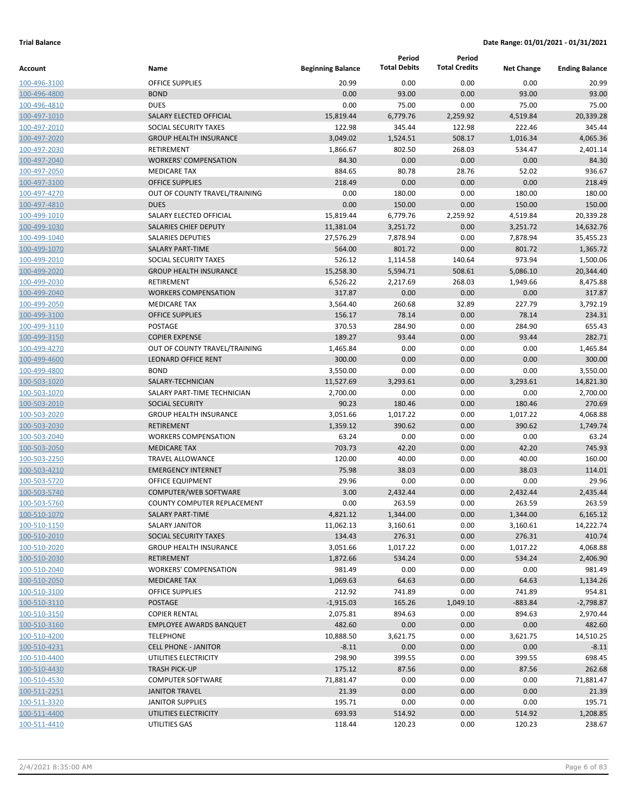|              |                                    |                          | Period              | Period               |                   |                       |
|--------------|------------------------------------|--------------------------|---------------------|----------------------|-------------------|-----------------------|
| Account      | Name                               | <b>Beginning Balance</b> | <b>Total Debits</b> | <b>Total Credits</b> | <b>Net Change</b> | <b>Ending Balance</b> |
| 100-496-3100 | <b>OFFICE SUPPLIES</b>             | 20.99                    | 0.00                | 0.00                 | 0.00              | 20.99                 |
| 100-496-4800 | <b>BOND</b>                        | 0.00                     | 93.00               | 0.00                 | 93.00             | 93.00                 |
| 100-496-4810 | <b>DUES</b>                        | 0.00                     | 75.00               | 0.00                 | 75.00             | 75.00                 |
| 100-497-1010 | SALARY ELECTED OFFICIAL            | 15,819.44                | 6,779.76            | 2,259.92             | 4,519.84          | 20,339.28             |
| 100-497-2010 | <b>SOCIAL SECURITY TAXES</b>       | 122.98                   | 345.44              | 122.98               | 222.46            | 345.44                |
| 100-497-2020 | <b>GROUP HEALTH INSURANCE</b>      | 3,049.02                 | 1,524.51            | 508.17               | 1,016.34          | 4,065.36              |
| 100-497-2030 | RETIREMENT                         | 1,866.67                 | 802.50              | 268.03               | 534.47            | 2,401.14              |
| 100-497-2040 | <b>WORKERS' COMPENSATION</b>       | 84.30                    | 0.00                | 0.00                 | 0.00              | 84.30                 |
| 100-497-2050 | <b>MEDICARE TAX</b>                | 884.65                   | 80.78               | 28.76                | 52.02             | 936.67                |
| 100-497-3100 | <b>OFFICE SUPPLIES</b>             | 218.49                   | 0.00                | 0.00                 | 0.00              | 218.49                |
| 100-497-4270 | OUT OF COUNTY TRAVEL/TRAINING      | 0.00                     | 180.00              | 0.00                 | 180.00            | 180.00                |
| 100-497-4810 | <b>DUES</b>                        | 0.00                     | 150.00              | 0.00                 | 150.00            | 150.00                |
| 100-499-1010 | SALARY ELECTED OFFICIAL            | 15,819.44                | 6,779.76            | 2,259.92             | 4,519.84          | 20,339.28             |
| 100-499-1030 | SALARIES CHIEF DEPUTY              | 11,381.04                | 3,251.72            | 0.00                 | 3,251.72          | 14,632.76             |
| 100-499-1040 | <b>SALARIES DEPUTIES</b>           | 27,576.29                | 7,878.94            | 0.00                 | 7,878.94          | 35,455.23             |
| 100-499-1070 | <b>SALARY PART-TIME</b>            | 564.00                   | 801.72              | 0.00                 | 801.72            | 1,365.72              |
| 100-499-2010 | SOCIAL SECURITY TAXES              | 526.12                   | 1,114.58            | 140.64               | 973.94            | 1,500.06              |
| 100-499-2020 | <b>GROUP HEALTH INSURANCE</b>      | 15,258.30                | 5,594.71            | 508.61               | 5,086.10          | 20,344.40             |
| 100-499-2030 | RETIREMENT                         | 6,526.22                 | 2,217.69            | 268.03               | 1,949.66          | 8,475.88              |
| 100-499-2040 | <b>WORKERS COMPENSATION</b>        | 317.87                   | 0.00                | 0.00                 | 0.00              | 317.87                |
| 100-499-2050 | <b>MEDICARE TAX</b>                | 3,564.40                 | 260.68              | 32.89                | 227.79            | 3,792.19              |
| 100-499-3100 | <b>OFFICE SUPPLIES</b>             | 156.17                   | 78.14               | 0.00                 | 78.14             | 234.31                |
| 100-499-3110 | POSTAGE                            | 370.53                   | 284.90              | 0.00                 | 284.90            | 655.43                |
| 100-499-3150 | <b>COPIER EXPENSE</b>              | 189.27                   | 93.44               | 0.00                 | 93.44             | 282.71                |
| 100-499-4270 | OUT OF COUNTY TRAVEL/TRAINING      | 1,465.84                 | 0.00                | 0.00                 | 0.00              | 1,465.84              |
| 100-499-4600 | <b>LEONARD OFFICE RENT</b>         | 300.00                   | 0.00                | 0.00                 | 0.00              | 300.00                |
| 100-499-4800 | <b>BOND</b>                        | 3,550.00                 | 0.00                | 0.00                 | 0.00              | 3,550.00              |
| 100-503-1020 | SALARY-TECHNICIAN                  | 11,527.69                | 3,293.61            | 0.00                 | 3,293.61          | 14,821.30             |
| 100-503-1070 | SALARY PART-TIME TECHNICIAN        | 2,700.00                 | 0.00                | 0.00                 | 0.00              | 2,700.00              |
| 100-503-2010 | <b>SOCIAL SECURITY</b>             | 90.23                    | 180.46              | 0.00                 | 180.46            | 270.69                |
| 100-503-2020 | <b>GROUP HEALTH INSURANCE</b>      | 3,051.66                 | 1,017.22            | 0.00                 | 1,017.22          | 4,068.88              |
| 100-503-2030 | <b>RETIREMENT</b>                  | 1,359.12                 | 390.62              | 0.00                 | 390.62            | 1,749.74              |
| 100-503-2040 | <b>WORKERS COMPENSATION</b>        | 63.24                    | 0.00                | 0.00                 | 0.00              | 63.24                 |
| 100-503-2050 | <b>MEDICARE TAX</b>                | 703.73                   | 42.20               | 0.00                 | 42.20             | 745.93                |
| 100-503-2250 | <b>TRAVEL ALLOWANCE</b>            | 120.00                   | 40.00               | 0.00                 | 40.00             | 160.00                |
| 100-503-4210 | <b>EMERGENCY INTERNET</b>          | 75.98                    | 38.03               | 0.00                 | 38.03             | 114.01                |
| 100-503-5720 | <b>OFFICE EQUIPMENT</b>            | 29.96                    | 0.00                | 0.00                 | 0.00              | 29.96                 |
| 100-503-5740 | COMPUTER/WEB SOFTWARE              | 3.00                     | 2,432.44            | 0.00                 | 2,432.44          | 2,435.44              |
| 100-503-5760 | <b>COUNTY COMPUTER REPLACEMENT</b> | 0.00                     | 263.59              | 0.00                 | 263.59            | 263.59                |
| 100-510-1070 | SALARY PART-TIME                   | 4,821.12                 | 1,344.00            | 0.00                 | 1,344.00          | 6,165.12              |
| 100-510-1150 | <b>SALARY JANITOR</b>              | 11,062.13                | 3,160.61            | 0.00                 | 3,160.61          | 14,222.74             |
| 100-510-2010 | SOCIAL SECURITY TAXES              | 134.43                   | 276.31              | 0.00                 | 276.31            | 410.74                |
| 100-510-2020 | <b>GROUP HEALTH INSURANCE</b>      | 3,051.66                 | 1,017.22            | 0.00                 | 1,017.22          | 4,068.88              |
| 100-510-2030 | <b>RETIREMENT</b>                  | 1,872.66                 | 534.24              | 0.00                 | 534.24            | 2,406.90              |
| 100-510-2040 | <b>WORKERS' COMPENSATION</b>       | 981.49                   | 0.00                | 0.00                 | 0.00              | 981.49                |
| 100-510-2050 | <b>MEDICARE TAX</b>                | 1,069.63                 | 64.63               | 0.00                 | 64.63             | 1,134.26              |
| 100-510-3100 | <b>OFFICE SUPPLIES</b>             | 212.92                   | 741.89              | 0.00                 | 741.89            | 954.81                |
| 100-510-3110 | POSTAGE                            | $-1,915.03$              | 165.26              | 1,049.10             | $-883.84$         | $-2,798.87$           |
| 100-510-3150 | <b>COPIER RENTAL</b>               | 2,075.81                 | 894.63              | 0.00                 | 894.63            | 2,970.44              |
| 100-510-3160 | <b>EMPLOYEE AWARDS BANQUET</b>     | 482.60                   | 0.00                | 0.00                 | 0.00              | 482.60                |
| 100-510-4200 | <b>TELEPHONE</b>                   | 10,888.50                | 3,621.75            | 0.00                 | 3,621.75          | 14,510.25             |
| 100-510-4231 | <b>CELL PHONE - JANITOR</b>        | $-8.11$                  | 0.00                | 0.00                 | 0.00              | $-8.11$               |
| 100-510-4400 | UTILITIES ELECTRICITY              | 298.90                   | 399.55              | 0.00                 | 399.55            | 698.45                |
| 100-510-4430 | <b>TRASH PICK-UP</b>               | 175.12                   | 87.56               | 0.00                 | 87.56             | 262.68                |
| 100-510-4530 | <b>COMPUTER SOFTWARE</b>           | 71,881.47                | 0.00                | 0.00                 | 0.00              | 71,881.47             |
| 100-511-2251 | <b>JANITOR TRAVEL</b>              | 21.39                    | 0.00                | 0.00                 | 0.00              | 21.39                 |
| 100-511-3320 | <b>JANITOR SUPPLIES</b>            | 195.71                   | 0.00                | 0.00                 | 0.00              | 195.71                |
| 100-511-4400 | UTILITIES ELECTRICITY              | 693.93                   | 514.92              | 0.00                 | 514.92            | 1,208.85              |
| 100-511-4410 | UTILITIES GAS                      | 118.44                   | 120.23              | 0.00                 | 120.23            | 238.67                |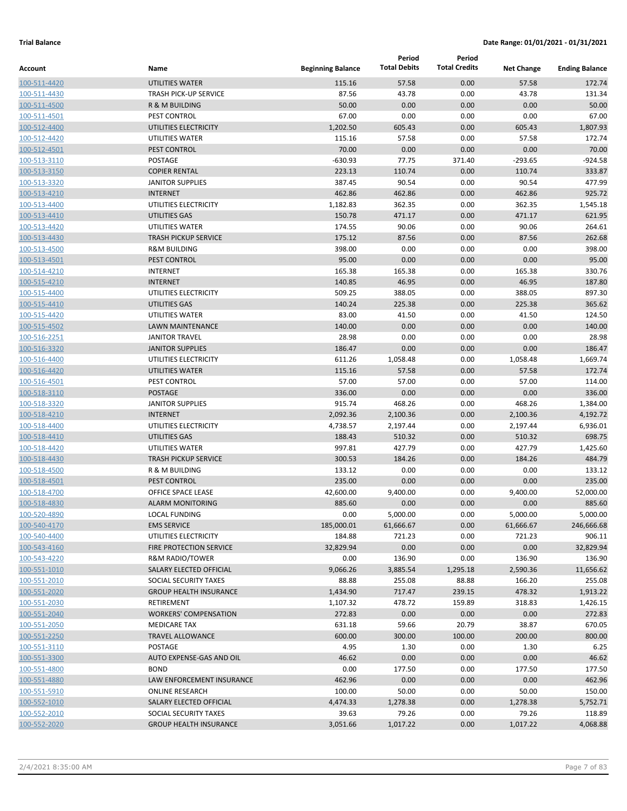|                              |                                            |                          | Period              | Period               |                   |                       |
|------------------------------|--------------------------------------------|--------------------------|---------------------|----------------------|-------------------|-----------------------|
| Account                      | Name                                       | <b>Beginning Balance</b> | <b>Total Debits</b> | <b>Total Credits</b> | <b>Net Change</b> | <b>Ending Balance</b> |
| 100-511-4420                 | <b>UTILITIES WATER</b>                     | 115.16                   | 57.58               | 0.00                 | 57.58             | 172.74                |
| 100-511-4430                 | <b>TRASH PICK-UP SERVICE</b>               | 87.56                    | 43.78               | 0.00                 | 43.78             | 131.34                |
| 100-511-4500                 | <b>R &amp; M BUILDING</b>                  | 50.00                    | 0.00                | 0.00                 | 0.00              | 50.00                 |
| 100-511-4501                 | PEST CONTROL                               | 67.00                    | 0.00                | 0.00                 | 0.00              | 67.00                 |
| 100-512-4400                 | UTILITIES ELECTRICITY                      | 1,202.50                 | 605.43              | 0.00                 | 605.43            | 1,807.93              |
| 100-512-4420                 | UTILITIES WATER                            | 115.16                   | 57.58               | 0.00                 | 57.58             | 172.74                |
| 100-512-4501                 | PEST CONTROL                               | 70.00                    | 0.00                | 0.00                 | 0.00              | 70.00                 |
| 100-513-3110                 | <b>POSTAGE</b>                             | $-630.93$                | 77.75               | 371.40               | $-293.65$         | $-924.58$             |
| 100-513-3150                 | <b>COPIER RENTAL</b>                       | 223.13                   | 110.74              | 0.00                 | 110.74            | 333.87                |
| 100-513-3320                 | <b>JANITOR SUPPLIES</b>                    | 387.45                   | 90.54               | 0.00                 | 90.54             | 477.99                |
| 100-513-4210                 | <b>INTERNET</b>                            | 462.86                   | 462.86              | 0.00                 | 462.86            | 925.72                |
| 100-513-4400                 | UTILITIES ELECTRICITY                      | 1,182.83                 | 362.35              | 0.00                 | 362.35            | 1,545.18              |
| 100-513-4410                 | UTILITIES GAS                              | 150.78                   | 471.17              | 0.00                 | 471.17            | 621.95                |
| 100-513-4420                 | UTILITIES WATER                            | 174.55                   | 90.06               | 0.00                 | 90.06             | 264.61                |
| 100-513-4430                 | <b>TRASH PICKUP SERVICE</b>                | 175.12                   | 87.56               | 0.00                 | 87.56             | 262.68                |
| 100-513-4500                 | <b>R&amp;M BUILDING</b>                    | 398.00                   | 0.00                | 0.00                 | 0.00              | 398.00                |
| 100-513-4501                 | PEST CONTROL                               | 95.00                    | 0.00                | 0.00                 | 0.00              | 95.00                 |
| 100-514-4210                 | <b>INTERNET</b>                            | 165.38                   | 165.38              | 0.00                 | 165.38            | 330.76                |
| 100-515-4210                 | <b>INTERNET</b>                            | 140.85                   | 46.95               | 0.00                 | 46.95             | 187.80                |
| 100-515-4400                 | UTILITIES ELECTRICITY                      | 509.25                   | 388.05              | 0.00                 | 388.05            | 897.30                |
| 100-515-4410                 | UTILITIES GAS                              | 140.24                   | 225.38              | 0.00                 | 225.38            | 365.62                |
| 100-515-4420                 | UTILITIES WATER                            | 83.00                    | 41.50               | 0.00                 | 41.50             | 124.50                |
| 100-515-4502                 | <b>LAWN MAINTENANCE</b>                    | 140.00                   | 0.00                | 0.00                 | 0.00              | 140.00                |
| 100-516-2251                 | <b>JANITOR TRAVEL</b>                      | 28.98                    | 0.00                | 0.00                 | 0.00              | 28.98                 |
| 100-516-3320                 | <b>JANITOR SUPPLIES</b>                    | 186.47                   | 0.00                | 0.00                 | 0.00              | 186.47                |
| 100-516-4400                 | UTILITIES ELECTRICITY                      | 611.26                   | 1,058.48            | 0.00                 | 1,058.48          | 1,669.74              |
| 100-516-4420                 | UTILITIES WATER                            | 115.16                   | 57.58               | 0.00                 | 57.58             | 172.74                |
| 100-516-4501                 | PEST CONTROL                               | 57.00                    | 57.00               | 0.00                 | 57.00             | 114.00                |
| 100-518-3110                 | POSTAGE                                    | 336.00<br>915.74         | 0.00<br>468.26      | 0.00                 | 0.00<br>468.26    | 336.00<br>1,384.00    |
| 100-518-3320<br>100-518-4210 | <b>JANITOR SUPPLIES</b><br><b>INTERNET</b> | 2,092.36                 | 2,100.36            | 0.00<br>0.00         | 2,100.36          | 4,192.72              |
| 100-518-4400                 | UTILITIES ELECTRICITY                      | 4,738.57                 | 2,197.44            | 0.00                 | 2,197.44          | 6,936.01              |
| 100-518-4410                 | UTILITIES GAS                              | 188.43                   | 510.32              | 0.00                 | 510.32            | 698.75                |
| 100-518-4420                 | UTILITIES WATER                            | 997.81                   | 427.79              | 0.00                 | 427.79            | 1,425.60              |
| 100-518-4430                 | <b>TRASH PICKUP SERVICE</b>                | 300.53                   | 184.26              | 0.00                 | 184.26            | 484.79                |
| 100-518-4500                 | R & M BUILDING                             | 133.12                   | 0.00                | 0.00                 | 0.00              | 133.12                |
| 100-518-4501                 | PEST CONTROL                               | 235.00                   | 0.00                | 0.00                 | 0.00              | 235.00                |
| 100-518-4700                 | <b>OFFICE SPACE LEASE</b>                  | 42,600.00                | 9,400.00            | 0.00                 | 9,400.00          | 52,000.00             |
| 100-518-4830                 | <b>ALARM MONITORING</b>                    | 885.60                   | 0.00                | 0.00                 | 0.00              | 885.60                |
| 100-520-4890                 | <b>LOCAL FUNDING</b>                       | 0.00                     | 5,000.00            | 0.00                 | 5,000.00          | 5,000.00              |
| 100-540-4170                 | <b>EMS SERVICE</b>                         | 185,000.01               | 61,666.67           | 0.00                 | 61,666.67         | 246,666.68            |
| 100-540-4400                 | UTILITIES ELECTRICITY                      | 184.88                   | 721.23              | 0.00                 | 721.23            | 906.11                |
| 100-543-4160                 | <b>FIRE PROTECTION SERVICE</b>             | 32,829.94                | 0.00                | 0.00                 | 0.00              | 32,829.94             |
| 100-543-4220                 | R&M RADIO/TOWER                            | 0.00                     | 136.90              | 0.00                 | 136.90            | 136.90                |
| 100-551-1010                 | SALARY ELECTED OFFICIAL                    | 9,066.26                 | 3,885.54            | 1,295.18             | 2,590.36          | 11,656.62             |
| 100-551-2010                 | SOCIAL SECURITY TAXES                      | 88.88                    | 255.08              | 88.88                | 166.20            | 255.08                |
| 100-551-2020                 | <b>GROUP HEALTH INSURANCE</b>              | 1,434.90                 | 717.47              | 239.15               | 478.32            | 1,913.22              |
| 100-551-2030                 | RETIREMENT                                 | 1,107.32                 | 478.72              | 159.89               | 318.83            | 1,426.15              |
| 100-551-2040                 | <b>WORKERS' COMPENSATION</b>               | 272.83                   | 0.00                | 0.00                 | 0.00              | 272.83                |
| 100-551-2050                 | <b>MEDICARE TAX</b>                        | 631.18                   | 59.66               | 20.79                | 38.87             | 670.05                |
| 100-551-2250                 | <b>TRAVEL ALLOWANCE</b>                    | 600.00                   | 300.00              | 100.00               | 200.00            | 800.00                |
| 100-551-3110                 | POSTAGE                                    | 4.95                     | 1.30                | 0.00                 | 1.30              | 6.25                  |
| 100-551-3300                 | AUTO EXPENSE-GAS AND OIL                   | 46.62                    | 0.00                | 0.00                 | 0.00              | 46.62                 |
| 100-551-4800                 | <b>BOND</b>                                | 0.00                     | 177.50              | 0.00                 | 177.50            | 177.50                |
| 100-551-4880                 | LAW ENFORCEMENT INSURANCE                  | 462.96                   | 0.00                | 0.00                 | 0.00              | 462.96                |
| 100-551-5910                 | <b>ONLINE RESEARCH</b>                     | 100.00                   | 50.00               | 0.00                 | 50.00             | 150.00                |
| 100-552-1010                 | SALARY ELECTED OFFICIAL                    | 4,474.33                 | 1,278.38            | 0.00                 | 1,278.38          | 5,752.71              |
| 100-552-2010                 | SOCIAL SECURITY TAXES                      | 39.63                    | 79.26               | 0.00                 | 79.26             | 118.89                |
| 100-552-2020                 | <b>GROUP HEALTH INSURANCE</b>              | 3,051.66                 | 1,017.22            | 0.00                 | 1,017.22          | 4,068.88              |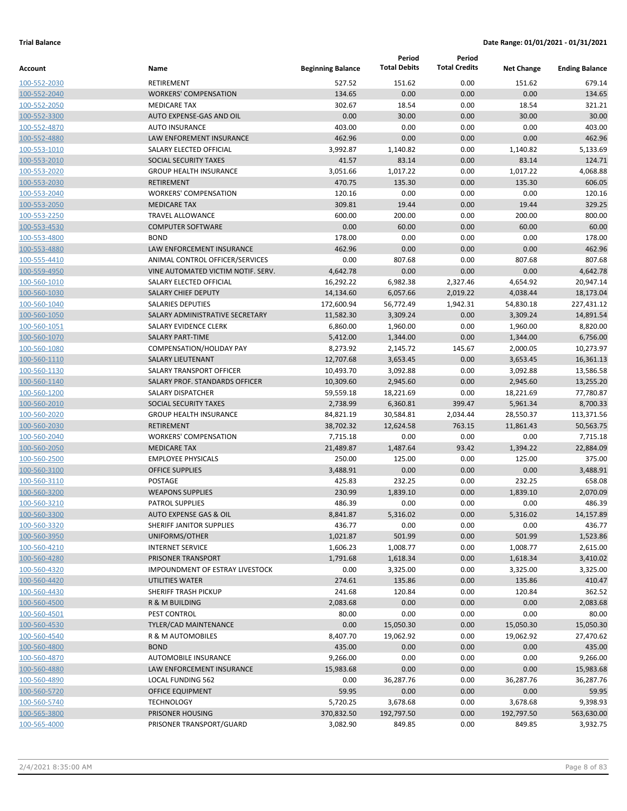|                              |                                                    |                          | Period              | Period               |                   |                       |
|------------------------------|----------------------------------------------------|--------------------------|---------------------|----------------------|-------------------|-----------------------|
| Account                      | Name                                               | <b>Beginning Balance</b> | <b>Total Debits</b> | <b>Total Credits</b> | <b>Net Change</b> | <b>Ending Balance</b> |
| 100-552-2030                 | RETIREMENT                                         | 527.52                   | 151.62              | 0.00                 | 151.62            | 679.14                |
| 100-552-2040                 | <b>WORKERS' COMPENSATION</b>                       | 134.65                   | 0.00                | 0.00                 | 0.00              | 134.65                |
| 100-552-2050                 | <b>MEDICARE TAX</b>                                | 302.67                   | 18.54               | 0.00                 | 18.54             | 321.21                |
| 100-552-3300                 | AUTO EXPENSE-GAS AND OIL                           | 0.00                     | 30.00               | 0.00                 | 30.00             | 30.00                 |
| 100-552-4870                 | <b>AUTO INSURANCE</b>                              | 403.00                   | 0.00                | 0.00                 | 0.00              | 403.00                |
| 100-552-4880                 | LAW ENFOREMENT INSURANCE                           | 462.96                   | 0.00                | 0.00                 | 0.00              | 462.96                |
| 100-553-1010                 | SALARY ELECTED OFFICIAL                            | 3,992.87                 | 1,140.82            | 0.00                 | 1,140.82          | 5,133.69              |
| 100-553-2010                 | SOCIAL SECURITY TAXES                              | 41.57                    | 83.14               | 0.00                 | 83.14             | 124.71                |
| 100-553-2020                 | <b>GROUP HEALTH INSURANCE</b>                      | 3,051.66                 | 1,017.22            | 0.00                 | 1,017.22          | 4,068.88              |
| 100-553-2030                 | <b>RETIREMENT</b>                                  | 470.75                   | 135.30              | 0.00                 | 135.30            | 606.05                |
| 100-553-2040                 | <b>WORKERS' COMPENSATION</b>                       | 120.16                   | 0.00                | 0.00                 | 0.00              | 120.16                |
| 100-553-2050                 | <b>MEDICARE TAX</b>                                | 309.81                   | 19.44               | 0.00                 | 19.44             | 329.25                |
| 100-553-2250                 | <b>TRAVEL ALLOWANCE</b>                            | 600.00                   | 200.00              | 0.00                 | 200.00            | 800.00                |
| 100-553-4530                 | <b>COMPUTER SOFTWARE</b>                           | 0.00                     | 60.00               | 0.00                 | 60.00             | 60.00                 |
| 100-553-4800                 | <b>BOND</b>                                        | 178.00                   | 0.00                | 0.00                 | 0.00              | 178.00                |
| 100-553-4880                 | LAW ENFORCEMENT INSURANCE                          | 462.96                   | 0.00                | 0.00                 | 0.00              | 462.96                |
| 100-555-4410                 | ANIMAL CONTROL OFFICER/SERVICES                    | 0.00                     | 807.68              | 0.00                 | 807.68            | 807.68                |
| 100-559-4950                 | VINE AUTOMATED VICTIM NOTIF. SERV.                 | 4,642.78                 | 0.00                | 0.00                 | 0.00              | 4,642.78              |
| 100-560-1010                 | SALARY ELECTED OFFICIAL                            | 16,292.22                | 6,982.38            | 2,327.46             | 4,654.92          | 20,947.14             |
| 100-560-1030                 | <b>SALARY CHIEF DEPUTY</b>                         | 14,134.60                | 6,057.66            | 2,019.22             | 4,038.44          | 18,173.04             |
| 100-560-1040                 | <b>SALARIES DEPUTIES</b>                           | 172,600.94               | 56,772.49           | 1,942.31             | 54,830.18         | 227,431.12            |
| 100-560-1050                 | SALARY ADMINISTRATIVE SECRETARY                    | 11,582.30                | 3,309.24            | 0.00                 | 3,309.24          | 14,891.54             |
| 100-560-1051                 | SALARY EVIDENCE CLERK                              | 6,860.00                 | 1,960.00            | 0.00                 | 1,960.00          | 8,820.00              |
| 100-560-1070                 | <b>SALARY PART-TIME</b>                            | 5,412.00                 | 1,344.00            | 0.00                 | 1,344.00          | 6,756.00              |
| 100-560-1080                 | COMPENSATION/HOLIDAY PAY                           | 8,273.92                 | 2,145.72            | 145.67               | 2,000.05          | 10,273.97             |
| 100-560-1110                 | <b>SALARY LIEUTENANT</b>                           | 12,707.68                | 3,653.45            | 0.00                 | 3,653.45          | 16,361.13             |
| 100-560-1130                 | SALARY TRANSPORT OFFICER                           | 10,493.70                | 3,092.88            | 0.00                 | 3,092.88          | 13,586.58             |
| 100-560-1140                 | SALARY PROF. STANDARDS OFFICER                     | 10,309.60                | 2,945.60            | 0.00                 | 2,945.60          | 13,255.20             |
| 100-560-1200                 | SALARY DISPATCHER                                  | 59,559.18                | 18,221.69           | 0.00                 | 18,221.69         | 77,780.87             |
| 100-560-2010                 | SOCIAL SECURITY TAXES                              | 2,738.99                 | 6,360.81            | 399.47               | 5,961.34          | 8,700.33              |
| 100-560-2020                 | <b>GROUP HEALTH INSURANCE</b>                      | 84,821.19                | 30,584.81           | 2,034.44             | 28,550.37         | 113,371.56            |
| 100-560-2030                 | <b>RETIREMENT</b>                                  | 38,702.32                | 12,624.58           | 763.15               | 11,861.43         | 50,563.75             |
| 100-560-2040                 | <b>WORKERS' COMPENSATION</b>                       | 7,715.18                 | 0.00                | 0.00                 | 0.00              | 7,715.18              |
| 100-560-2050                 | <b>MEDICARE TAX</b>                                | 21,489.87                | 1,487.64            | 93.42                | 1,394.22          | 22,884.09             |
| 100-560-2500                 | <b>EMPLOYEE PHYSICALS</b>                          | 250.00                   | 125.00              | 0.00                 | 125.00            | 375.00                |
| 100-560-3100                 | <b>OFFICE SUPPLIES</b>                             | 3,488.91                 | 0.00                | 0.00                 | 0.00              | 3,488.91              |
| 100-560-3110                 | POSTAGE                                            | 425.83                   | 232.25              | 0.00                 | 232.25            | 658.08                |
| 100-560-3200                 | <b>WEAPONS SUPPLIES</b>                            | 230.99                   | 1,839.10            | 0.00                 | 1,839.10          | 2,070.09              |
| 100-560-3210                 | <b>PATROL SUPPLIES</b>                             | 486.39                   | 0.00                | 0.00                 | 0.00              | 486.39                |
| 100-560-3300                 | AUTO EXPENSE GAS & OIL<br>SHERIFF JANITOR SUPPLIES | 8,841.87                 | 5,316.02            | 0.00                 | 5,316.02          | 14,157.89             |
| 100-560-3320<br>100-560-3950 | UNIFORMS/OTHER                                     | 436.77<br>1,021.87       | 0.00<br>501.99      | 0.00<br>0.00         | 0.00<br>501.99    | 436.77                |
|                              | <b>INTERNET SERVICE</b>                            | 1,606.23                 | 1,008.77            | 0.00                 | 1,008.77          | 1,523.86<br>2,615.00  |
| 100-560-4210<br>100-560-4280 | PRISONER TRANSPORT                                 | 1,791.68                 | 1,618.34            | 0.00                 | 1,618.34          | 3,410.02              |
| 100-560-4320                 | IMPOUNDMENT OF ESTRAY LIVESTOCK                    | 0.00                     | 3,325.00            | 0.00                 | 3,325.00          | 3,325.00              |
| 100-560-4420                 | UTILITIES WATER                                    | 274.61                   | 135.86              | 0.00                 | 135.86            | 410.47                |
| 100-560-4430                 | SHERIFF TRASH PICKUP                               | 241.68                   | 120.84              | 0.00                 | 120.84            | 362.52                |
| 100-560-4500                 | R & M BUILDING                                     | 2,083.68                 | 0.00                | 0.00                 | 0.00              | 2,083.68              |
| 100-560-4501                 | PEST CONTROL                                       | 80.00                    | 0.00                | 0.00                 | 0.00              | 80.00                 |
| 100-560-4530                 | <b>TYLER/CAD MAINTENANCE</b>                       | 0.00                     | 15,050.30           | 0.00                 | 15,050.30         | 15,050.30             |
| 100-560-4540                 | R & M AUTOMOBILES                                  | 8,407.70                 | 19,062.92           | 0.00                 | 19,062.92         | 27,470.62             |
| 100-560-4800                 | <b>BOND</b>                                        | 435.00                   | 0.00                | 0.00                 | 0.00              | 435.00                |
| 100-560-4870                 | AUTOMOBILE INSURANCE                               | 9,266.00                 | 0.00                | 0.00                 | 0.00              | 9,266.00              |
| 100-560-4880                 | LAW ENFORCEMENT INSURANCE                          | 15,983.68                | 0.00                | 0.00                 | 0.00              | 15,983.68             |
| 100-560-4890                 | LOCAL FUNDING 562                                  | 0.00                     | 36,287.76           | 0.00                 | 36,287.76         | 36,287.76             |
| 100-560-5720                 | OFFICE EQUIPMENT                                   | 59.95                    | 0.00                | 0.00                 | 0.00              | 59.95                 |
| 100-560-5740                 | <b>TECHNOLOGY</b>                                  | 5,720.25                 | 3,678.68            | 0.00                 | 3,678.68          | 9,398.93              |
| 100-565-3800                 | PRISONER HOUSING                                   | 370,832.50               | 192,797.50          | 0.00                 | 192,797.50        | 563,630.00            |
| 100-565-4000                 | PRISONER TRANSPORT/GUARD                           | 3,082.90                 | 849.85              | 0.00                 | 849.85            | 3,932.75              |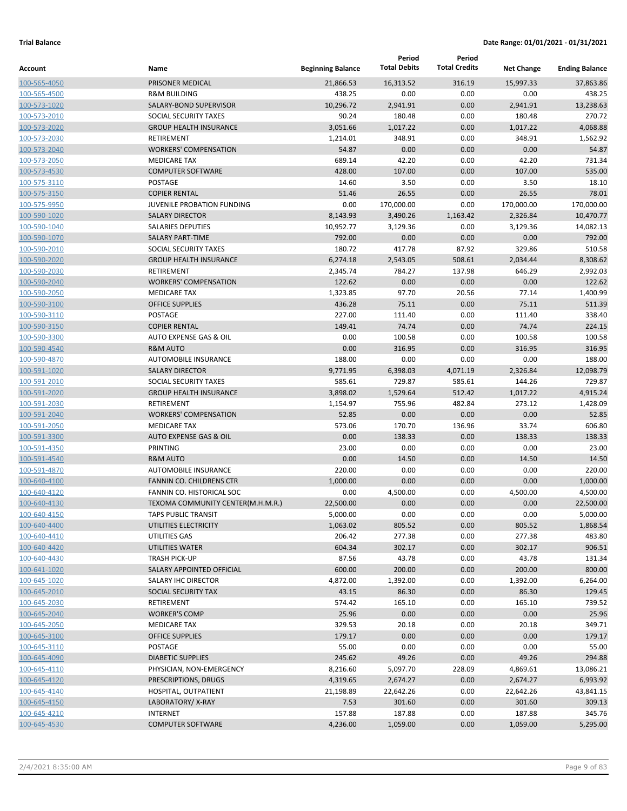|                              |                                                    |                          | Period<br><b>Total Debits</b> | Period<br><b>Total Credits</b> |                      |                       |
|------------------------------|----------------------------------------------------|--------------------------|-------------------------------|--------------------------------|----------------------|-----------------------|
| Account                      | Name                                               | <b>Beginning Balance</b> |                               |                                | <b>Net Change</b>    | <b>Ending Balance</b> |
| 100-565-4050                 | PRISONER MEDICAL                                   | 21,866.53                | 16,313.52                     | 316.19                         | 15,997.33            | 37,863.86             |
| 100-565-4500                 | <b>R&amp;M BUILDING</b>                            | 438.25                   | 0.00                          | 0.00                           | 0.00                 | 438.25                |
| 100-573-1020                 | SALARY-BOND SUPERVISOR                             | 10,296.72                | 2,941.91                      | 0.00                           | 2,941.91             | 13,238.63             |
| 100-573-2010                 | SOCIAL SECURITY TAXES                              | 90.24                    | 180.48                        | 0.00                           | 180.48               | 270.72                |
| 100-573-2020                 | <b>GROUP HEALTH INSURANCE</b>                      | 3,051.66                 | 1,017.22                      | 0.00                           | 1,017.22             | 4,068.88              |
| 100-573-2030                 | RETIREMENT                                         | 1,214.01                 | 348.91                        | 0.00                           | 348.91               | 1,562.92              |
| 100-573-2040                 | <b>WORKERS' COMPENSATION</b>                       | 54.87                    | 0.00                          | 0.00                           | 0.00                 | 54.87                 |
| 100-573-2050                 | <b>MEDICARE TAX</b>                                | 689.14                   | 42.20                         | 0.00                           | 42.20                | 731.34                |
| 100-573-4530                 | <b>COMPUTER SOFTWARE</b><br><b>POSTAGE</b>         | 428.00                   | 107.00                        | 0.00                           | 107.00               | 535.00                |
| 100-575-3110                 |                                                    | 14.60                    | 3.50                          | 0.00                           | 3.50                 | 18.10                 |
| 100-575-3150                 | <b>COPIER RENTAL</b><br>JUVENILE PROBATION FUNDING | 51.46<br>0.00            | 26.55<br>170,000.00           | 0.00<br>0.00                   | 26.55                | 78.01<br>170,000.00   |
| 100-575-9950                 | <b>SALARY DIRECTOR</b>                             |                          |                               |                                | 170,000.00           | 10,470.77             |
| 100-590-1020<br>100-590-1040 | <b>SALARIES DEPUTIES</b>                           | 8,143.93<br>10,952.77    | 3,490.26<br>3,129.36          | 1,163.42<br>0.00               | 2,326.84<br>3,129.36 | 14,082.13             |
| 100-590-1070                 | <b>SALARY PART-TIME</b>                            | 792.00                   | 0.00                          | 0.00                           | 0.00                 | 792.00                |
| 100-590-2010                 | SOCIAL SECURITY TAXES                              | 180.72                   | 417.78                        | 87.92                          | 329.86               | 510.58                |
| 100-590-2020                 | <b>GROUP HEALTH INSURANCE</b>                      | 6,274.18                 | 2,543.05                      | 508.61                         | 2,034.44             | 8,308.62              |
| 100-590-2030                 | RETIREMENT                                         | 2,345.74                 | 784.27                        | 137.98                         | 646.29               | 2,992.03              |
| 100-590-2040                 | <b>WORKERS' COMPENSATION</b>                       | 122.62                   | 0.00                          | 0.00                           | 0.00                 | 122.62                |
| 100-590-2050                 | <b>MEDICARE TAX</b>                                | 1,323.85                 | 97.70                         | 20.56                          | 77.14                | 1,400.99              |
| 100-590-3100                 | <b>OFFICE SUPPLIES</b>                             | 436.28                   | 75.11                         | 0.00                           | 75.11                | 511.39                |
| 100-590-3110                 | POSTAGE                                            | 227.00                   | 111.40                        | 0.00                           | 111.40               | 338.40                |
| 100-590-3150                 | <b>COPIER RENTAL</b>                               | 149.41                   | 74.74                         | 0.00                           | 74.74                | 224.15                |
| 100-590-3300                 | AUTO EXPENSE GAS & OIL                             | 0.00                     | 100.58                        | 0.00                           | 100.58               | 100.58                |
| 100-590-4540                 | <b>R&amp;M AUTO</b>                                | 0.00                     | 316.95                        | 0.00                           | 316.95               | 316.95                |
| 100-590-4870                 | <b>AUTOMOBILE INSURANCE</b>                        | 188.00                   | 0.00                          | 0.00                           | 0.00                 | 188.00                |
| 100-591-1020                 | <b>SALARY DIRECTOR</b>                             | 9,771.95                 | 6,398.03                      | 4,071.19                       | 2,326.84             | 12,098.79             |
| 100-591-2010                 | SOCIAL SECURITY TAXES                              | 585.61                   | 729.87                        | 585.61                         | 144.26               | 729.87                |
| 100-591-2020                 | <b>GROUP HEALTH INSURANCE</b>                      | 3,898.02                 | 1,529.64                      | 512.42                         | 1,017.22             | 4,915.24              |
| 100-591-2030                 | RETIREMENT                                         | 1,154.97                 | 755.96                        | 482.84                         | 273.12               | 1,428.09              |
| 100-591-2040                 | <b>WORKERS' COMPENSATION</b>                       | 52.85                    | 0.00                          | 0.00                           | 0.00                 | 52.85                 |
| 100-591-2050                 | <b>MEDICARE TAX</b>                                | 573.06                   | 170.70                        | 136.96                         | 33.74                | 606.80                |
| 100-591-3300                 | <b>AUTO EXPENSE GAS &amp; OIL</b>                  | 0.00                     | 138.33                        | 0.00                           | 138.33               | 138.33                |
| 100-591-4350                 | PRINTING                                           | 23.00                    | 0.00                          | 0.00                           | 0.00                 | 23.00                 |
| 100-591-4540                 | <b>R&amp;M AUTO</b>                                | 0.00                     | 14.50                         | 0.00                           | 14.50                | 14.50                 |
| 100-591-4870                 | <b>AUTOMOBILE INSURANCE</b>                        | 220.00                   | 0.00                          | 0.00                           | 0.00                 | 220.00                |
| 100-640-4100                 | <b>FANNIN CO. CHILDRENS CTR</b>                    | 1,000.00                 | 0.00                          | 0.00                           | 0.00                 | 1,000.00              |
| 100-640-4120                 | FANNIN CO. HISTORICAL SOC                          | 0.00                     | 4,500.00                      | 0.00                           | 4,500.00             | 4,500.00              |
| 100-640-4130                 | TEXOMA COMMUNITY CENTER(M.H.M.R.)                  | 22,500.00                | 0.00                          | 0.00                           | 0.00                 | 22,500.00             |
| 100-640-4150                 | TAPS PUBLIC TRANSIT                                | 5,000.00                 | 0.00                          | 0.00                           | 0.00                 | 5,000.00              |
| 100-640-4400                 | UTILITIES ELECTRICITY                              | 1,063.02                 | 805.52                        | 0.00                           | 805.52               | 1,868.54              |
| 100-640-4410                 | UTILITIES GAS                                      | 206.42                   | 277.38                        | 0.00                           | 277.38               | 483.80                |
| 100-640-4420                 | UTILITIES WATER                                    | 604.34                   | 302.17                        | 0.00                           | 302.17               | 906.51                |
| 100-640-4430                 | <b>TRASH PICK-UP</b>                               | 87.56                    | 43.78                         | 0.00                           | 43.78                | 131.34                |
| 100-641-1020                 | SALARY APPOINTED OFFICIAL                          | 600.00                   | 200.00                        | 0.00                           | 200.00               | 800.00                |
| 100-645-1020                 | SALARY IHC DIRECTOR                                | 4,872.00                 | 1,392.00                      | 0.00                           | 1,392.00             | 6,264.00              |
| 100-645-2010                 | SOCIAL SECURITY TAX                                | 43.15                    | 86.30                         | 0.00                           | 86.30                | 129.45                |
| 100-645-2030                 | RETIREMENT                                         | 574.42                   | 165.10                        | 0.00                           | 165.10               | 739.52                |
| 100-645-2040                 | <b>WORKER'S COMP</b>                               | 25.96                    | 0.00                          | 0.00                           | 0.00                 | 25.96                 |
| 100-645-2050                 | <b>MEDICARE TAX</b>                                | 329.53                   | 20.18                         | 0.00                           | 20.18                | 349.71                |
| 100-645-3100                 | <b>OFFICE SUPPLIES</b>                             | 179.17                   | 0.00                          | 0.00                           | 0.00                 | 179.17                |
| 100-645-3110                 | POSTAGE                                            | 55.00                    | 0.00                          | 0.00                           | 0.00                 | 55.00                 |
| 100-645-4090                 | <b>DIABETIC SUPPLIES</b>                           | 245.62                   | 49.26                         | 0.00                           | 49.26                | 294.88                |
| 100-645-4110                 | PHYSICIAN, NON-EMERGENCY                           | 8,216.60                 | 5,097.70                      | 228.09                         | 4,869.61             | 13,086.21             |
| 100-645-4120                 | PRESCRIPTIONS, DRUGS                               | 4,319.65                 | 2,674.27                      | 0.00                           | 2,674.27             | 6,993.92              |
| 100-645-4140                 | HOSPITAL, OUTPATIENT                               | 21,198.89                | 22,642.26                     | 0.00                           | 22,642.26            | 43,841.15             |
| 100-645-4150                 | LABORATORY/X-RAY                                   | 7.53                     | 301.60                        | 0.00                           | 301.60               | 309.13                |
| 100-645-4210                 | <b>INTERNET</b>                                    | 157.88                   | 187.88                        | 0.00                           | 187.88               | 345.76                |
| 100-645-4530                 | <b>COMPUTER SOFTWARE</b>                           | 4,236.00                 | 1,059.00                      | 0.00                           | 1,059.00             | 5,295.00              |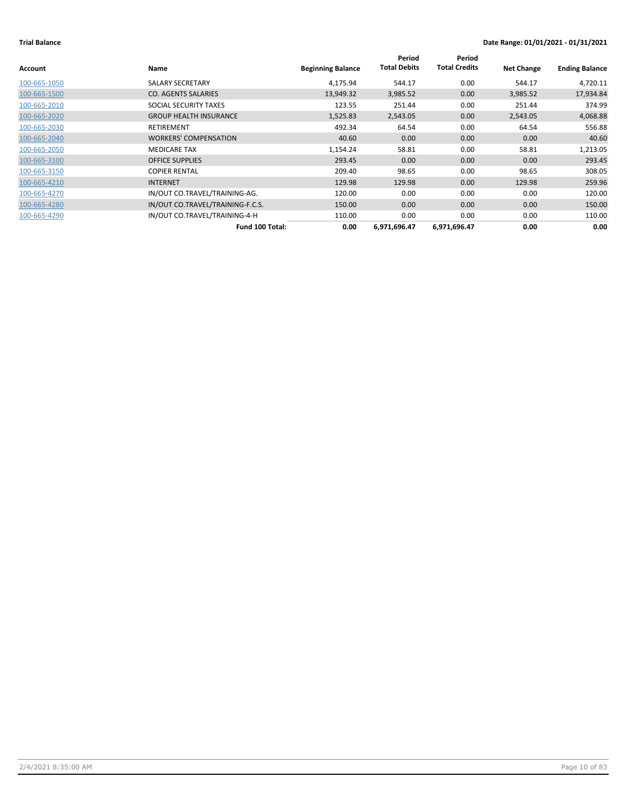| Account      | Name                             | <b>Beginning Balance</b> | Period<br><b>Total Debits</b> | Period<br><b>Total Credits</b> | <b>Net Change</b> | <b>Ending Balance</b> |
|--------------|----------------------------------|--------------------------|-------------------------------|--------------------------------|-------------------|-----------------------|
| 100-665-1050 | SALARY SECRETARY                 | 4,175.94                 | 544.17                        | 0.00                           | 544.17            | 4,720.11              |
| 100-665-1500 | <b>CO. AGENTS SALARIES</b>       | 13,949.32                | 3,985.52                      | 0.00                           | 3,985.52          | 17,934.84             |
| 100-665-2010 | SOCIAL SECURITY TAXES            | 123.55                   | 251.44                        | 0.00                           | 251.44            | 374.99                |
| 100-665-2020 | <b>GROUP HEALTH INSURANCE</b>    | 1,525.83                 | 2,543.05                      | 0.00                           | 2,543.05          | 4,068.88              |
| 100-665-2030 | <b>RETIREMENT</b>                | 492.34                   | 64.54                         | 0.00                           | 64.54             | 556.88                |
| 100-665-2040 | <b>WORKERS' COMPENSATION</b>     | 40.60                    | 0.00                          | 0.00                           | 0.00              | 40.60                 |
| 100-665-2050 | <b>MEDICARE TAX</b>              | 1,154.24                 | 58.81                         | 0.00                           | 58.81             | 1,213.05              |
| 100-665-3100 | <b>OFFICE SUPPLIES</b>           | 293.45                   | 0.00                          | 0.00                           | 0.00              | 293.45                |
| 100-665-3150 | <b>COPIER RENTAL</b>             | 209.40                   | 98.65                         | 0.00                           | 98.65             | 308.05                |
| 100-665-4210 | <b>INTERNET</b>                  | 129.98                   | 129.98                        | 0.00                           | 129.98            | 259.96                |
| 100-665-4270 | IN/OUT CO.TRAVEL/TRAINING-AG.    | 120.00                   | 0.00                          | 0.00                           | 0.00              | 120.00                |
| 100-665-4280 | IN/OUT CO.TRAVEL/TRAINING-F.C.S. | 150.00                   | 0.00                          | 0.00                           | 0.00              | 150.00                |
| 100-665-4290 | IN/OUT CO.TRAVEL/TRAINING-4-H    | 110.00                   | 0.00                          | 0.00                           | 0.00              | 110.00                |
|              | Fund 100 Total:                  | 0.00                     | 6,971,696.47                  | 6,971,696.47                   | 0.00              | 0.00                  |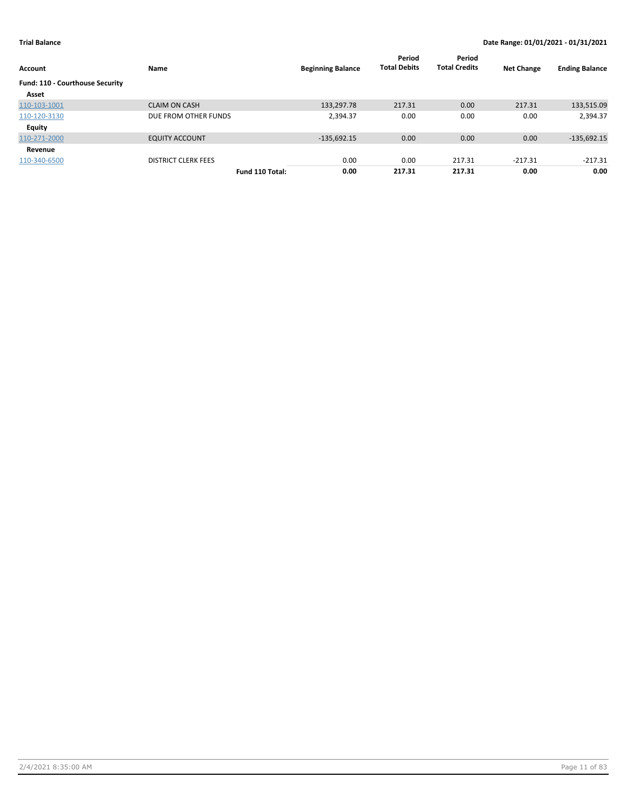| Account                         | Name                       |                 | <b>Beginning Balance</b> | Period<br><b>Total Debits</b> | Period<br><b>Total Credits</b> | <b>Net Change</b> | <b>Ending Balance</b> |
|---------------------------------|----------------------------|-----------------|--------------------------|-------------------------------|--------------------------------|-------------------|-----------------------|
| Fund: 110 - Courthouse Security |                            |                 |                          |                               |                                |                   |                       |
| Asset                           |                            |                 |                          |                               |                                |                   |                       |
| 110-103-1001                    | <b>CLAIM ON CASH</b>       |                 | 133,297.78               | 217.31                        | 0.00                           | 217.31            | 133,515.09            |
| 110-120-3130                    | DUE FROM OTHER FUNDS       |                 | 2,394.37                 | 0.00                          | 0.00                           | 0.00              | 2,394.37              |
| Equity                          |                            |                 |                          |                               |                                |                   |                       |
| 110-271-2000                    | <b>EQUITY ACCOUNT</b>      |                 | $-135,692.15$            | 0.00                          | 0.00                           | 0.00              | $-135,692.15$         |
| Revenue                         |                            |                 |                          |                               |                                |                   |                       |
| 110-340-6500                    | <b>DISTRICT CLERK FEES</b> |                 | 0.00                     | 0.00                          | 217.31                         | $-217.31$         | -217.31               |
|                                 |                            | Fund 110 Total: | 0.00                     | 217.31                        | 217.31                         | 0.00              | 0.00                  |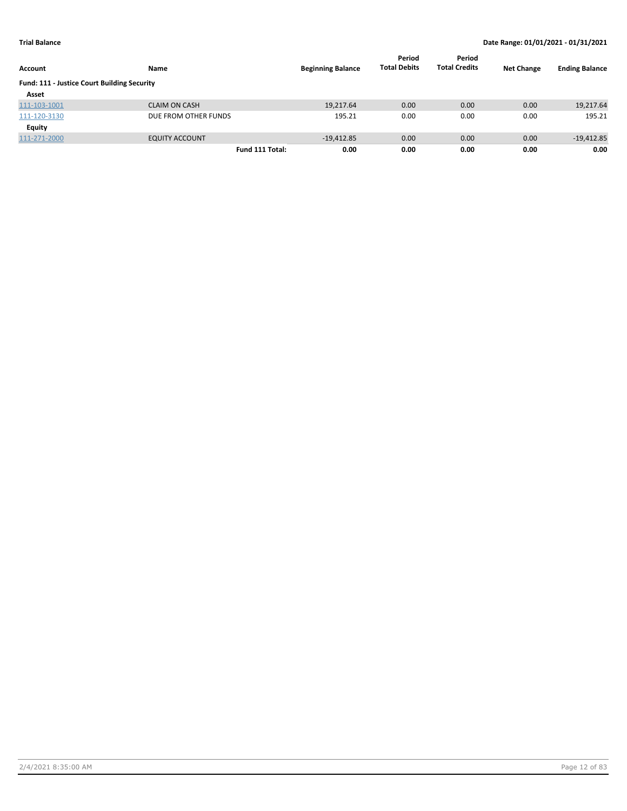| Account                                            | Name                  | <b>Beginning Balance</b> | Period<br><b>Total Debits</b> | Period<br><b>Total Credits</b> | <b>Net Change</b> | <b>Ending Balance</b> |
|----------------------------------------------------|-----------------------|--------------------------|-------------------------------|--------------------------------|-------------------|-----------------------|
| <b>Fund: 111 - Justice Court Building Security</b> |                       |                          |                               |                                |                   |                       |
| Asset                                              |                       |                          |                               |                                |                   |                       |
| 111-103-1001                                       | <b>CLAIM ON CASH</b>  | 19,217.64                | 0.00                          | 0.00                           | 0.00              | 19,217.64             |
| 111-120-3130                                       | DUE FROM OTHER FUNDS  | 195.21                   | 0.00                          | 0.00                           | 0.00              | 195.21                |
| Equity                                             |                       |                          |                               |                                |                   |                       |
| 111-271-2000                                       | <b>EQUITY ACCOUNT</b> | $-19,412.85$             | 0.00                          | 0.00                           | 0.00              | $-19,412.85$          |
|                                                    | Fund 111 Total:       | 0.00                     | 0.00                          | 0.00                           | 0.00              | 0.00                  |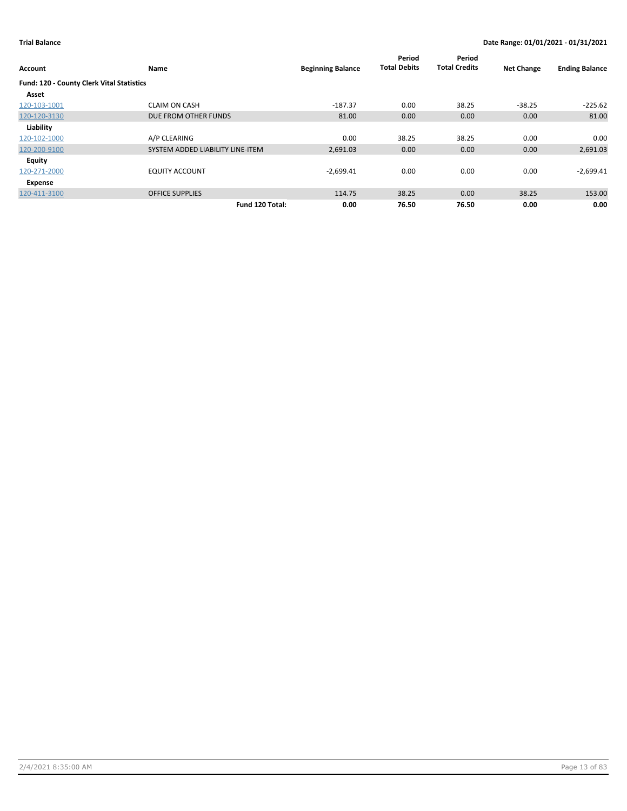| Account                                   | Name                             | <b>Beginning Balance</b> | Period<br><b>Total Debits</b> | Period<br><b>Total Credits</b> | <b>Net Change</b> | <b>Ending Balance</b> |
|-------------------------------------------|----------------------------------|--------------------------|-------------------------------|--------------------------------|-------------------|-----------------------|
| Fund: 120 - County Clerk Vital Statistics |                                  |                          |                               |                                |                   |                       |
| Asset                                     |                                  |                          |                               |                                |                   |                       |
| 120-103-1001                              | <b>CLAIM ON CASH</b>             | $-187.37$                | 0.00                          | 38.25                          | $-38.25$          | $-225.62$             |
| 120-120-3130                              | DUE FROM OTHER FUNDS             | 81.00                    | 0.00                          | 0.00                           | 0.00              | 81.00                 |
| Liability                                 |                                  |                          |                               |                                |                   |                       |
| 120-102-1000                              | A/P CLEARING                     | 0.00                     | 38.25                         | 38.25                          | 0.00              | 0.00                  |
| 120-200-9100                              | SYSTEM ADDED LIABILITY LINE-ITEM | 2,691.03                 | 0.00                          | 0.00                           | 0.00              | 2,691.03              |
| Equity                                    |                                  |                          |                               |                                |                   |                       |
| 120-271-2000                              | <b>EQUITY ACCOUNT</b>            | $-2,699.41$              | 0.00                          | 0.00                           | 0.00              | $-2,699.41$           |
| Expense                                   |                                  |                          |                               |                                |                   |                       |
| 120-411-3100                              | <b>OFFICE SUPPLIES</b>           | 114.75                   | 38.25                         | 0.00                           | 38.25             | 153.00                |
|                                           | Fund 120 Total:                  | 0.00                     | 76.50                         | 76.50                          | 0.00              | 0.00                  |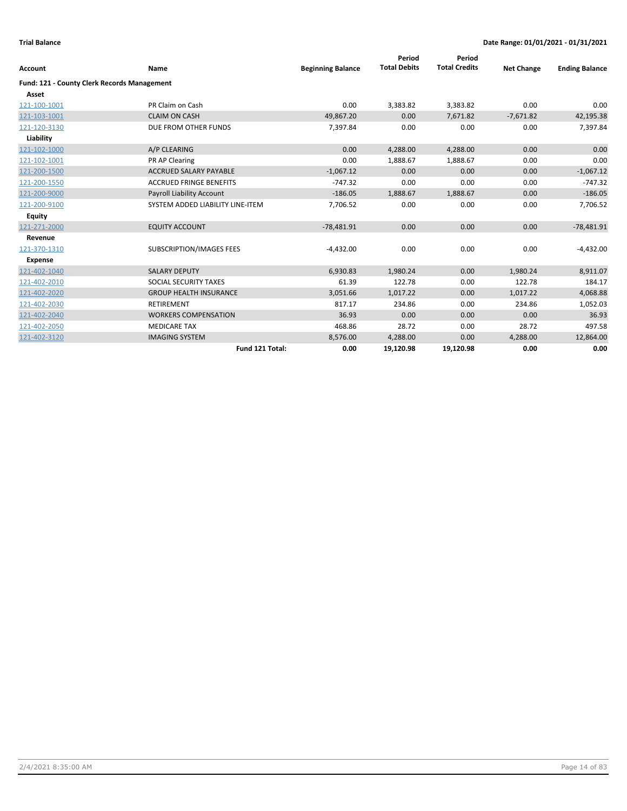| <b>Account</b>                              | Name                             | <b>Beginning Balance</b> | Period<br><b>Total Debits</b> | Period<br><b>Total Credits</b> | <b>Net Change</b> | <b>Ending Balance</b> |
|---------------------------------------------|----------------------------------|--------------------------|-------------------------------|--------------------------------|-------------------|-----------------------|
| Fund: 121 - County Clerk Records Management |                                  |                          |                               |                                |                   |                       |
| Asset                                       |                                  |                          |                               |                                |                   |                       |
| 121-100-1001                                | PR Claim on Cash                 | 0.00                     | 3,383.82                      | 3,383.82                       | 0.00              | 0.00                  |
| 121-103-1001                                | <b>CLAIM ON CASH</b>             | 49,867.20                | 0.00                          | 7,671.82                       | $-7,671.82$       | 42,195.38             |
| 121-120-3130                                | DUE FROM OTHER FUNDS             | 7,397.84                 | 0.00                          | 0.00                           | 0.00              | 7,397.84              |
| Liability                                   |                                  |                          |                               |                                |                   |                       |
| 121-102-1000                                | A/P CLEARING                     | 0.00                     | 4,288.00                      | 4,288.00                       | 0.00              | 0.00                  |
| 121-102-1001                                | PR AP Clearing                   | 0.00                     | 1,888.67                      | 1,888.67                       | 0.00              | 0.00                  |
| 121-200-1500                                | <b>ACCRUED SALARY PAYABLE</b>    | $-1,067.12$              | 0.00                          | 0.00                           | 0.00              | $-1,067.12$           |
| 121-200-1550                                | <b>ACCRUED FRINGE BENEFITS</b>   | $-747.32$                | 0.00                          | 0.00                           | 0.00              | $-747.32$             |
| 121-200-9000                                | Payroll Liability Account        | $-186.05$                | 1,888.67                      | 1,888.67                       | 0.00              | $-186.05$             |
| 121-200-9100                                | SYSTEM ADDED LIABILITY LINE-ITEM | 7,706.52                 | 0.00                          | 0.00                           | 0.00              | 7,706.52              |
| Equity                                      |                                  |                          |                               |                                |                   |                       |
| 121-271-2000                                | <b>EQUITY ACCOUNT</b>            | $-78,481.91$             | 0.00                          | 0.00                           | 0.00              | $-78,481.91$          |
| Revenue                                     |                                  |                          |                               |                                |                   |                       |
| 121-370-1310                                | SUBSCRIPTION/IMAGES FEES         | $-4,432.00$              | 0.00                          | 0.00                           | 0.00              | $-4,432.00$           |
| <b>Expense</b>                              |                                  |                          |                               |                                |                   |                       |
| 121-402-1040                                | <b>SALARY DEPUTY</b>             | 6,930.83                 | 1,980.24                      | 0.00                           | 1,980.24          | 8,911.07              |
| 121-402-2010                                | SOCIAL SECURITY TAXES            | 61.39                    | 122.78                        | 0.00                           | 122.78            | 184.17                |
| 121-402-2020                                | <b>GROUP HEALTH INSURANCE</b>    | 3,051.66                 | 1,017.22                      | 0.00                           | 1,017.22          | 4,068.88              |
| 121-402-2030                                | <b>RETIREMENT</b>                | 817.17                   | 234.86                        | 0.00                           | 234.86            | 1,052.03              |
| 121-402-2040                                | <b>WORKERS COMPENSATION</b>      | 36.93                    | 0.00                          | 0.00                           | 0.00              | 36.93                 |
| 121-402-2050                                | <b>MEDICARE TAX</b>              | 468.86                   | 28.72                         | 0.00                           | 28.72             | 497.58                |
| 121-402-3120                                | <b>IMAGING SYSTEM</b>            | 8,576.00                 | 4,288.00                      | 0.00                           | 4,288.00          | 12,864.00             |
|                                             | Fund 121 Total:                  | 0.00                     | 19,120.98                     | 19,120.98                      | 0.00              | 0.00                  |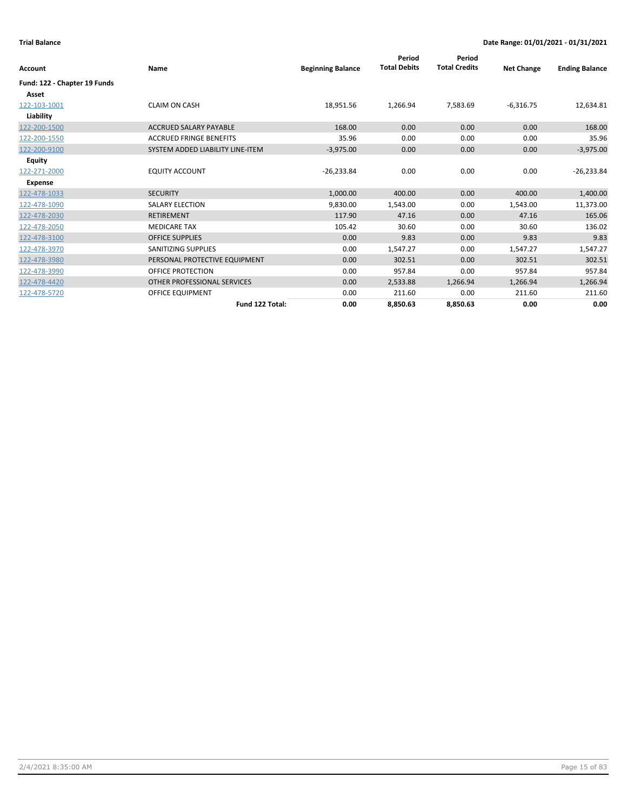| Account                      | Name                             | <b>Beginning Balance</b> | Period<br><b>Total Debits</b> | Period<br><b>Total Credits</b> | <b>Net Change</b> | <b>Ending Balance</b> |
|------------------------------|----------------------------------|--------------------------|-------------------------------|--------------------------------|-------------------|-----------------------|
| Fund: 122 - Chapter 19 Funds |                                  |                          |                               |                                |                   |                       |
| Asset                        |                                  |                          |                               |                                |                   |                       |
| 122-103-1001                 | <b>CLAIM ON CASH</b>             | 18,951.56                | 1,266.94                      | 7,583.69                       | $-6,316.75$       | 12,634.81             |
| Liability                    |                                  |                          |                               |                                |                   |                       |
| 122-200-1500                 | <b>ACCRUED SALARY PAYABLE</b>    | 168.00                   | 0.00                          | 0.00                           | 0.00              | 168.00                |
| 122-200-1550                 | <b>ACCRUED FRINGE BENEFITS</b>   | 35.96                    | 0.00                          | 0.00                           | 0.00              | 35.96                 |
| 122-200-9100                 | SYSTEM ADDED LIABILITY LINE-ITEM | $-3,975.00$              | 0.00                          | 0.00                           | 0.00              | $-3,975.00$           |
| Equity                       |                                  |                          |                               |                                |                   |                       |
| 122-271-2000                 | <b>EQUITY ACCOUNT</b>            | $-26,233.84$             | 0.00                          | 0.00                           | 0.00              | $-26,233.84$          |
| Expense                      |                                  |                          |                               |                                |                   |                       |
| 122-478-1033                 | <b>SECURITY</b>                  | 1,000.00                 | 400.00                        | 0.00                           | 400.00            | 1,400.00              |
| 122-478-1090                 | <b>SALARY ELECTION</b>           | 9,830.00                 | 1,543.00                      | 0.00                           | 1,543.00          | 11,373.00             |
| 122-478-2030                 | <b>RETIREMENT</b>                | 117.90                   | 47.16                         | 0.00                           | 47.16             | 165.06                |
| 122-478-2050                 | <b>MEDICARE TAX</b>              | 105.42                   | 30.60                         | 0.00                           | 30.60             | 136.02                |
| 122-478-3100                 | <b>OFFICE SUPPLIES</b>           | 0.00                     | 9.83                          | 0.00                           | 9.83              | 9.83                  |
| 122-478-3970                 | <b>SANITIZING SUPPLIES</b>       | 0.00                     | 1,547.27                      | 0.00                           | 1,547.27          | 1,547.27              |
| 122-478-3980                 | PERSONAL PROTECTIVE EQUIPMENT    | 0.00                     | 302.51                        | 0.00                           | 302.51            | 302.51                |
| 122-478-3990                 | OFFICE PROTECTION                | 0.00                     | 957.84                        | 0.00                           | 957.84            | 957.84                |
| 122-478-4420                 | OTHER PROFESSIONAL SERVICES      | 0.00                     | 2,533.88                      | 1,266.94                       | 1,266.94          | 1,266.94              |
| 122-478-5720                 | <b>OFFICE EQUIPMENT</b>          | 0.00                     | 211.60                        | 0.00                           | 211.60            | 211.60                |
|                              | Fund 122 Total:                  | 0.00                     | 8,850.63                      | 8,850.63                       | 0.00              | 0.00                  |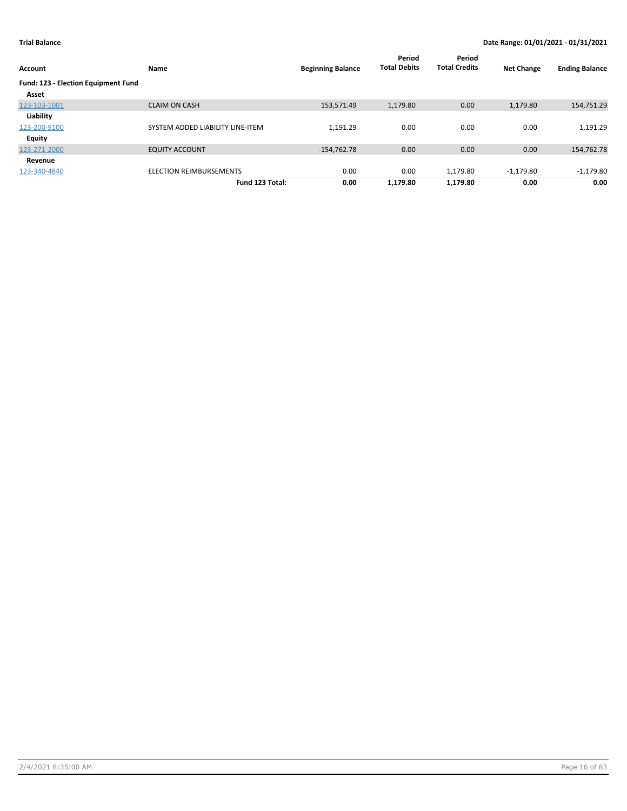| Account                             | Name                             | <b>Beginning Balance</b> | Period<br><b>Total Debits</b> | Period<br><b>Total Credits</b> | <b>Net Change</b> | <b>Ending Balance</b> |
|-------------------------------------|----------------------------------|--------------------------|-------------------------------|--------------------------------|-------------------|-----------------------|
| Fund: 123 - Election Equipment Fund |                                  |                          |                               |                                |                   |                       |
| Asset                               |                                  |                          |                               |                                |                   |                       |
| 123-103-1001                        | <b>CLAIM ON CASH</b>             | 153,571.49               | 1,179.80                      | 0.00                           | 1,179.80          | 154,751.29            |
| Liability                           |                                  |                          |                               |                                |                   |                       |
| 123-200-9100                        | SYSTEM ADDED LIABILITY LINE-ITEM | 1,191.29                 | 0.00                          | 0.00                           | 0.00              | 1,191.29              |
| Equity                              |                                  |                          |                               |                                |                   |                       |
| 123-271-2000                        | <b>EQUITY ACCOUNT</b>            | $-154,762.78$            | 0.00                          | 0.00                           | 0.00              | $-154,762.78$         |
| Revenue                             |                                  |                          |                               |                                |                   |                       |
| 123-340-4840                        | ELECTION REIMBURSEMENTS          | 0.00                     | 0.00                          | 1,179.80                       | $-1,179.80$       | $-1,179.80$           |
|                                     | Fund 123 Total:                  | 0.00                     | 1,179.80                      | 1,179.80                       | 0.00              | 0.00                  |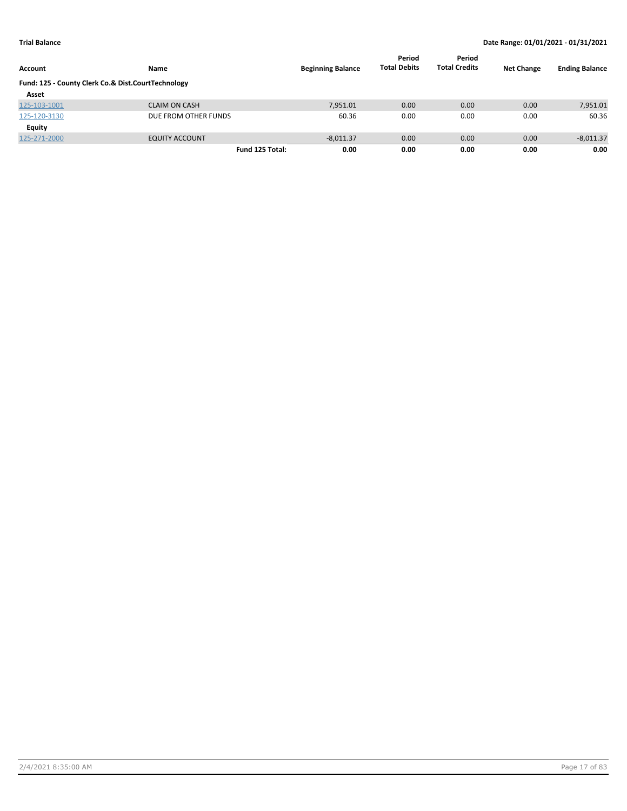| Account                                            | <b>Name</b>           | <b>Beginning Balance</b> | Period<br><b>Total Debits</b> | Period<br><b>Total Credits</b> | <b>Net Change</b> | <b>Ending Balance</b> |
|----------------------------------------------------|-----------------------|--------------------------|-------------------------------|--------------------------------|-------------------|-----------------------|
| Fund: 125 - County Clerk Co.& Dist.CourtTechnology |                       |                          |                               |                                |                   |                       |
| Asset                                              |                       |                          |                               |                                |                   |                       |
| 125-103-1001                                       | <b>CLAIM ON CASH</b>  | 7,951.01                 | 0.00                          | 0.00                           | 0.00              | 7,951.01              |
| 125-120-3130                                       | DUE FROM OTHER FUNDS  | 60.36                    | 0.00                          | 0.00                           | 0.00              | 60.36                 |
| <b>Equity</b>                                      |                       |                          |                               |                                |                   |                       |
| 125-271-2000                                       | <b>EQUITY ACCOUNT</b> | $-8,011.37$              | 0.00                          | 0.00                           | 0.00              | $-8,011.37$           |
|                                                    | Fund 125 Total:       | 0.00                     | 0.00                          | 0.00                           | 0.00              | 0.00                  |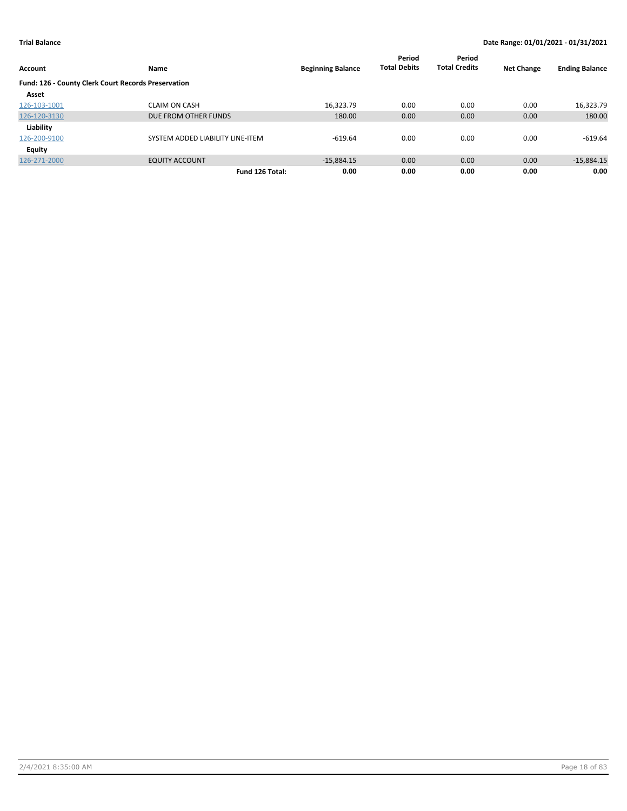| Account                                             | Name                             | <b>Beginning Balance</b> | Period<br><b>Total Debits</b> | Period<br><b>Total Credits</b> | <b>Net Change</b> | <b>Ending Balance</b> |
|-----------------------------------------------------|----------------------------------|--------------------------|-------------------------------|--------------------------------|-------------------|-----------------------|
| Fund: 126 - County Clerk Court Records Preservation |                                  |                          |                               |                                |                   |                       |
| Asset                                               |                                  |                          |                               |                                |                   |                       |
| 126-103-1001                                        | <b>CLAIM ON CASH</b>             | 16,323.79                | 0.00                          | 0.00                           | 0.00              | 16,323.79             |
| 126-120-3130                                        | DUE FROM OTHER FUNDS             | 180.00                   | 0.00                          | 0.00                           | 0.00              | 180.00                |
| Liability                                           |                                  |                          |                               |                                |                   |                       |
| 126-200-9100                                        | SYSTEM ADDED LIABILITY LINE-ITEM | $-619.64$                | 0.00                          | 0.00                           | 0.00              | $-619.64$             |
| <b>Equity</b>                                       |                                  |                          |                               |                                |                   |                       |
| 126-271-2000                                        | <b>EQUITY ACCOUNT</b>            | $-15.884.15$             | 0.00                          | 0.00                           | 0.00              | $-15,884.15$          |
|                                                     | Fund 126 Total:                  | 0.00                     | 0.00                          | 0.00                           | 0.00              | 0.00                  |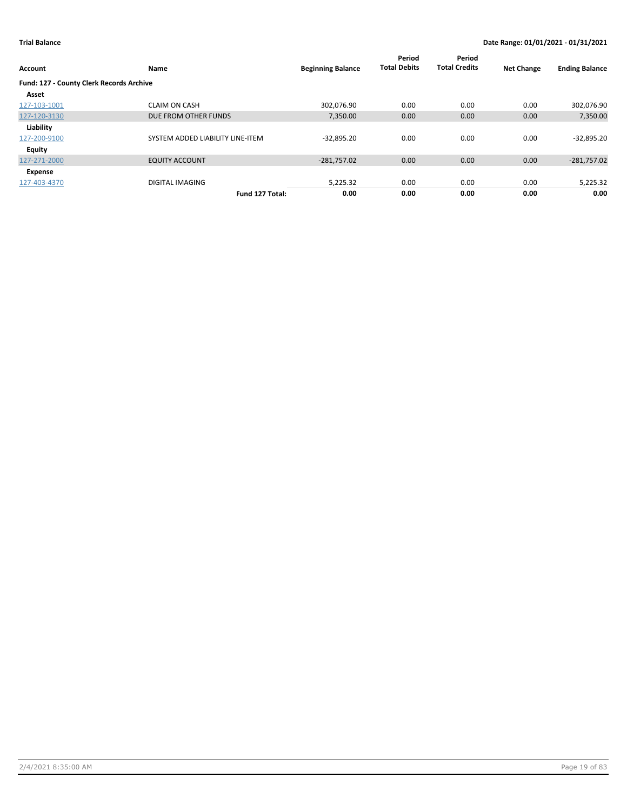| Account                                         | Name                             | <b>Beginning Balance</b> | Period<br><b>Total Debits</b> | Period<br><b>Total Credits</b> | <b>Net Change</b> | <b>Ending Balance</b> |
|-------------------------------------------------|----------------------------------|--------------------------|-------------------------------|--------------------------------|-------------------|-----------------------|
| <b>Fund: 127 - County Clerk Records Archive</b> |                                  |                          |                               |                                |                   |                       |
| Asset                                           |                                  |                          |                               |                                |                   |                       |
| 127-103-1001                                    | <b>CLAIM ON CASH</b>             | 302.076.90               | 0.00                          | 0.00                           | 0.00              | 302,076.90            |
| 127-120-3130                                    | DUE FROM OTHER FUNDS             | 7,350.00                 | 0.00                          | 0.00                           | 0.00              | 7,350.00              |
| Liability                                       |                                  |                          |                               |                                |                   |                       |
| 127-200-9100                                    | SYSTEM ADDED LIABILITY LINE-ITEM | $-32,895.20$             | 0.00                          | 0.00                           | 0.00              | $-32,895.20$          |
| Equity                                          |                                  |                          |                               |                                |                   |                       |
| 127-271-2000                                    | <b>EQUITY ACCOUNT</b>            | $-281,757.02$            | 0.00                          | 0.00                           | 0.00              | $-281,757.02$         |
| Expense                                         |                                  |                          |                               |                                |                   |                       |
| 127-403-4370                                    | <b>DIGITAL IMAGING</b>           | 5,225.32                 | 0.00                          | 0.00                           | 0.00              | 5,225.32              |
|                                                 | Fund 127 Total:                  | 0.00                     | 0.00                          | 0.00                           | 0.00              | 0.00                  |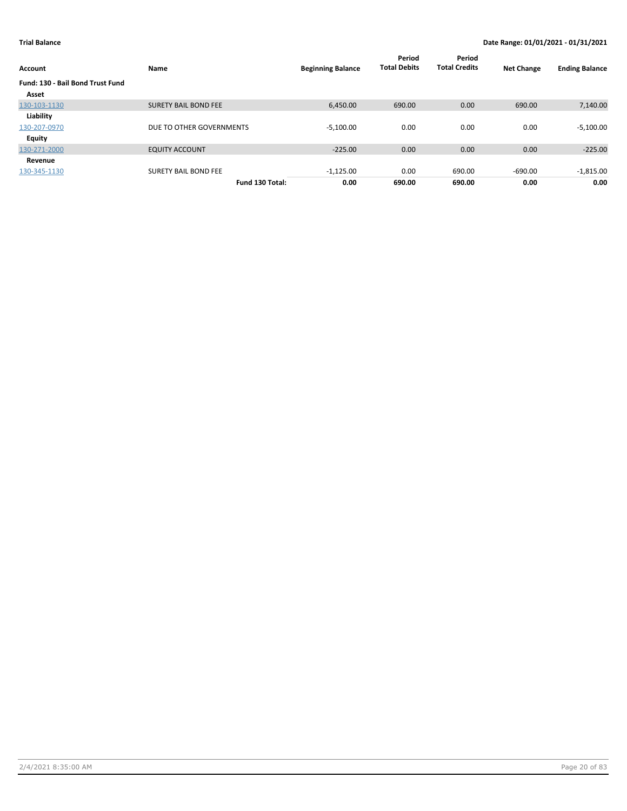| Account                                 | Name                        | <b>Beginning Balance</b> | Period<br><b>Total Debits</b> | Period<br><b>Total Credits</b> | <b>Net Change</b> | <b>Ending Balance</b> |
|-----------------------------------------|-----------------------------|--------------------------|-------------------------------|--------------------------------|-------------------|-----------------------|
| <b>Fund: 130 - Bail Bond Trust Fund</b> |                             |                          |                               |                                |                   |                       |
| Asset                                   |                             |                          |                               |                                |                   |                       |
| 130-103-1130                            | <b>SURETY BAIL BOND FEE</b> | 6.450.00                 | 690.00                        | 0.00                           | 690.00            | 7,140.00              |
| Liability                               |                             |                          |                               |                                |                   |                       |
| 130-207-0970                            | DUE TO OTHER GOVERNMENTS    | $-5,100.00$              | 0.00                          | 0.00                           | 0.00              | $-5,100.00$           |
| <b>Equity</b>                           |                             |                          |                               |                                |                   |                       |
| 130-271-2000                            | <b>EQUITY ACCOUNT</b>       | $-225.00$                | 0.00                          | 0.00                           | 0.00              | $-225.00$             |
| Revenue                                 |                             |                          |                               |                                |                   |                       |
| 130-345-1130                            | <b>SURETY BAIL BOND FEE</b> | $-1,125.00$              | 0.00                          | 690.00                         | $-690.00$         | $-1,815.00$           |
|                                         | Fund 130 Total:             | 0.00                     | 690.00                        | 690.00                         | 0.00              | 0.00                  |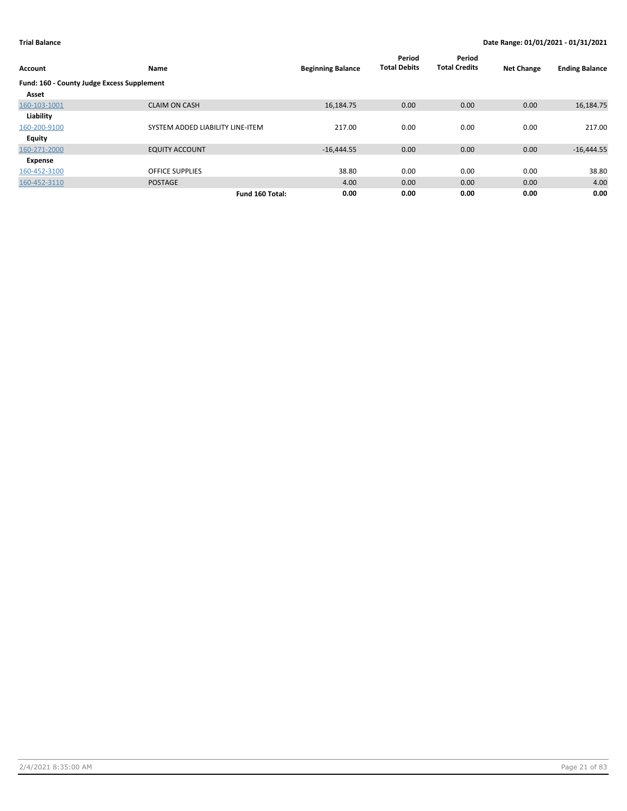| Account                                    | Name                             | <b>Beginning Balance</b> | Period<br><b>Total Debits</b> | Period<br><b>Total Credits</b> | <b>Net Change</b> | <b>Ending Balance</b> |
|--------------------------------------------|----------------------------------|--------------------------|-------------------------------|--------------------------------|-------------------|-----------------------|
| Fund: 160 - County Judge Excess Supplement |                                  |                          |                               |                                |                   |                       |
| Asset                                      |                                  |                          |                               |                                |                   |                       |
| 160-103-1001                               | <b>CLAIM ON CASH</b>             | 16,184.75                | 0.00                          | 0.00                           | 0.00              | 16,184.75             |
| Liability                                  |                                  |                          |                               |                                |                   |                       |
| 160-200-9100                               | SYSTEM ADDED LIABILITY LINE-ITEM | 217.00                   | 0.00                          | 0.00                           | 0.00              | 217.00                |
| Equity                                     |                                  |                          |                               |                                |                   |                       |
| 160-271-2000                               | <b>EQUITY ACCOUNT</b>            | $-16,444.55$             | 0.00                          | 0.00                           | 0.00              | $-16,444.55$          |
| Expense                                    |                                  |                          |                               |                                |                   |                       |
| 160-452-3100                               | <b>OFFICE SUPPLIES</b>           | 38.80                    | 0.00                          | 0.00                           | 0.00              | 38.80                 |
| 160-452-3110                               | <b>POSTAGE</b>                   | 4.00                     | 0.00                          | 0.00                           | 0.00              | 4.00                  |
|                                            | Fund 160 Total:                  | 0.00                     | 0.00                          | 0.00                           | 0.00              | 0.00                  |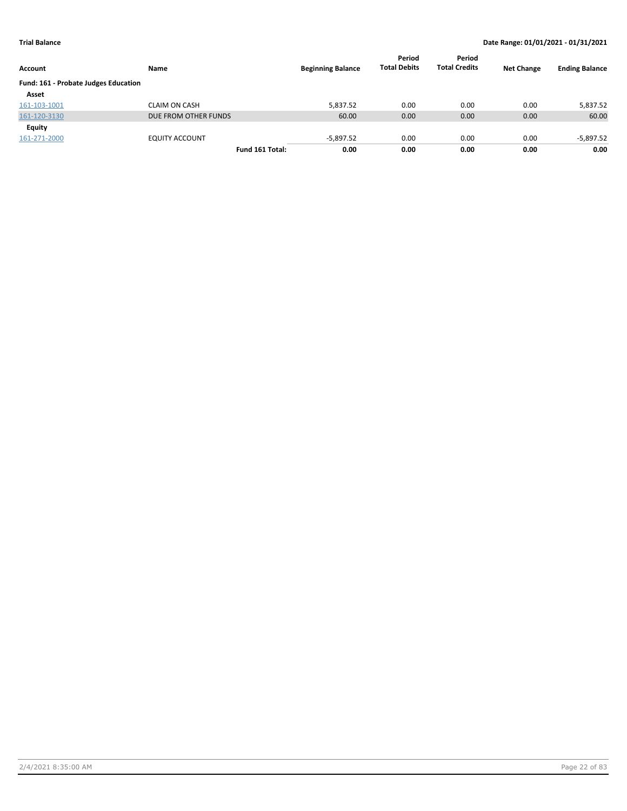| Account                              | Name                  | <b>Beginning Balance</b> | Period<br><b>Total Debits</b> | Period<br><b>Total Credits</b> | <b>Net Change</b> | <b>Ending Balance</b> |
|--------------------------------------|-----------------------|--------------------------|-------------------------------|--------------------------------|-------------------|-----------------------|
| Fund: 161 - Probate Judges Education |                       |                          |                               |                                |                   |                       |
| Asset                                |                       |                          |                               |                                |                   |                       |
| 161-103-1001                         | <b>CLAIM ON CASH</b>  | 5.837.52                 | 0.00                          | 0.00                           | 0.00              | 5,837.52              |
| 161-120-3130                         | DUE FROM OTHER FUNDS  | 60.00                    | 0.00                          | 0.00                           | 0.00              | 60.00                 |
| Equity                               |                       |                          |                               |                                |                   |                       |
| 161-271-2000                         | <b>EQUITY ACCOUNT</b> | $-5,897.52$              | 0.00                          | 0.00                           | 0.00              | $-5,897.52$           |
|                                      | Fund 161 Total:       | 0.00                     | 0.00                          | 0.00                           | 0.00              | 0.00                  |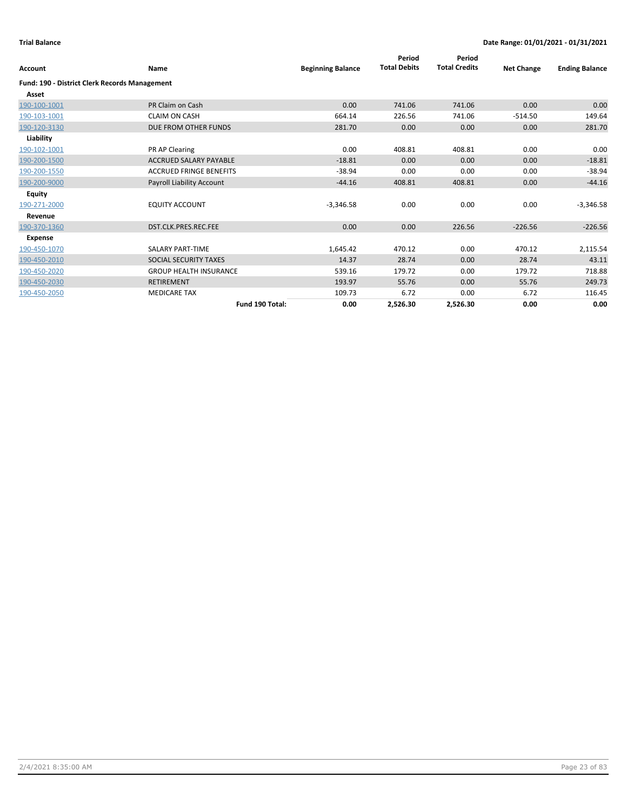| <b>Account</b>                                       | Name                           | <b>Beginning Balance</b> | Period<br><b>Total Debits</b> | Period<br><b>Total Credits</b> | <b>Net Change</b> | <b>Ending Balance</b> |
|------------------------------------------------------|--------------------------------|--------------------------|-------------------------------|--------------------------------|-------------------|-----------------------|
| <b>Fund: 190 - District Clerk Records Management</b> |                                |                          |                               |                                |                   |                       |
| Asset                                                |                                |                          |                               |                                |                   |                       |
| 190-100-1001                                         | PR Claim on Cash               | 0.00                     | 741.06                        | 741.06                         | 0.00              | 0.00                  |
| 190-103-1001                                         | <b>CLAIM ON CASH</b>           | 664.14                   | 226.56                        | 741.06                         | $-514.50$         | 149.64                |
| 190-120-3130                                         | DUE FROM OTHER FUNDS           | 281.70                   | 0.00                          | 0.00                           | 0.00              | 281.70                |
| Liability                                            |                                |                          |                               |                                |                   |                       |
| 190-102-1001                                         | PR AP Clearing                 | 0.00                     | 408.81                        | 408.81                         | 0.00              | 0.00                  |
| 190-200-1500                                         | <b>ACCRUED SALARY PAYABLE</b>  | $-18.81$                 | 0.00                          | 0.00                           | 0.00              | $-18.81$              |
| 190-200-1550                                         | <b>ACCRUED FRINGE BENEFITS</b> | $-38.94$                 | 0.00                          | 0.00                           | 0.00              | $-38.94$              |
| 190-200-9000                                         | Payroll Liability Account      | $-44.16$                 | 408.81                        | 408.81                         | 0.00              | $-44.16$              |
| Equity                                               |                                |                          |                               |                                |                   |                       |
| 190-271-2000                                         | <b>EQUITY ACCOUNT</b>          | $-3,346.58$              | 0.00                          | 0.00                           | 0.00              | $-3,346.58$           |
| Revenue                                              |                                |                          |                               |                                |                   |                       |
| 190-370-1360                                         | DST.CLK.PRES.REC.FEE           | 0.00                     | 0.00                          | 226.56                         | $-226.56$         | $-226.56$             |
| <b>Expense</b>                                       |                                |                          |                               |                                |                   |                       |
| 190-450-1070                                         | <b>SALARY PART-TIME</b>        | 1,645.42                 | 470.12                        | 0.00                           | 470.12            | 2,115.54              |
| 190-450-2010                                         | SOCIAL SECURITY TAXES          | 14.37                    | 28.74                         | 0.00                           | 28.74             | 43.11                 |
| 190-450-2020                                         | <b>GROUP HEALTH INSURANCE</b>  | 539.16                   | 179.72                        | 0.00                           | 179.72            | 718.88                |
| 190-450-2030                                         | <b>RETIREMENT</b>              | 193.97                   | 55.76                         | 0.00                           | 55.76             | 249.73                |
| 190-450-2050                                         | <b>MEDICARE TAX</b>            | 109.73                   | 6.72                          | 0.00                           | 6.72              | 116.45                |
|                                                      | Fund 190 Total:                | 0.00                     | 2,526.30                      | 2,526.30                       | 0.00              | 0.00                  |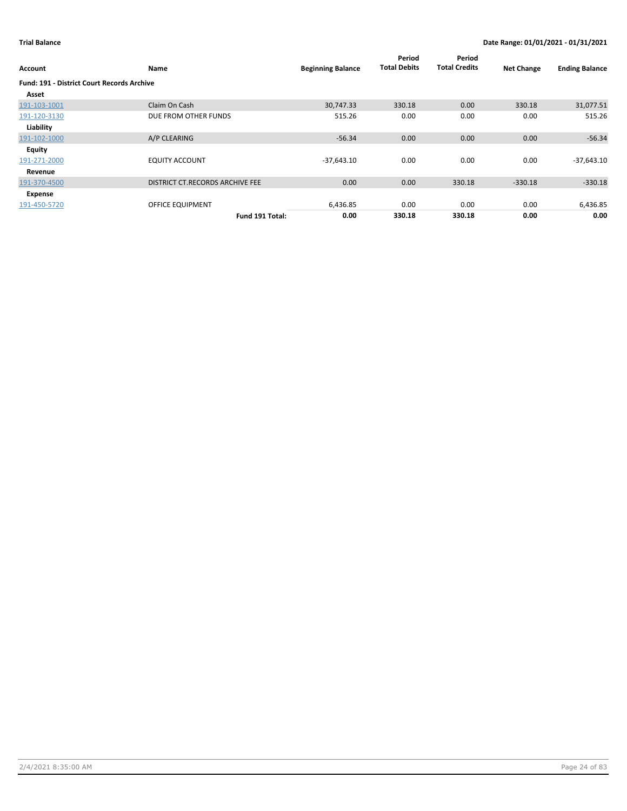| Account                                           | Name                            | <b>Beginning Balance</b> | Period<br><b>Total Debits</b> | Period<br><b>Total Credits</b> | <b>Net Change</b> | <b>Ending Balance</b> |
|---------------------------------------------------|---------------------------------|--------------------------|-------------------------------|--------------------------------|-------------------|-----------------------|
| <b>Fund: 191 - District Court Records Archive</b> |                                 |                          |                               |                                |                   |                       |
| Asset                                             |                                 |                          |                               |                                |                   |                       |
| 191-103-1001                                      | Claim On Cash                   | 30,747.33                | 330.18                        | 0.00                           | 330.18            | 31,077.51             |
| 191-120-3130                                      | DUE FROM OTHER FUNDS            | 515.26                   | 0.00                          | 0.00                           | 0.00              | 515.26                |
| Liability                                         |                                 |                          |                               |                                |                   |                       |
| 191-102-1000                                      | A/P CLEARING                    | $-56.34$                 | 0.00                          | 0.00                           | 0.00              | $-56.34$              |
| <b>Equity</b>                                     |                                 |                          |                               |                                |                   |                       |
| 191-271-2000                                      | <b>EQUITY ACCOUNT</b>           | $-37,643.10$             | 0.00                          | 0.00                           | 0.00              | $-37,643.10$          |
| Revenue                                           |                                 |                          |                               |                                |                   |                       |
| 191-370-4500                                      | DISTRICT CT.RECORDS ARCHIVE FEE | 0.00                     | 0.00                          | 330.18                         | $-330.18$         | $-330.18$             |
| Expense                                           |                                 |                          |                               |                                |                   |                       |
| 191-450-5720                                      | <b>OFFICE EQUIPMENT</b>         | 6,436.85                 | 0.00                          | 0.00                           | 0.00              | 6,436.85              |
|                                                   | Fund 191 Total:                 | 0.00                     | 330.18                        | 330.18                         | 0.00              | 0.00                  |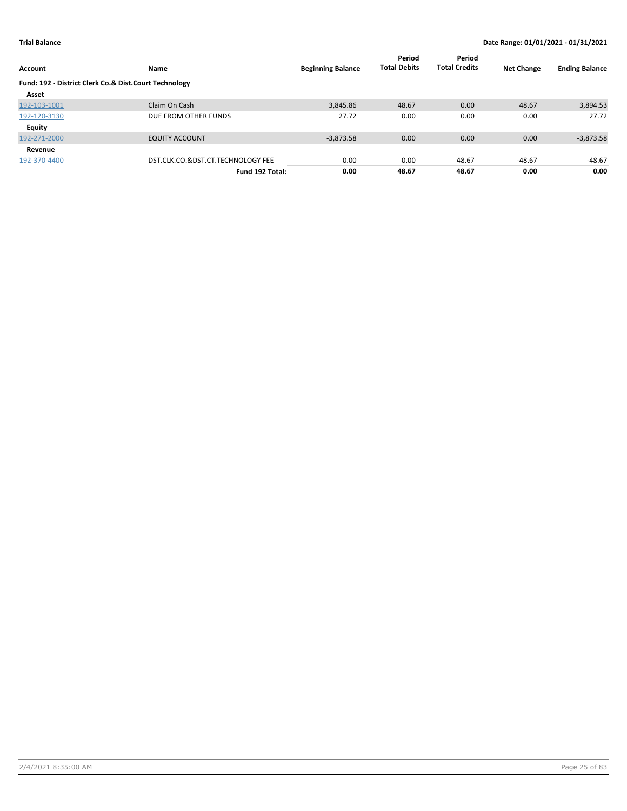| Account                                               | Name                              | <b>Beginning Balance</b> | Period<br><b>Total Debits</b> | Period<br><b>Total Credits</b> | <b>Net Change</b> | <b>Ending Balance</b> |
|-------------------------------------------------------|-----------------------------------|--------------------------|-------------------------------|--------------------------------|-------------------|-----------------------|
| Fund: 192 - District Clerk Co.& Dist.Court Technology |                                   |                          |                               |                                |                   |                       |
| Asset                                                 |                                   |                          |                               |                                |                   |                       |
| 192-103-1001                                          | Claim On Cash                     | 3,845.86                 | 48.67                         | 0.00                           | 48.67             | 3,894.53              |
| 192-120-3130                                          | DUE FROM OTHER FUNDS              | 27.72                    | 0.00                          | 0.00                           | 0.00              | 27.72                 |
| Equity                                                |                                   |                          |                               |                                |                   |                       |
| 192-271-2000                                          | <b>EQUITY ACCOUNT</b>             | $-3.873.58$              | 0.00                          | 0.00                           | 0.00              | $-3,873.58$           |
| Revenue                                               |                                   |                          |                               |                                |                   |                       |
| 192-370-4400                                          | DST.CLK.CO.&DST.CT.TECHNOLOGY FEE | 0.00                     | 0.00                          | 48.67                          | $-48.67$          | $-48.67$              |
|                                                       | Fund 192 Total:                   | 0.00                     | 48.67                         | 48.67                          | 0.00              | 0.00                  |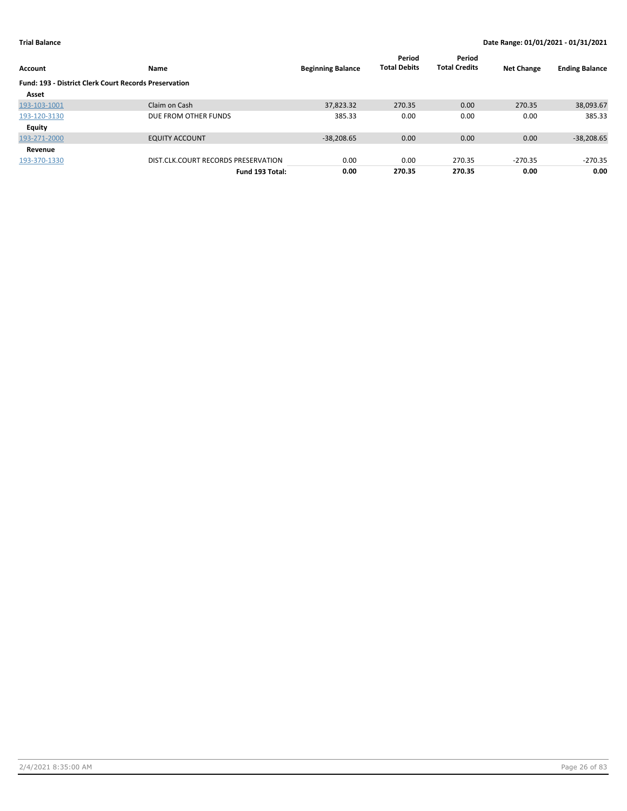| Account                                                      | Name                                | <b>Beginning Balance</b> | Period<br><b>Total Debits</b> | Period<br><b>Total Credits</b> | <b>Net Change</b> | <b>Ending Balance</b> |
|--------------------------------------------------------------|-------------------------------------|--------------------------|-------------------------------|--------------------------------|-------------------|-----------------------|
| <b>Fund: 193 - District Clerk Court Records Preservation</b> |                                     |                          |                               |                                |                   |                       |
| Asset                                                        |                                     |                          |                               |                                |                   |                       |
| 193-103-1001                                                 | Claim on Cash                       | 37,823.32                | 270.35                        | 0.00                           | 270.35            | 38,093.67             |
| 193-120-3130                                                 | DUE FROM OTHER FUNDS                | 385.33                   | 0.00                          | 0.00                           | 0.00              | 385.33                |
| Equity                                                       |                                     |                          |                               |                                |                   |                       |
| 193-271-2000                                                 | <b>EQUITY ACCOUNT</b>               | $-38.208.65$             | 0.00                          | 0.00                           | 0.00              | $-38,208.65$          |
| Revenue                                                      |                                     |                          |                               |                                |                   |                       |
| 193-370-1330                                                 | DIST.CLK.COURT RECORDS PRESERVATION | 0.00                     | 0.00                          | 270.35                         | $-270.35$         | $-270.35$             |
|                                                              | Fund 193 Total:                     | 0.00                     | 270.35                        | 270.35                         | 0.00              | 0.00                  |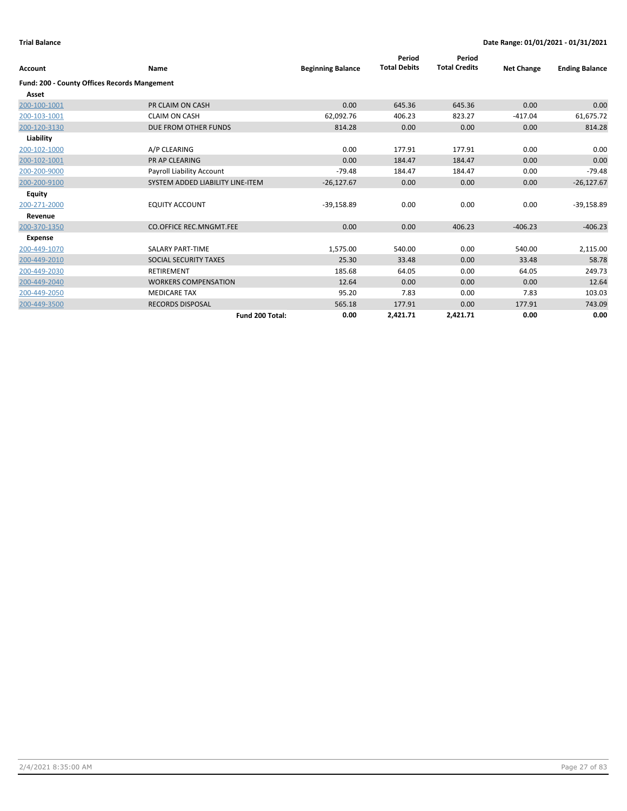| <b>Account</b>                                      | Name                             | <b>Beginning Balance</b> | Period<br><b>Total Debits</b> | Period<br><b>Total Credits</b> | <b>Net Change</b> | <b>Ending Balance</b> |
|-----------------------------------------------------|----------------------------------|--------------------------|-------------------------------|--------------------------------|-------------------|-----------------------|
| <b>Fund: 200 - County Offices Records Mangement</b> |                                  |                          |                               |                                |                   |                       |
| Asset                                               |                                  |                          |                               |                                |                   |                       |
| 200-100-1001                                        | PR CLAIM ON CASH                 | 0.00                     | 645.36                        | 645.36                         | 0.00              | 0.00                  |
| 200-103-1001                                        | <b>CLAIM ON CASH</b>             | 62,092.76                | 406.23                        | 823.27                         | $-417.04$         | 61,675.72             |
| 200-120-3130                                        | DUE FROM OTHER FUNDS             | 814.28                   | 0.00                          | 0.00                           | 0.00              | 814.28                |
| Liability                                           |                                  |                          |                               |                                |                   |                       |
| 200-102-1000                                        | A/P CLEARING                     | 0.00                     | 177.91                        | 177.91                         | 0.00              | 0.00                  |
| 200-102-1001                                        | PR AP CLEARING                   | 0.00                     | 184.47                        | 184.47                         | 0.00              | 0.00                  |
| 200-200-9000                                        | Payroll Liability Account        | $-79.48$                 | 184.47                        | 184.47                         | 0.00              | $-79.48$              |
| 200-200-9100                                        | SYSTEM ADDED LIABILITY LINE-ITEM | $-26,127.67$             | 0.00                          | 0.00                           | 0.00              | $-26,127.67$          |
| <b>Equity</b>                                       |                                  |                          |                               |                                |                   |                       |
| 200-271-2000                                        | <b>EQUITY ACCOUNT</b>            | $-39,158.89$             | 0.00                          | 0.00                           | 0.00              | $-39,158.89$          |
| Revenue                                             |                                  |                          |                               |                                |                   |                       |
| 200-370-1350                                        | <b>CO.OFFICE REC.MNGMT.FEE</b>   | 0.00                     | 0.00                          | 406.23                         | $-406.23$         | $-406.23$             |
| <b>Expense</b>                                      |                                  |                          |                               |                                |                   |                       |
| 200-449-1070                                        | <b>SALARY PART-TIME</b>          | 1,575.00                 | 540.00                        | 0.00                           | 540.00            | 2,115.00              |
| 200-449-2010                                        | SOCIAL SECURITY TAXES            | 25.30                    | 33.48                         | 0.00                           | 33.48             | 58.78                 |
| 200-449-2030                                        | <b>RETIREMENT</b>                | 185.68                   | 64.05                         | 0.00                           | 64.05             | 249.73                |
| 200-449-2040                                        | <b>WORKERS COMPENSATION</b>      | 12.64                    | 0.00                          | 0.00                           | 0.00              | 12.64                 |
| 200-449-2050                                        | <b>MEDICARE TAX</b>              | 95.20                    | 7.83                          | 0.00                           | 7.83              | 103.03                |
| 200-449-3500                                        | <b>RECORDS DISPOSAL</b>          | 565.18                   | 177.91                        | 0.00                           | 177.91            | 743.09                |
|                                                     | Fund 200 Total:                  | 0.00                     | 2,421.71                      | 2,421.71                       | 0.00              | 0.00                  |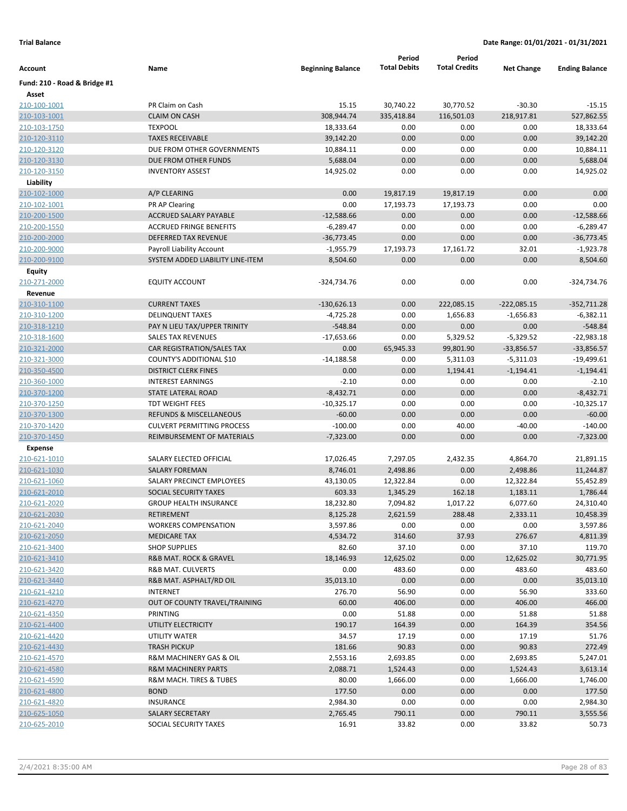|                              |                                   |                          | Period              | Period               |                   |                       |
|------------------------------|-----------------------------------|--------------------------|---------------------|----------------------|-------------------|-----------------------|
| Account                      | Name                              | <b>Beginning Balance</b> | <b>Total Debits</b> | <b>Total Credits</b> | <b>Net Change</b> | <b>Ending Balance</b> |
| Fund: 210 - Road & Bridge #1 |                                   |                          |                     |                      |                   |                       |
| Asset                        |                                   |                          |                     |                      |                   |                       |
| 210-100-1001                 | PR Claim on Cash                  | 15.15                    | 30,740.22           | 30,770.52            | $-30.30$          | $-15.15$              |
| 210-103-1001                 | <b>CLAIM ON CASH</b>              | 308,944.74               | 335,418.84          | 116,501.03           | 218,917.81        | 527,862.55            |
| 210-103-1750                 | <b>TEXPOOL</b>                    | 18,333.64                | 0.00                | 0.00                 | 0.00              | 18,333.64             |
| 210-120-3110                 | <b>TAXES RECEIVABLE</b>           | 39,142.20                | 0.00                | 0.00                 | 0.00              | 39,142.20             |
| 210-120-3120                 | DUE FROM OTHER GOVERNMENTS        | 10,884.11                | 0.00                | 0.00                 | 0.00              | 10,884.11             |
| 210-120-3130                 | DUE FROM OTHER FUNDS              | 5,688.04                 | 0.00                | 0.00                 | 0.00              | 5,688.04              |
| 210-120-3150                 | <b>INVENTORY ASSEST</b>           | 14,925.02                | 0.00                | 0.00                 | 0.00              | 14,925.02             |
| Liability                    |                                   |                          |                     |                      |                   |                       |
| 210-102-1000                 | A/P CLEARING                      | 0.00                     | 19,817.19           | 19,817.19            | 0.00              | 0.00                  |
| 210-102-1001                 | PR AP Clearing                    | 0.00                     | 17,193.73           | 17,193.73            | 0.00              | 0.00                  |
| 210-200-1500                 | ACCRUED SALARY PAYABLE            | $-12,588.66$             | 0.00                | 0.00                 | 0.00              | $-12,588.66$          |
| 210-200-1550                 | <b>ACCRUED FRINGE BENEFITS</b>    | $-6,289.47$              | 0.00                | 0.00                 | 0.00              | $-6,289.47$           |
| 210-200-2000                 | DEFERRED TAX REVENUE              | $-36,773.45$             | 0.00                | 0.00                 | 0.00              | $-36,773.45$          |
| 210-200-9000                 | Payroll Liability Account         | $-1,955.79$              | 17,193.73           | 17,161.72            | 32.01             | $-1,923.78$           |
| 210-200-9100                 | SYSTEM ADDED LIABILITY LINE-ITEM  | 8,504.60                 | 0.00                | 0.00                 | 0.00              | 8,504.60              |
| <b>Equity</b>                |                                   |                          |                     |                      |                   |                       |
| 210-271-2000                 | <b>EQUITY ACCOUNT</b>             | -324,734.76              | 0.00                | 0.00                 | 0.00              | -324,734.76           |
| Revenue                      |                                   |                          |                     |                      |                   |                       |
| 210-310-1100                 | <b>CURRENT TAXES</b>              | $-130,626.13$            | 0.00                | 222,085.15           | $-222,085.15$     | $-352,711.28$         |
| 210-310-1200                 | <b>DELINQUENT TAXES</b>           | $-4,725.28$              | 0.00                | 1,656.83             | $-1,656.83$       | $-6,382.11$           |
| <u>210-318-1210</u>          | PAY N LIEU TAX/UPPER TRINITY      | $-548.84$                | 0.00                | 0.00                 | 0.00              | $-548.84$             |
| 210-318-1600                 | <b>SALES TAX REVENUES</b>         | $-17,653.66$             | 0.00                | 5,329.52             | $-5,329.52$       | $-22,983.18$          |
| 210-321-2000                 | CAR REGISTRATION/SALES TAX        | 0.00                     | 65,945.33           | 99,801.90            | $-33,856.57$      | $-33,856.57$          |
| 210-321-3000                 | COUNTY'S ADDITIONAL \$10          | $-14,188.58$             | 0.00                | 5,311.03             | $-5,311.03$       | $-19,499.61$          |
| 210-350-4500                 | <b>DISTRICT CLERK FINES</b>       | 0.00                     | 0.00                | 1,194.41             | $-1,194.41$       | $-1,194.41$           |
| 210-360-1000                 | <b>INTEREST EARNINGS</b>          | $-2.10$                  | 0.00                | 0.00                 | 0.00              | $-2.10$               |
| 210-370-1200                 | STATE LATERAL ROAD                | $-8,432.71$              | 0.00                | 0.00                 | 0.00              | $-8,432.71$           |
| 210-370-1250                 | <b>TDT WEIGHT FEES</b>            | $-10,325.17$             | 0.00                | 0.00                 | 0.00              | $-10,325.17$          |
| 210-370-1300                 | REFUNDS & MISCELLANEOUS           | $-60.00$                 | 0.00                | 0.00                 | 0.00              | $-60.00$              |
| 210-370-1420                 | <b>CULVERT PERMITTING PROCESS</b> | $-100.00$                | 0.00                | 40.00                | $-40.00$          | $-140.00$             |
| 210-370-1450                 | REIMBURSEMENT OF MATERIALS        | $-7,323.00$              | 0.00                | 0.00                 | 0.00              | $-7,323.00$           |
| <b>Expense</b>               |                                   |                          |                     |                      |                   |                       |
| 210-621-1010                 | SALARY ELECTED OFFICIAL           | 17,026.45                | 7,297.05            | 2,432.35             | 4,864.70          | 21,891.15             |
| 210-621-1030                 | <b>SALARY FOREMAN</b>             | 8,746.01                 | 2,498.86            | 0.00                 | 2,498.86          | 11,244.87             |
| 210-621-1060                 | SALARY PRECINCT EMPLOYEES         | 43,130.05                | 12,322.84           | 0.00                 | 12,322.84         | 55,452.89             |
| 210-621-2010                 | SOCIAL SECURITY TAXES             | 603.33                   | 1,345.29            | 162.18               | 1,183.11          | 1,786.44              |
| 210-621-2020                 | <b>GROUP HEALTH INSURANCE</b>     | 18,232.80                | 7,094.82            | 1,017.22             | 6,077.60          | 24,310.40             |
| 210-621-2030                 | RETIREMENT                        | 8,125.28                 | 2,621.59            | 288.48               | 2,333.11          | 10,458.39             |
| 210-621-2040                 | <b>WORKERS COMPENSATION</b>       | 3,597.86                 | 0.00                | 0.00                 | 0.00              | 3,597.86              |
| 210-621-2050                 | <b>MEDICARE TAX</b>               | 4,534.72                 | 314.60              | 37.93                | 276.67            | 4,811.39              |
| 210-621-3400                 | <b>SHOP SUPPLIES</b>              | 82.60                    | 37.10               | 0.00                 | 37.10             | 119.70                |
| 210-621-3410                 | R&B MAT. ROCK & GRAVEL            | 18,146.93                | 12,625.02           | 0.00                 | 12,625.02         | 30,771.95             |
| 210-621-3420                 | R&B MAT. CULVERTS                 | 0.00                     | 483.60              | 0.00                 | 483.60            | 483.60                |
| 210-621-3440                 | R&B MAT. ASPHALT/RD OIL           | 35,013.10                | 0.00                | 0.00                 | 0.00              | 35,013.10             |
| 210-621-4210                 | <b>INTERNET</b>                   | 276.70                   | 56.90               | 0.00                 | 56.90             | 333.60                |
| 210-621-4270                 | OUT OF COUNTY TRAVEL/TRAINING     | 60.00                    | 406.00              | 0.00                 | 406.00            | 466.00                |
| 210-621-4350                 | PRINTING                          | 0.00                     | 51.88               | 0.00                 | 51.88             | 51.88                 |
| 210-621-4400                 | UTILITY ELECTRICITY               | 190.17                   | 164.39              | 0.00                 | 164.39            | 354.56                |
| 210-621-4420                 | UTILITY WATER                     | 34.57                    | 17.19               | 0.00                 | 17.19             | 51.76                 |
| 210-621-4430                 | <b>TRASH PICKUP</b>               | 181.66                   | 90.83               | 0.00                 | 90.83             | 272.49                |
| 210-621-4570                 | R&M MACHINERY GAS & OIL           | 2,553.16                 | 2,693.85            | 0.00                 | 2,693.85          | 5,247.01              |
| 210-621-4580                 | <b>R&amp;M MACHINERY PARTS</b>    | 2,088.71                 | 1,524.43            | 0.00                 | 1,524.43          | 3,613.14              |
| 210-621-4590                 | R&M MACH. TIRES & TUBES           | 80.00                    | 1,666.00            | 0.00                 | 1,666.00          | 1,746.00              |
| 210-621-4800                 | <b>BOND</b>                       | 177.50                   | 0.00                | 0.00                 | 0.00              | 177.50                |
| 210-621-4820                 | <b>INSURANCE</b>                  | 2,984.30                 | 0.00                | 0.00                 | 0.00              | 2,984.30              |
| 210-625-1050                 | SALARY SECRETARY                  | 2,765.45                 | 790.11              | 0.00                 | 790.11            | 3,555.56              |
| 210-625-2010                 | SOCIAL SECURITY TAXES             | 16.91                    | 33.82               | 0.00                 | 33.82             | 50.73                 |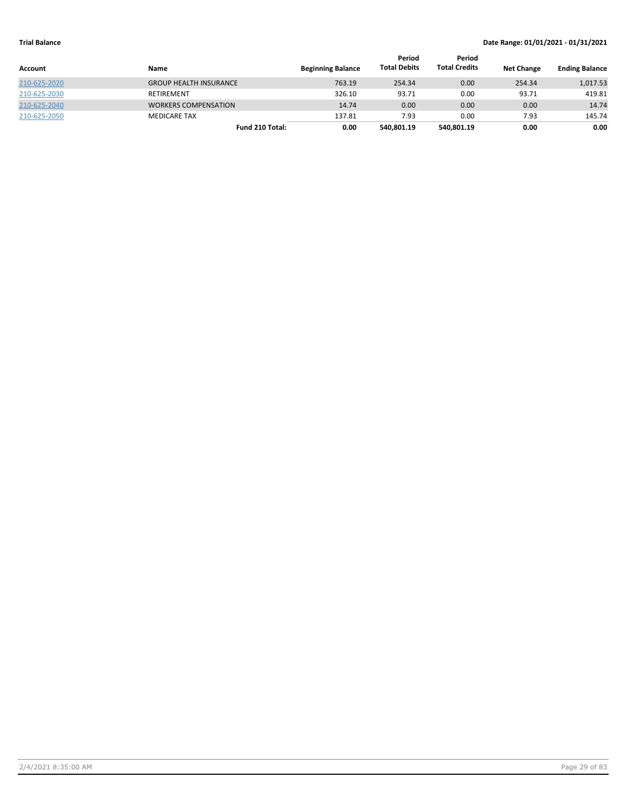| <b>Account</b> | Name                          | <b>Beginning Balance</b> | Period<br><b>Total Debits</b> | Period<br><b>Total Credits</b> | <b>Net Change</b> | <b>Ending Balance</b> |
|----------------|-------------------------------|--------------------------|-------------------------------|--------------------------------|-------------------|-----------------------|
| 210-625-2020   | <b>GROUP HEALTH INSURANCE</b> | 763.19                   | 254.34                        | 0.00                           | 254.34            | 1,017.53              |
| 210-625-2030   | RETIREMENT                    | 326.10                   | 93.71                         | 0.00                           | 93.71             | 419.81                |
| 210-625-2040   | <b>WORKERS COMPENSATION</b>   | 14.74                    | 0.00                          | 0.00                           | 0.00              | 14.74                 |
| 210-625-2050   | <b>MEDICARE TAX</b>           | 137.81                   | 7.93                          | 0.00                           | 7.93              | 145.74                |
|                | Fund 210 Total:               | 0.00                     | 540,801.19                    | 540.801.19                     | 0.00              | 0.00                  |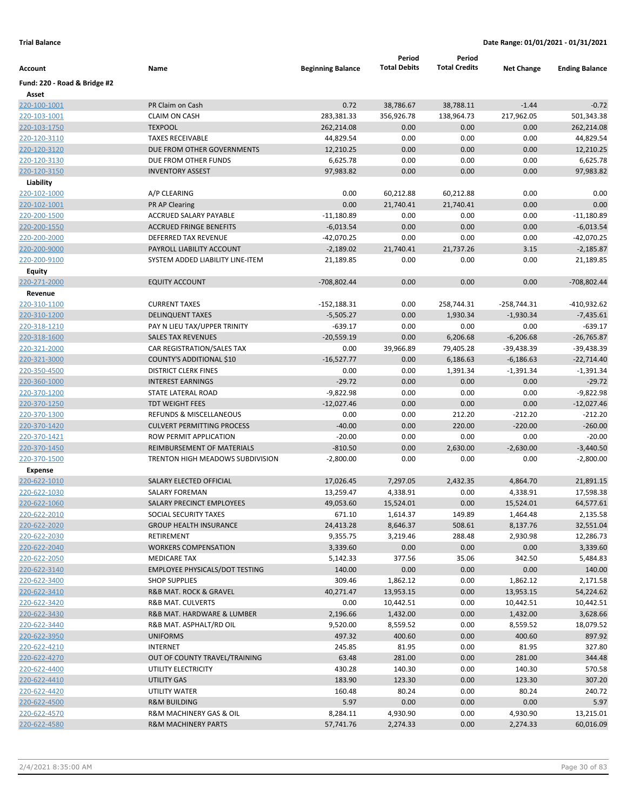|                              |                                       |                          | Period              | Period               |                   |                       |
|------------------------------|---------------------------------------|--------------------------|---------------------|----------------------|-------------------|-----------------------|
| Account                      | Name                                  | <b>Beginning Balance</b> | <b>Total Debits</b> | <b>Total Credits</b> | <b>Net Change</b> | <b>Ending Balance</b> |
| Fund: 220 - Road & Bridge #2 |                                       |                          |                     |                      |                   |                       |
| Asset                        |                                       |                          |                     |                      |                   |                       |
| 220-100-1001                 | PR Claim on Cash                      | 0.72                     | 38,786.67           | 38,788.11            | $-1.44$           | $-0.72$               |
| 220-103-1001                 | <b>CLAIM ON CASH</b>                  | 283,381.33               | 356,926.78          | 138,964.73           | 217,962.05        | 501,343.38            |
| 220-103-1750                 | <b>TEXPOOL</b>                        | 262,214.08               | 0.00                | 0.00                 | 0.00              | 262,214.08            |
| 220-120-3110                 | <b>TAXES RECEIVABLE</b>               | 44,829.54                | 0.00                | 0.00                 | 0.00              | 44,829.54             |
| 220-120-3120                 | DUE FROM OTHER GOVERNMENTS            | 12,210.25                | 0.00                | 0.00                 | 0.00              | 12,210.25             |
| 220-120-3130                 | DUE FROM OTHER FUNDS                  | 6,625.78                 | 0.00                | 0.00                 | 0.00              | 6,625.78              |
| 220-120-3150                 | <b>INVENTORY ASSEST</b>               | 97,983.82                | 0.00                | 0.00                 | 0.00              | 97,983.82             |
| Liability                    |                                       |                          |                     |                      |                   |                       |
| 220-102-1000                 | A/P CLEARING                          | 0.00                     | 60,212.88           | 60,212.88            | 0.00              | 0.00                  |
| 220-102-1001                 | <b>PR AP Clearing</b>                 | 0.00                     | 21,740.41           | 21,740.41            | 0.00              | 0.00                  |
| 220-200-1500                 | ACCRUED SALARY PAYABLE                | $-11,180.89$             | 0.00                | 0.00                 | 0.00              | $-11,180.89$          |
| 220-200-1550                 | <b>ACCRUED FRINGE BENEFITS</b>        | $-6,013.54$              | 0.00                | 0.00                 | 0.00              | $-6,013.54$           |
| 220-200-2000                 | DEFERRED TAX REVENUE                  | $-42,070.25$             | 0.00                | 0.00                 | 0.00              | -42,070.25            |
| 220-200-9000                 | PAYROLL LIABILITY ACCOUNT             | $-2,189.02$              | 21,740.41           | 21,737.26            | 3.15              | $-2,185.87$           |
| 220-200-9100                 | SYSTEM ADDED LIABILITY LINE-ITEM      | 21,189.85                | 0.00                | 0.00                 | 0.00              | 21,189.85             |
| Equity                       |                                       |                          |                     |                      |                   |                       |
| 220-271-2000                 | <b>EQUITY ACCOUNT</b>                 | -708,802.44              | 0.00                | 0.00                 | 0.00              | -708,802.44           |
| Revenue                      |                                       |                          |                     |                      |                   |                       |
| 220-310-1100                 | <b>CURRENT TAXES</b>                  | $-152,188.31$            | 0.00                | 258,744.31           | $-258,744.31$     | -410,932.62           |
| 220-310-1200                 | <b>DELINQUENT TAXES</b>               | $-5,505.27$              | 0.00                | 1,930.34             | $-1,930.34$       | $-7,435.61$           |
| 220-318-1210                 | PAY N LIEU TAX/UPPER TRINITY          | $-639.17$                | 0.00                | 0.00                 | 0.00              | $-639.17$             |
| 220-318-1600                 | <b>SALES TAX REVENUES</b>             | $-20,559.19$             | 0.00                | 6,206.68             | $-6,206.68$       | $-26,765.87$          |
| 220-321-2000                 | CAR REGISTRATION/SALES TAX            | 0.00                     | 39,966.89           | 79,405.28            | -39,438.39        | $-39,438.39$          |
| 220-321-3000                 | COUNTY'S ADDITIONAL \$10              | $-16,527.77$             | 0.00                | 6,186.63             | $-6,186.63$       | $-22,714.40$          |
| 220-350-4500                 | <b>DISTRICT CLERK FINES</b>           | 0.00                     | 0.00                | 1,391.34             | $-1,391.34$       | $-1,391.34$           |
| 220-360-1000                 | <b>INTEREST EARNINGS</b>              | $-29.72$                 | 0.00                | 0.00                 | 0.00              | $-29.72$              |
| 220-370-1200                 | STATE LATERAL ROAD                    | $-9,822.98$              | 0.00                | 0.00                 | 0.00              | $-9,822.98$           |
| 220-370-1250                 | <b>TDT WEIGHT FEES</b>                | $-12,027.46$             | 0.00                | 0.00                 | 0.00              | $-12,027.46$          |
| 220-370-1300                 | <b>REFUNDS &amp; MISCELLANEOUS</b>    | 0.00                     | 0.00                | 212.20               | $-212.20$         | $-212.20$             |
| 220-370-1420                 | <b>CULVERT PERMITTING PROCESS</b>     | $-40.00$                 | 0.00                | 220.00               | $-220.00$         | $-260.00$             |
| 220-370-1421                 | ROW PERMIT APPLICATION                | $-20.00$                 | 0.00                | 0.00                 | 0.00              | $-20.00$              |
| 220-370-1450                 | REIMBURSEMENT OF MATERIALS            | $-810.50$                | 0.00                | 2,630.00             | $-2,630.00$       | $-3,440.50$           |
| 220-370-1500                 | TRENTON HIGH MEADOWS SUBDIVISION      | $-2,800.00$              | 0.00                | 0.00                 | 0.00              | $-2,800.00$           |
| <b>Expense</b>               |                                       |                          |                     |                      |                   |                       |
| 220-622-1010                 | SALARY ELECTED OFFICIAL               | 17,026.45                | 7,297.05            | 2,432.35             | 4,864.70          | 21,891.15             |
| 220-622-1030                 | SALARY FOREMAN                        | 13,259.47                | 4,338.91            | 0.00                 | 4,338.91          | 17,598.38             |
| 220-622-1060                 | SALARY PRECINCT EMPLOYEES             | 49,053.60                | 15,524.01           | 0.00                 | 15,524.01         | 64,577.61             |
| 220-622-2010                 | SOCIAL SECURITY TAXES                 | 671.10                   | 1,614.37            | 149.89               | 1,464.48          | 2,135.58              |
| 220-622-2020                 | <b>GROUP HEALTH INSURANCE</b>         | 24,413.28                | 8,646.37            | 508.61               | 8,137.76          | 32,551.04             |
| 220-622-2030                 | RETIREMENT                            | 9,355.75                 | 3,219.46            | 288.48               | 2,930.98          | 12,286.73             |
| 220-622-2040                 | <b>WORKERS COMPENSATION</b>           | 3,339.60                 | 0.00                | 0.00                 | 0.00              | 3,339.60              |
| 220-622-2050                 | <b>MEDICARE TAX</b>                   | 5,142.33                 | 377.56              | 35.06                | 342.50            | 5,484.83              |
| 220-622-3140                 | <b>EMPLOYEE PHYSICALS/DOT TESTING</b> | 140.00                   | 0.00                | 0.00                 | 0.00              | 140.00                |
| 220-622-3400                 | <b>SHOP SUPPLIES</b>                  | 309.46                   | 1,862.12            | 0.00                 | 1,862.12          | 2,171.58              |
| 220-622-3410                 | R&B MAT. ROCK & GRAVEL                | 40,271.47                | 13,953.15           | 0.00                 | 13,953.15         | 54,224.62             |
| 220-622-3420                 | R&B MAT. CULVERTS                     | 0.00                     | 10,442.51           | 0.00                 | 10,442.51         | 10,442.51             |
| 220-622-3430                 | R&B MAT. HARDWARE & LUMBER            | 2,196.66                 | 1,432.00            | 0.00                 | 1,432.00          | 3,628.66              |
| 220-622-3440                 | R&B MAT. ASPHALT/RD OIL               | 9,520.00                 | 8,559.52            | 0.00                 | 8,559.52          | 18,079.52             |
| 220-622-3950                 | <b>UNIFORMS</b>                       | 497.32                   | 400.60              | 0.00                 | 400.60            | 897.92                |
| 220-622-4210                 | INTERNET                              | 245.85                   | 81.95               | 0.00                 | 81.95             | 327.80                |
| 220-622-4270                 | OUT OF COUNTY TRAVEL/TRAINING         | 63.48                    | 281.00              | 0.00                 | 281.00            | 344.48                |
| 220-622-4400                 | UTILITY ELECTRICITY                   | 430.28                   | 140.30              | 0.00                 | 140.30            | 570.58                |
| 220-622-4410                 | UTILITY GAS                           | 183.90                   | 123.30              | 0.00                 | 123.30            | 307.20                |
| 220-622-4420                 | UTILITY WATER                         | 160.48                   | 80.24               | 0.00                 | 80.24             | 240.72                |
| 220-622-4500                 | <b>R&amp;M BUILDING</b>               | 5.97                     | 0.00                | 0.00                 | 0.00              | 5.97                  |
| 220-622-4570                 | R&M MACHINERY GAS & OIL               | 8,284.11                 | 4,930.90            | 0.00                 | 4,930.90          | 13,215.01             |
| 220-622-4580                 | <b>R&amp;M MACHINERY PARTS</b>        | 57,741.76                | 2,274.33            | 0.00                 | 2,274.33          | 60,016.09             |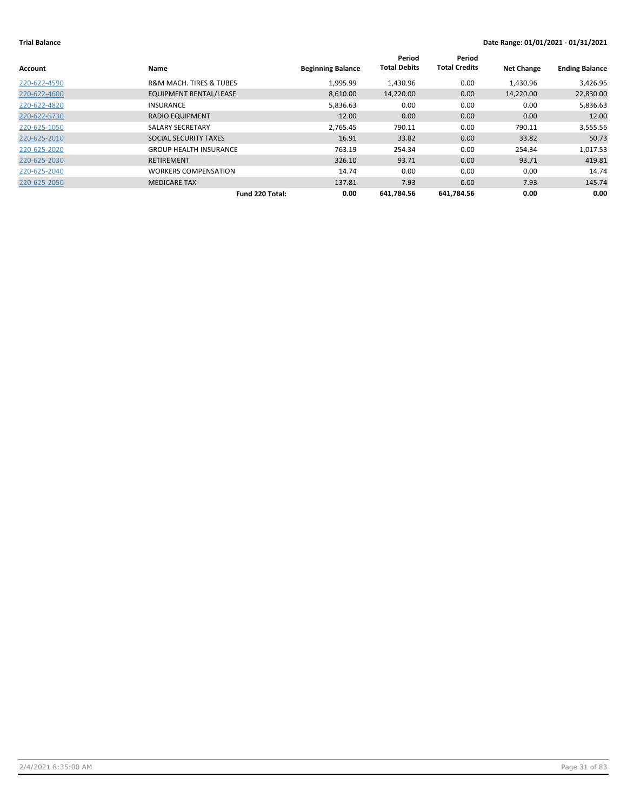| Account      | <b>Name</b>                            | <b>Beginning Balance</b> | Period<br><b>Total Debits</b> | Period<br><b>Total Credits</b> | <b>Net Change</b> | <b>Ending Balance</b> |
|--------------|----------------------------------------|--------------------------|-------------------------------|--------------------------------|-------------------|-----------------------|
| 220-622-4590 | <b>R&amp;M MACH. TIRES &amp; TUBES</b> | 1,995.99                 | 1,430.96                      | 0.00                           | 1,430.96          | 3,426.95              |
| 220-622-4600 | <b>EQUIPMENT RENTAL/LEASE</b>          | 8,610.00                 | 14,220.00                     | 0.00                           | 14,220.00         | 22,830.00             |
| 220-622-4820 | <b>INSURANCE</b>                       | 5,836.63                 | 0.00                          | 0.00                           | 0.00              | 5,836.63              |
| 220-622-5730 | <b>RADIO EQUIPMENT</b>                 | 12.00                    | 0.00                          | 0.00                           | 0.00              | 12.00                 |
| 220-625-1050 | SALARY SECRETARY                       | 2,765.45                 | 790.11                        | 0.00                           | 790.11            | 3,555.56              |
| 220-625-2010 | SOCIAL SECURITY TAXES                  | 16.91                    | 33.82                         | 0.00                           | 33.82             | 50.73                 |
| 220-625-2020 | <b>GROUP HEALTH INSURANCE</b>          | 763.19                   | 254.34                        | 0.00                           | 254.34            | 1,017.53              |
| 220-625-2030 | <b>RETIREMENT</b>                      | 326.10                   | 93.71                         | 0.00                           | 93.71             | 419.81                |
| 220-625-2040 | <b>WORKERS COMPENSATION</b>            | 14.74                    | 0.00                          | 0.00                           | 0.00              | 14.74                 |
| 220-625-2050 | <b>MEDICARE TAX</b>                    | 137.81                   | 7.93                          | 0.00                           | 7.93              | 145.74                |
|              | Fund 220 Total:                        | 0.00                     | 641.784.56                    | 641.784.56                     | 0.00              | 0.00                  |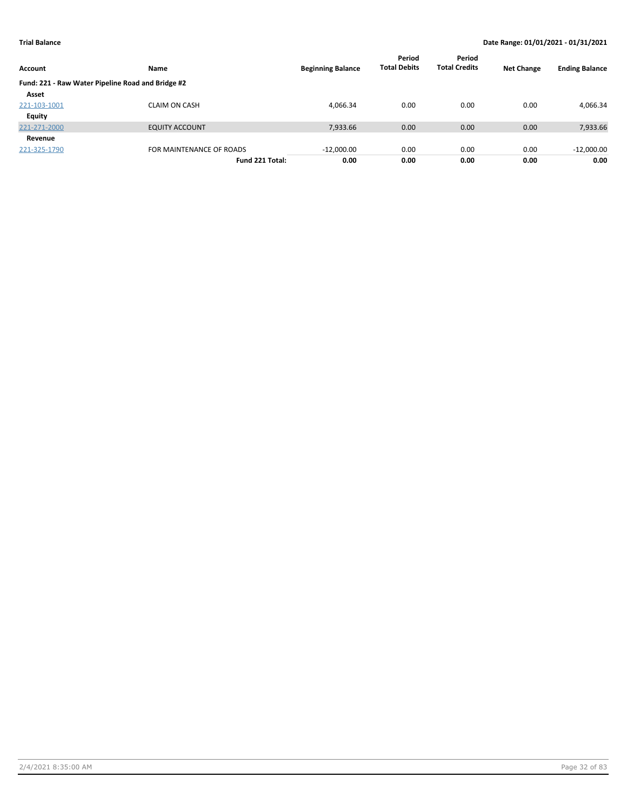| Account                                           | <b>Name</b>              | <b>Beginning Balance</b> | Period<br><b>Total Debits</b> | Period<br><b>Total Credits</b> | <b>Net Change</b> | <b>Ending Balance</b> |
|---------------------------------------------------|--------------------------|--------------------------|-------------------------------|--------------------------------|-------------------|-----------------------|
| Fund: 221 - Raw Water Pipeline Road and Bridge #2 |                          |                          |                               |                                |                   |                       |
| Asset                                             |                          |                          |                               |                                |                   |                       |
| 221-103-1001                                      | <b>CLAIM ON CASH</b>     | 4,066.34                 | 0.00                          | 0.00                           | 0.00              | 4,066.34              |
| <b>Equity</b>                                     |                          |                          |                               |                                |                   |                       |
| 221-271-2000                                      | <b>EQUITY ACCOUNT</b>    | 7,933.66                 | 0.00                          | 0.00                           | 0.00              | 7,933.66              |
| Revenue                                           |                          |                          |                               |                                |                   |                       |
| 221-325-1790                                      | FOR MAINTENANCE OF ROADS | $-12,000.00$             | 0.00                          | 0.00                           | 0.00              | $-12,000.00$          |
|                                                   | Fund 221 Total:          | 0.00                     | 0.00                          | 0.00                           | 0.00              | 0.00                  |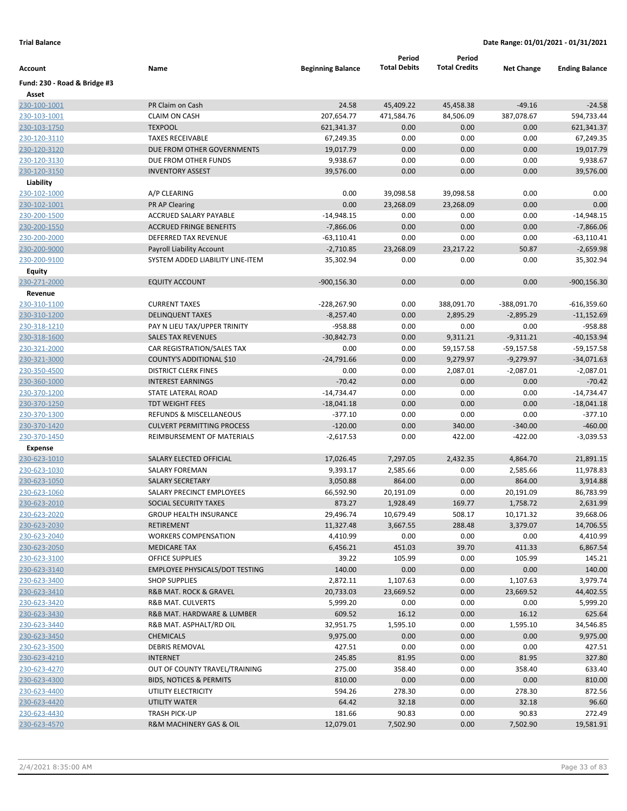|                              |                                                           |                          | Period              | Period               |                   |                        |
|------------------------------|-----------------------------------------------------------|--------------------------|---------------------|----------------------|-------------------|------------------------|
| Account                      | Name                                                      | <b>Beginning Balance</b> | <b>Total Debits</b> | <b>Total Credits</b> | <b>Net Change</b> | <b>Ending Balance</b>  |
| Fund: 230 - Road & Bridge #3 |                                                           |                          |                     |                      |                   |                        |
| Asset                        |                                                           |                          |                     |                      |                   |                        |
| 230-100-1001                 | PR Claim on Cash                                          | 24.58                    | 45,409.22           | 45,458.38            | $-49.16$          | $-24.58$               |
| 230-103-1001                 | <b>CLAIM ON CASH</b>                                      | 207,654.77               | 471,584.76          | 84,506.09            | 387,078.67        | 594,733.44             |
| 230-103-1750                 | <b>TEXPOOL</b>                                            | 621,341.37               | 0.00                | 0.00                 | 0.00              | 621,341.37             |
| 230-120-3110                 | <b>TAXES RECEIVABLE</b>                                   | 67,249.35                | 0.00                | 0.00                 | 0.00              | 67,249.35              |
| 230-120-3120                 | DUE FROM OTHER GOVERNMENTS                                | 19,017.79                | 0.00                | 0.00                 | 0.00              | 19,017.79              |
| 230-120-3130                 | DUE FROM OTHER FUNDS                                      | 9,938.67                 | 0.00                | 0.00                 | 0.00              | 9,938.67               |
| 230-120-3150                 | <b>INVENTORY ASSEST</b>                                   | 39,576.00                | 0.00                | 0.00                 | 0.00              | 39,576.00              |
| Liability                    |                                                           |                          |                     |                      |                   |                        |
| 230-102-1000                 | A/P CLEARING                                              | 0.00                     | 39,098.58           | 39,098.58            | 0.00              | 0.00                   |
| 230-102-1001                 | <b>PR AP Clearing</b>                                     | 0.00                     | 23,268.09           | 23,268.09            | 0.00              | 0.00                   |
| 230-200-1500                 | ACCRUED SALARY PAYABLE                                    | $-14,948.15$             | 0.00                | 0.00                 | 0.00              | $-14,948.15$           |
| 230-200-1550                 | <b>ACCRUED FRINGE BENEFITS</b>                            | $-7,866.06$              | 0.00                | 0.00                 | 0.00              | $-7,866.06$            |
| 230-200-2000                 | DEFERRED TAX REVENUE                                      | $-63,110.41$             | 0.00                | 0.00                 | 0.00              | $-63,110.41$           |
| 230-200-9000                 | <b>Payroll Liability Account</b>                          | $-2,710.85$              | 23,268.09           | 23,217.22            | 50.87             | $-2,659.98$            |
| 230-200-9100                 | SYSTEM ADDED LIABILITY LINE-ITEM                          | 35,302.94                | 0.00                | 0.00                 | 0.00              | 35,302.94              |
| Equity                       |                                                           |                          |                     |                      |                   |                        |
| 230-271-2000                 | <b>EQUITY ACCOUNT</b>                                     | $-900, 156.30$           | 0.00                | 0.00                 | 0.00              | $-900, 156.30$         |
| Revenue                      |                                                           |                          |                     |                      |                   |                        |
| 230-310-1100                 | <b>CURRENT TAXES</b>                                      | -228,267.90              | 0.00                | 388,091.70           | -388,091.70       | $-616,359.60$          |
| 230-310-1200                 | <b>DELINQUENT TAXES</b>                                   | $-8,257.40$              | 0.00                | 2,895.29             | $-2,895.29$       | $-11,152.69$           |
| 230-318-1210                 | PAY N LIEU TAX/UPPER TRINITY<br><b>SALES TAX REVENUES</b> | $-958.88$                | 0.00                | 0.00                 | 0.00              | $-958.88$              |
| 230-318-1600                 |                                                           | $-30,842.73$             | 0.00<br>0.00        | 9,311.21             | $-9,311.21$       | $-40,153.94$           |
| 230-321-2000                 | CAR REGISTRATION/SALES TAX                                | 0.00                     |                     | 59,157.58            | -59,157.58        | $-59,157.58$           |
| 230-321-3000                 | COUNTY'S ADDITIONAL \$10                                  | $-24,791.66$             | 0.00                | 9,279.97             | $-9,279.97$       | $-34,071.63$           |
| 230-350-4500                 | <b>DISTRICT CLERK FINES</b>                               | 0.00                     | 0.00                | 2,087.01             | $-2,087.01$       | $-2,087.01$            |
| 230-360-1000                 | <b>INTEREST EARNINGS</b>                                  | $-70.42$                 | 0.00                | 0.00                 | 0.00              | $-70.42$               |
| 230-370-1200                 | STATE LATERAL ROAD<br><b>TDT WEIGHT FEES</b>              | $-14,734.47$             | 0.00                | 0.00                 | 0.00              | $-14,734.47$           |
| 230-370-1250                 | <b>REFUNDS &amp; MISCELLANEOUS</b>                        | $-18,041.18$             | 0.00<br>0.00        | 0.00                 | 0.00              | $-18,041.18$           |
| 230-370-1300                 | <b>CULVERT PERMITTING PROCESS</b>                         | $-377.10$<br>$-120.00$   | 0.00                | 0.00<br>340.00       | 0.00<br>$-340.00$ | $-377.10$<br>$-460.00$ |
| 230-370-1420<br>230-370-1450 | REIMBURSEMENT OF MATERIALS                                | $-2,617.53$              | 0.00                | 422.00               | $-422.00$         | $-3,039.53$            |
| <b>Expense</b>               |                                                           |                          |                     |                      |                   |                        |
| 230-623-1010                 | SALARY ELECTED OFFICIAL                                   | 17,026.45                | 7,297.05            | 2,432.35             | 4,864.70          | 21,891.15              |
| 230-623-1030                 | <b>SALARY FOREMAN</b>                                     | 9,393.17                 | 2,585.66            | 0.00                 | 2,585.66          | 11,978.83              |
| 230-623-1050                 | <b>SALARY SECRETARY</b>                                   | 3,050.88                 | 864.00              | 0.00                 | 864.00            | 3,914.88               |
| 230-623-1060                 | SALARY PRECINCT EMPLOYEES                                 | 66,592.90                | 20,191.09           | 0.00                 | 20,191.09         | 86,783.99              |
| 230-623-2010                 | SOCIAL SECURITY TAXES                                     | 873.27                   | 1,928.49            | 169.77               | 1,758.72          | 2,631.99               |
| 230-623-2020                 | <b>GROUP HEALTH INSURANCE</b>                             | 29,496.74                | 10,679.49           | 508.17               | 10,171.32         | 39,668.06              |
| 230-623-2030                 | RETIREMENT                                                | 11,327.48                | 3,667.55            | 288.48               | 3,379.07          | 14,706.55              |
| 230-623-2040                 | <b>WORKERS COMPENSATION</b>                               | 4,410.99                 | 0.00                | 0.00                 | 0.00              | 4,410.99               |
| 230-623-2050                 | <b>MEDICARE TAX</b>                                       | 6,456.21                 | 451.03              | 39.70                | 411.33            | 6,867.54               |
| 230-623-3100                 | <b>OFFICE SUPPLIES</b>                                    | 39.22                    | 105.99              | 0.00                 | 105.99            | 145.21                 |
| 230-623-3140                 | <b>EMPLOYEE PHYSICALS/DOT TESTING</b>                     | 140.00                   | 0.00                | 0.00                 | 0.00              | 140.00                 |
| 230-623-3400                 | <b>SHOP SUPPLIES</b>                                      | 2,872.11                 | 1,107.63            | 0.00                 | 1,107.63          | 3,979.74               |
| 230-623-3410                 | <b>R&amp;B MAT. ROCK &amp; GRAVEL</b>                     | 20,733.03                | 23,669.52           | 0.00                 | 23,669.52         | 44,402.55              |
| 230-623-3420                 | <b>R&amp;B MAT. CULVERTS</b>                              | 5,999.20                 | 0.00                | 0.00                 | 0.00              | 5,999.20               |
| 230-623-3430                 | R&B MAT. HARDWARE & LUMBER                                | 609.52                   | 16.12               | 0.00                 | 16.12             | 625.64                 |
| 230-623-3440                 | R&B MAT. ASPHALT/RD OIL                                   | 32,951.75                | 1,595.10            | 0.00                 | 1,595.10          | 34,546.85              |
| 230-623-3450                 | <b>CHEMICALS</b>                                          | 9,975.00                 | 0.00                | 0.00                 | 0.00              | 9,975.00               |
| 230-623-3500                 | <b>DEBRIS REMOVAL</b>                                     | 427.51                   | 0.00                | 0.00                 | 0.00              | 427.51                 |
| 230-623-4210                 | <b>INTERNET</b>                                           | 245.85                   | 81.95               | 0.00                 | 81.95             | 327.80                 |
| 230-623-4270                 | OUT OF COUNTY TRAVEL/TRAINING                             | 275.00                   | 358.40              | 0.00                 | 358.40            | 633.40                 |
| 230-623-4300                 | <b>BIDS, NOTICES &amp; PERMITS</b>                        | 810.00                   | 0.00                | 0.00                 | 0.00              | 810.00                 |
| 230-623-4400                 | UTILITY ELECTRICITY                                       | 594.26                   | 278.30              | 0.00                 | 278.30            | 872.56                 |
| 230-623-4420                 | UTILITY WATER                                             | 64.42                    | 32.18               | 0.00                 | 32.18             | 96.60                  |
| 230-623-4430                 | <b>TRASH PICK-UP</b>                                      | 181.66                   | 90.83               | 0.00                 | 90.83             | 272.49                 |
| 230-623-4570                 | R&M MACHINERY GAS & OIL                                   | 12,079.01                | 7,502.90            | 0.00                 | 7,502.90          | 19,581.91              |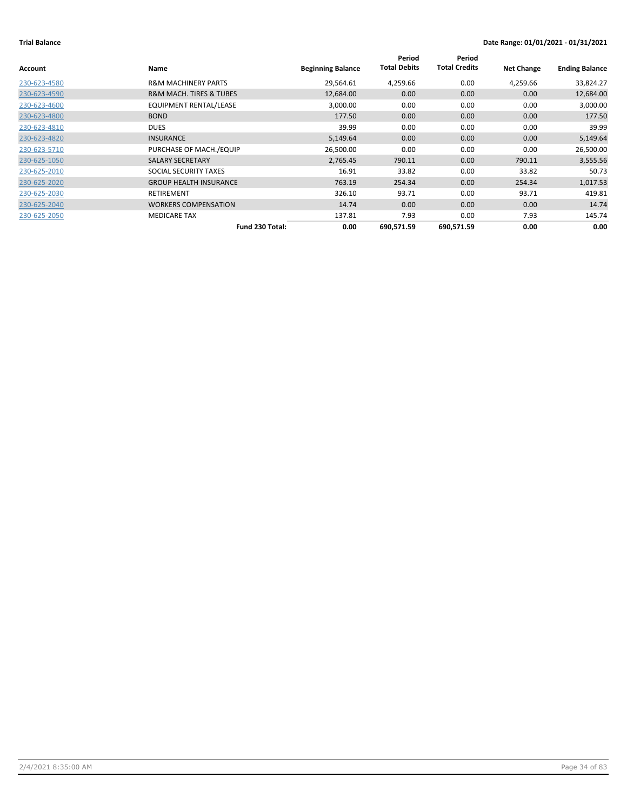| Account      | Name                                   | <b>Beginning Balance</b> | Period<br><b>Total Debits</b> | Period<br><b>Total Credits</b> | <b>Net Change</b> | <b>Ending Balance</b> |
|--------------|----------------------------------------|--------------------------|-------------------------------|--------------------------------|-------------------|-----------------------|
| 230-623-4580 | <b>R&amp;M MACHINERY PARTS</b>         | 29,564.61                | 4,259.66                      | 0.00                           | 4,259.66          | 33,824.27             |
| 230-623-4590 | <b>R&amp;M MACH. TIRES &amp; TUBES</b> | 12,684.00                | 0.00                          | 0.00                           | 0.00              | 12,684.00             |
| 230-623-4600 | <b>EQUIPMENT RENTAL/LEASE</b>          | 3,000.00                 | 0.00                          | 0.00                           | 0.00              | 3,000.00              |
| 230-623-4800 | <b>BOND</b>                            | 177.50                   | 0.00                          | 0.00                           | 0.00              | 177.50                |
| 230-623-4810 | <b>DUES</b>                            | 39.99                    | 0.00                          | 0.00                           | 0.00              | 39.99                 |
| 230-623-4820 | <b>INSURANCE</b>                       | 5,149.64                 | 0.00                          | 0.00                           | 0.00              | 5,149.64              |
| 230-623-5710 | PURCHASE OF MACH./EQUIP                | 26,500.00                | 0.00                          | 0.00                           | 0.00              | 26,500.00             |
| 230-625-1050 | SALARY SECRETARY                       | 2,765.45                 | 790.11                        | 0.00                           | 790.11            | 3,555.56              |
| 230-625-2010 | SOCIAL SECURITY TAXES                  | 16.91                    | 33.82                         | 0.00                           | 33.82             | 50.73                 |
| 230-625-2020 | <b>GROUP HEALTH INSURANCE</b>          | 763.19                   | 254.34                        | 0.00                           | 254.34            | 1,017.53              |
| 230-625-2030 | RETIREMENT                             | 326.10                   | 93.71                         | 0.00                           | 93.71             | 419.81                |
| 230-625-2040 | <b>WORKERS COMPENSATION</b>            | 14.74                    | 0.00                          | 0.00                           | 0.00              | 14.74                 |
| 230-625-2050 | <b>MEDICARE TAX</b>                    | 137.81                   | 7.93                          | 0.00                           | 7.93              | 145.74                |
|              | Fund 230 Total:                        | 0.00                     | 690,571.59                    | 690,571.59                     | 0.00              | 0.00                  |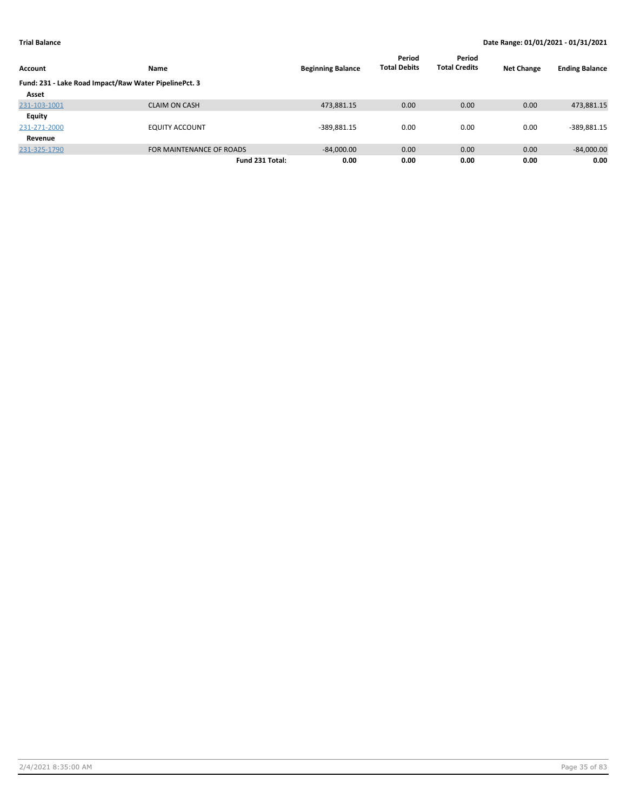|                                                       |                          |                          | Period              | Period               |                   |                       |
|-------------------------------------------------------|--------------------------|--------------------------|---------------------|----------------------|-------------------|-----------------------|
| Account                                               | <b>Name</b>              | <b>Beginning Balance</b> | <b>Total Debits</b> | <b>Total Credits</b> | <b>Net Change</b> | <b>Ending Balance</b> |
| Fund: 231 - Lake Road Impact/Raw Water PipelinePct. 3 |                          |                          |                     |                      |                   |                       |
| Asset                                                 |                          |                          |                     |                      |                   |                       |
| 231-103-1001                                          | <b>CLAIM ON CASH</b>     | 473,881.15               | 0.00                | 0.00                 | 0.00              | 473,881.15            |
| Equity                                                |                          |                          |                     |                      |                   |                       |
| 231-271-2000                                          | <b>EQUITY ACCOUNT</b>    | $-389,881.15$            | 0.00                | 0.00                 | 0.00              | $-389,881.15$         |
| Revenue                                               |                          |                          |                     |                      |                   |                       |
| 231-325-1790                                          | FOR MAINTENANCE OF ROADS | $-84,000.00$             | 0.00                | 0.00                 | 0.00              | $-84,000.00$          |
|                                                       | Fund 231 Total:          | 0.00                     | 0.00                | 0.00                 | 0.00              | 0.00                  |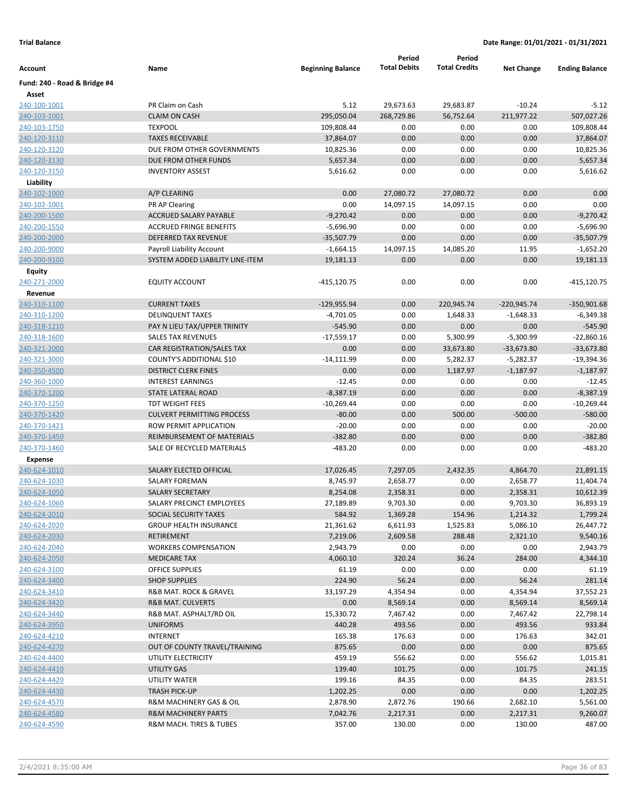|                              |                                                          |                             | Period              | Period               |                   |                             |
|------------------------------|----------------------------------------------------------|-----------------------------|---------------------|----------------------|-------------------|-----------------------------|
| Account                      | Name                                                     | <b>Beginning Balance</b>    | <b>Total Debits</b> | <b>Total Credits</b> | <b>Net Change</b> | <b>Ending Balance</b>       |
| Fund: 240 - Road & Bridge #4 |                                                          |                             |                     |                      |                   |                             |
| Asset                        |                                                          |                             |                     |                      |                   |                             |
| 240-100-1001                 | PR Claim on Cash                                         | 5.12                        | 29,673.63           | 29,683.87            | $-10.24$          | $-5.12$                     |
| 240-103-1001                 | <b>CLAIM ON CASH</b>                                     | 295,050.04                  | 268,729.86          | 56,752.64            | 211,977.22        | 507,027.26                  |
| 240-103-1750                 | <b>TEXPOOL</b>                                           | 109,808.44                  | 0.00                | 0.00                 | 0.00              | 109,808.44                  |
| 240-120-3110                 | <b>TAXES RECEIVABLE</b>                                  | 37,864.07                   | 0.00                | 0.00                 | 0.00              | 37,864.07                   |
| 240-120-3120                 | DUE FROM OTHER GOVERNMENTS                               | 10,825.36                   | 0.00                | 0.00                 | 0.00              | 10,825.36                   |
| 240-120-3130                 | DUE FROM OTHER FUNDS                                     | 5,657.34                    | 0.00                | 0.00                 | 0.00              | 5,657.34                    |
| 240-120-3150                 | <b>INVENTORY ASSEST</b>                                  | 5,616.62                    | 0.00                | 0.00                 | 0.00              | 5,616.62                    |
| Liability                    |                                                          |                             |                     |                      |                   |                             |
| 240-102-1000                 | A/P CLEARING                                             | 0.00                        | 27,080.72           | 27,080.72            | 0.00              | 0.00                        |
| 240-102-1001                 | PR AP Clearing                                           | 0.00                        | 14,097.15           | 14,097.15            | 0.00              | 0.00                        |
| 240-200-1500                 | ACCRUED SALARY PAYABLE<br><b>ACCRUED FRINGE BENEFITS</b> | $-9,270.42$                 | 0.00                | 0.00                 | 0.00              | $-9,270.42$                 |
| 240-200-1550                 | DEFERRED TAX REVENUE                                     | $-5,696.90$<br>$-35,507.79$ | 0.00<br>0.00        | 0.00<br>0.00         | 0.00<br>0.00      | $-5,696.90$<br>$-35,507.79$ |
| 240-200-2000<br>240-200-9000 | Payroll Liability Account                                | $-1,664.15$                 | 14,097.15           | 14,085.20            | 11.95             | $-1,652.20$                 |
| 240-200-9100                 | SYSTEM ADDED LIABILITY LINE-ITEM                         | 19,181.13                   | 0.00                | 0.00                 | 0.00              | 19,181.13                   |
| <b>Equity</b>                |                                                          |                             |                     |                      |                   |                             |
| 240-271-2000                 | <b>EQUITY ACCOUNT</b>                                    | -415,120.75                 | 0.00                | 0.00                 | 0.00              | -415,120.75                 |
| Revenue                      |                                                          |                             |                     |                      |                   |                             |
| 240-310-1100                 | <b>CURRENT TAXES</b>                                     | $-129,955.94$               | 0.00                | 220,945.74           | $-220,945.74$     | $-350,901.68$               |
| 240-310-1200                 | <b>DELINQUENT TAXES</b>                                  | $-4,701.05$                 | 0.00                | 1,648.33             | $-1,648.33$       | $-6,349.38$                 |
| 240-318-1210                 | PAY N LIEU TAX/UPPER TRINITY                             | $-545.90$                   | 0.00                | 0.00                 | 0.00              | $-545.90$                   |
| 240-318-1600                 | <b>SALES TAX REVENUES</b>                                | $-17,559.17$                | 0.00                | 5,300.99             | $-5,300.99$       | $-22,860.16$                |
| 240-321-2000                 | CAR REGISTRATION/SALES TAX                               | 0.00                        | 0.00                | 33,673.80            | $-33,673.80$      | $-33,673.80$                |
| 240-321-3000                 | COUNTY'S ADDITIONAL \$10                                 | $-14,111.99$                | 0.00                | 5,282.37             | $-5,282.37$       | $-19,394.36$                |
| 240-350-4500                 | <b>DISTRICT CLERK FINES</b>                              | 0.00                        | 0.00                | 1,187.97             | $-1,187.97$       | $-1,187.97$                 |
| 240-360-1000                 | <b>INTEREST EARNINGS</b>                                 | $-12.45$                    | 0.00                | 0.00                 | 0.00              | $-12.45$                    |
| 240-370-1200                 | STATE LATERAL ROAD                                       | $-8,387.19$                 | 0.00                | 0.00                 | 0.00              | $-8,387.19$                 |
| 240-370-1250                 | TDT WEIGHT FEES                                          | $-10,269.44$                | 0.00                | 0.00                 | 0.00              | $-10,269.44$                |
| 240-370-1420                 | <b>CULVERT PERMITTING PROCESS</b>                        | $-80.00$                    | 0.00                | 500.00               | $-500.00$         | $-580.00$                   |
| 240-370-1421                 | ROW PERMIT APPLICATION                                   | $-20.00$                    | 0.00                | 0.00                 | 0.00              | $-20.00$                    |
| 240-370-1450                 | REIMBURSEMENT OF MATERIALS                               | $-382.80$                   | 0.00                | 0.00                 | 0.00              | $-382.80$                   |
| 240-370-1460                 | SALE OF RECYCLED MATERIALS                               | $-483.20$                   | 0.00                | 0.00                 | 0.00              | $-483.20$                   |
| Expense                      |                                                          |                             |                     |                      |                   |                             |
| 240-624-1010                 | SALARY ELECTED OFFICIAL                                  | 17,026.45                   | 7,297.05            | 2,432.35             | 4,864.70          | 21,891.15                   |
| 240-624-1030                 | <b>SALARY FOREMAN</b>                                    | 8,745.97                    | 2,658.77            | 0.00                 | 2,658.77          | 11,404.74                   |
| 240-624-1050                 | <b>SALARY SECRETARY</b>                                  | 8,254.08                    | 2,358.31            | 0.00                 | 2,358.31          | 10,612.39                   |
| 240-624-1060                 | SALARY PRECINCT EMPLOYEES                                | 27,189.89                   | 9,703.30            | 0.00                 | 9,703.30          | 36,893.19                   |
| 240-624-2010                 | SOCIAL SECURITY TAXES                                    | 584.92                      | 1,369.28            | 154.96               | 1,214.32          | 1,799.24                    |
| 240-624-2020                 | <b>GROUP HEALTH INSURANCE</b>                            | 21,361.62                   | 6,611.93            | 1,525.83             | 5,086.10          | 26,447.72                   |
| 240-624-2030                 | <b>RETIREMENT</b>                                        | 7,219.06                    | 2,609.58            | 288.48               | 2,321.10          | 9,540.16                    |
| 240-624-2040                 | <b>WORKERS COMPENSATION</b>                              | 2,943.79                    | 0.00                | 0.00                 | 0.00              | 2,943.79                    |
| 240-624-2050                 | <b>MEDICARE TAX</b>                                      | 4,060.10                    | 320.24              | 36.24                | 284.00            | 4,344.10                    |
| 240-624-3100                 | <b>OFFICE SUPPLIES</b>                                   | 61.19                       | 0.00                | 0.00                 | 0.00              | 61.19                       |
| 240-624-3400                 | <b>SHOP SUPPLIES</b>                                     | 224.90                      | 56.24               | 0.00                 | 56.24             | 281.14                      |
| 240-624-3410                 | R&B MAT. ROCK & GRAVEL                                   | 33,197.29                   | 4,354.94            | 0.00                 | 4,354.94          | 37,552.23                   |
| 240-624-3420                 | R&B MAT. CULVERTS                                        | 0.00                        | 8,569.14            | 0.00                 | 8,569.14          | 8,569.14                    |
| 240-624-3440                 | R&B MAT. ASPHALT/RD OIL                                  | 15,330.72                   | 7,467.42            | 0.00                 | 7,467.42          | 22,798.14                   |
| 240-624-3950                 | <b>UNIFORMS</b>                                          | 440.28                      | 493.56              | 0.00                 | 493.56            | 933.84                      |
| 240-624-4210                 | INTERNET                                                 | 165.38                      | 176.63              | 0.00                 | 176.63            | 342.01                      |
| 240-624-4270                 | OUT OF COUNTY TRAVEL/TRAINING                            | 875.65                      | 0.00                | 0.00                 | 0.00              | 875.65                      |
| 240-624-4400                 | UTILITY ELECTRICITY                                      | 459.19                      | 556.62              | 0.00                 | 556.62            | 1,015.81                    |
| 240-624-4410                 | UTILITY GAS                                              | 139.40                      | 101.75              | 0.00                 | 101.75            | 241.15                      |
| 240-624-4420                 | UTILITY WATER                                            | 199.16                      | 84.35               | 0.00                 | 84.35             | 283.51                      |
| 240-624-4430                 | <b>TRASH PICK-UP</b>                                     | 1,202.25                    | 0.00                | 0.00                 | 0.00              | 1,202.25                    |
| 240-624-4570                 | R&M MACHINERY GAS & OIL                                  | 2,878.90                    | 2,872.76            | 190.66               | 2,682.10          | 5,561.00                    |
| 240-624-4580                 | R&M MACHINERY PARTS                                      | 7,042.76                    | 2,217.31            | 0.00                 | 2,217.31          | 9,260.07                    |
| 240-624-4590                 | R&M MACH. TIRES & TUBES                                  | 357.00                      | 130.00              | 0.00                 | 130.00            | 487.00                      |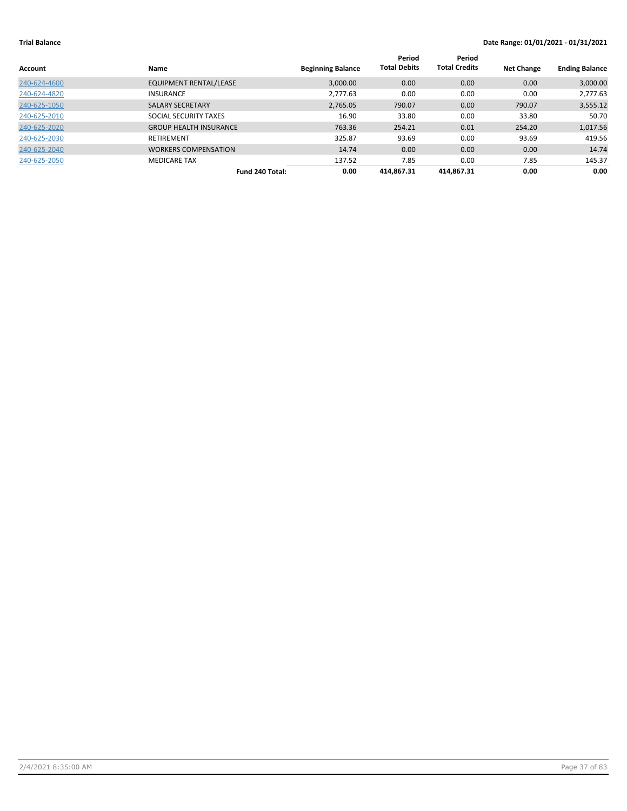| Account      | Name                          | <b>Beginning Balance</b> | Period<br><b>Total Debits</b> | Period<br><b>Total Credits</b> | <b>Net Change</b> | <b>Ending Balance</b> |
|--------------|-------------------------------|--------------------------|-------------------------------|--------------------------------|-------------------|-----------------------|
| 240-624-4600 | <b>EQUIPMENT RENTAL/LEASE</b> | 3,000.00                 | 0.00                          | 0.00                           | 0.00              | 3,000.00              |
| 240-624-4820 | <b>INSURANCE</b>              | 2,777.63                 | 0.00                          | 0.00                           | 0.00              | 2,777.63              |
| 240-625-1050 | <b>SALARY SECRETARY</b>       | 2,765.05                 | 790.07                        | 0.00                           | 790.07            | 3,555.12              |
| 240-625-2010 | SOCIAL SECURITY TAXES         | 16.90                    | 33.80                         | 0.00                           | 33.80             | 50.70                 |
| 240-625-2020 | <b>GROUP HEALTH INSURANCE</b> | 763.36                   | 254.21                        | 0.01                           | 254.20            | 1,017.56              |
| 240-625-2030 | RETIREMENT                    | 325.87                   | 93.69                         | 0.00                           | 93.69             | 419.56                |
| 240-625-2040 | <b>WORKERS COMPENSATION</b>   | 14.74                    | 0.00                          | 0.00                           | 0.00              | 14.74                 |
| 240-625-2050 | <b>MEDICARE TAX</b>           | 137.52                   | 7.85                          | 0.00                           | 7.85              | 145.37                |
|              | Fund 240 Total:               | 0.00                     | 414.867.31                    | 414.867.31                     | 0.00              | 0.00                  |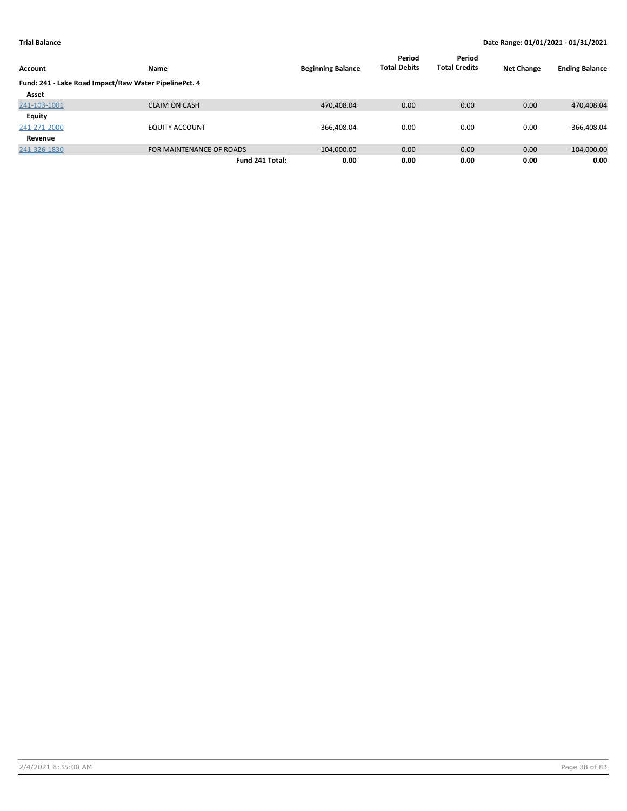|                                                       |                          |                          | Period              | Period               |                   |                       |
|-------------------------------------------------------|--------------------------|--------------------------|---------------------|----------------------|-------------------|-----------------------|
| Account                                               | <b>Name</b>              | <b>Beginning Balance</b> | <b>Total Debits</b> | <b>Total Credits</b> | <b>Net Change</b> | <b>Ending Balance</b> |
| Fund: 241 - Lake Road Impact/Raw Water PipelinePct. 4 |                          |                          |                     |                      |                   |                       |
| Asset                                                 |                          |                          |                     |                      |                   |                       |
| 241-103-1001                                          | <b>CLAIM ON CASH</b>     | 470,408.04               | 0.00                | 0.00                 | 0.00              | 470,408.04            |
| Equity                                                |                          |                          |                     |                      |                   |                       |
| 241-271-2000                                          | <b>EQUITY ACCOUNT</b>    | $-366,408.04$            | 0.00                | 0.00                 | 0.00              | $-366,408.04$         |
| Revenue                                               |                          |                          |                     |                      |                   |                       |
| 241-326-1830                                          | FOR MAINTENANCE OF ROADS | $-104,000.00$            | 0.00                | 0.00                 | 0.00              | $-104,000.00$         |
|                                                       | Fund 241 Total:          | 0.00                     | 0.00                | 0.00                 | 0.00              | 0.00                  |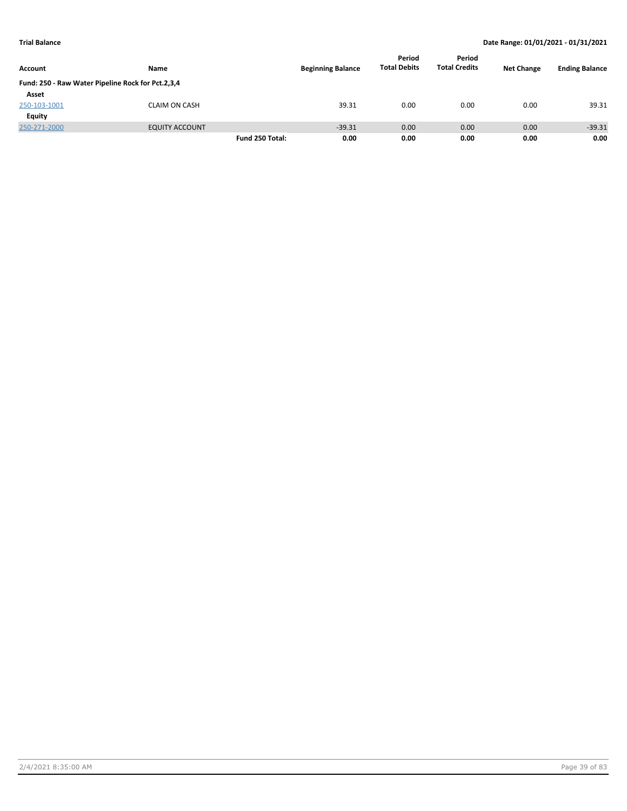|                                                   |                       |                 |                          | Period              | Period               |                   |                       |
|---------------------------------------------------|-----------------------|-----------------|--------------------------|---------------------|----------------------|-------------------|-----------------------|
| Account                                           | Name                  |                 | <b>Beginning Balance</b> | <b>Total Debits</b> | <b>Total Credits</b> | <b>Net Change</b> | <b>Ending Balance</b> |
| Fund: 250 - Raw Water Pipeline Rock for Pct.2,3,4 |                       |                 |                          |                     |                      |                   |                       |
| Asset                                             |                       |                 |                          |                     |                      |                   |                       |
| 250-103-1001                                      | <b>CLAIM ON CASH</b>  |                 | 39.31                    | 0.00                | 0.00                 | 0.00              | 39.31                 |
| Equity                                            |                       |                 |                          |                     |                      |                   |                       |
| 250-271-2000                                      | <b>EQUITY ACCOUNT</b> |                 | $-39.31$                 | 0.00                | 0.00                 | 0.00              | $-39.31$              |
|                                                   |                       | Fund 250 Total: | 0.00                     | 0.00                | 0.00                 | 0.00              | 0.00                  |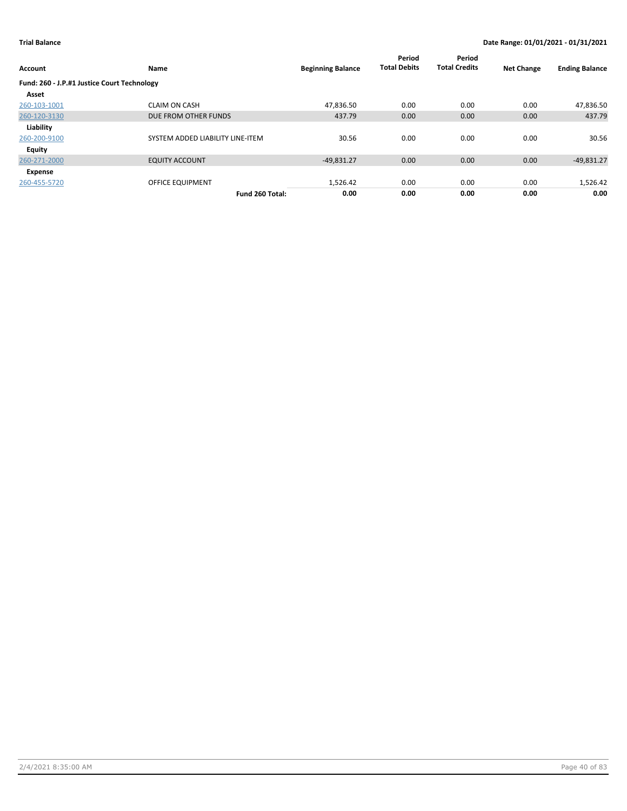| Account                                     | Name                             | <b>Beginning Balance</b> | Period<br><b>Total Debits</b> | Period<br><b>Total Credits</b> | <b>Net Change</b> | <b>Ending Balance</b> |
|---------------------------------------------|----------------------------------|--------------------------|-------------------------------|--------------------------------|-------------------|-----------------------|
| Fund: 260 - J.P.#1 Justice Court Technology |                                  |                          |                               |                                |                   |                       |
| Asset                                       |                                  |                          |                               |                                |                   |                       |
| 260-103-1001                                | <b>CLAIM ON CASH</b>             | 47.836.50                | 0.00                          | 0.00                           | 0.00              | 47,836.50             |
| 260-120-3130                                | DUE FROM OTHER FUNDS             | 437.79                   | 0.00                          | 0.00                           | 0.00              | 437.79                |
| Liability                                   |                                  |                          |                               |                                |                   |                       |
| 260-200-9100                                | SYSTEM ADDED LIABILITY LINE-ITEM | 30.56                    | 0.00                          | 0.00                           | 0.00              | 30.56                 |
| Equity                                      |                                  |                          |                               |                                |                   |                       |
| 260-271-2000                                | <b>EQUITY ACCOUNT</b>            | $-49,831.27$             | 0.00                          | 0.00                           | 0.00              | $-49,831.27$          |
| Expense                                     |                                  |                          |                               |                                |                   |                       |
| 260-455-5720                                | OFFICE EQUIPMENT                 | 1,526.42                 | 0.00                          | 0.00                           | 0.00              | 1,526.42              |
|                                             | Fund 260 Total:                  | 0.00                     | 0.00                          | 0.00                           | 0.00              | 0.00                  |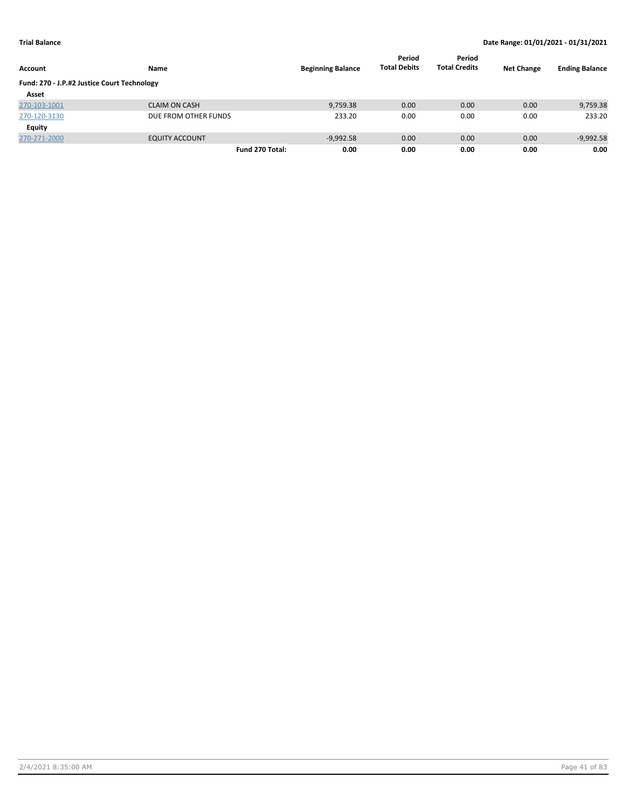| Account                                     | Name                  | <b>Beginning Balance</b> | Period<br><b>Total Debits</b> | Period<br><b>Total Credits</b> | <b>Net Change</b> | <b>Ending Balance</b> |
|---------------------------------------------|-----------------------|--------------------------|-------------------------------|--------------------------------|-------------------|-----------------------|
| Fund: 270 - J.P.#2 Justice Court Technology |                       |                          |                               |                                |                   |                       |
| Asset                                       |                       |                          |                               |                                |                   |                       |
| 270-103-1001                                | <b>CLAIM ON CASH</b>  | 9,759.38                 | 0.00                          | 0.00                           | 0.00              | 9,759.38              |
| 270-120-3130                                | DUE FROM OTHER FUNDS  | 233.20                   | 0.00                          | 0.00                           | 0.00              | 233.20                |
| Equity                                      |                       |                          |                               |                                |                   |                       |
| 270-271-2000                                | <b>EQUITY ACCOUNT</b> | $-9,992.58$              | 0.00                          | 0.00                           | 0.00              | $-9,992.58$           |
|                                             | Fund 270 Total:       | 0.00                     | 0.00                          | 0.00                           | 0.00              | 0.00                  |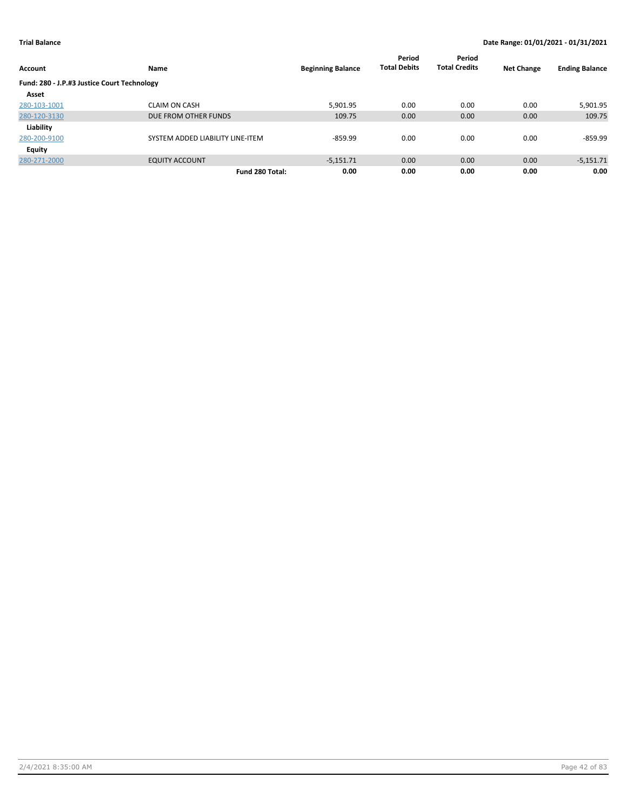| <b>Account</b>                              | Name                             | <b>Beginning Balance</b> | Period<br><b>Total Debits</b> | Period<br><b>Total Credits</b> | <b>Net Change</b> | <b>Ending Balance</b> |
|---------------------------------------------|----------------------------------|--------------------------|-------------------------------|--------------------------------|-------------------|-----------------------|
| Fund: 280 - J.P.#3 Justice Court Technology |                                  |                          |                               |                                |                   |                       |
| Asset                                       |                                  |                          |                               |                                |                   |                       |
| 280-103-1001                                | <b>CLAIM ON CASH</b>             | 5,901.95                 | 0.00                          | 0.00                           | 0.00              | 5,901.95              |
| 280-120-3130                                | DUE FROM OTHER FUNDS             | 109.75                   | 0.00                          | 0.00                           | 0.00              | 109.75                |
| Liability                                   |                                  |                          |                               |                                |                   |                       |
| 280-200-9100                                | SYSTEM ADDED LIABILITY LINE-ITEM | $-859.99$                | 0.00                          | 0.00                           | 0.00              | -859.99               |
| <b>Equity</b>                               |                                  |                          |                               |                                |                   |                       |
| 280-271-2000                                | <b>EQUITY ACCOUNT</b>            | $-5.151.71$              | 0.00                          | 0.00                           | 0.00              | $-5,151.71$           |
|                                             | Fund 280 Total:                  | 0.00                     | 0.00                          | 0.00                           | 0.00              | 0.00                  |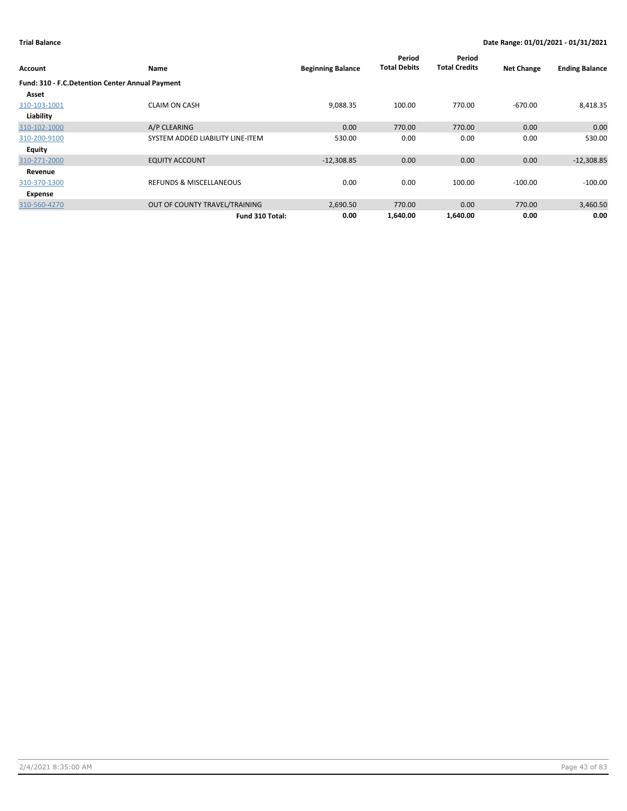|                                                 |                                    |                          | Period<br><b>Total Debits</b> | Period<br><b>Total Credits</b> |                   |                       |
|-------------------------------------------------|------------------------------------|--------------------------|-------------------------------|--------------------------------|-------------------|-----------------------|
| <b>Account</b>                                  | Name                               | <b>Beginning Balance</b> |                               |                                | <b>Net Change</b> | <b>Ending Balance</b> |
| Fund: 310 - F.C.Detention Center Annual Payment |                                    |                          |                               |                                |                   |                       |
| Asset                                           |                                    |                          |                               |                                |                   |                       |
| 310-103-1001                                    | <b>CLAIM ON CASH</b>               | 9,088.35                 | 100.00                        | 770.00                         | $-670.00$         | 8,418.35              |
| Liability                                       |                                    |                          |                               |                                |                   |                       |
| 310-102-1000                                    | A/P CLEARING                       | 0.00                     | 770.00                        | 770.00                         | 0.00              | 0.00                  |
| 310-200-9100                                    | SYSTEM ADDED LIABILITY LINE-ITEM   | 530.00                   | 0.00                          | 0.00                           | 0.00              | 530.00                |
| Equity                                          |                                    |                          |                               |                                |                   |                       |
| 310-271-2000                                    | <b>EQUITY ACCOUNT</b>              | $-12,308.85$             | 0.00                          | 0.00                           | 0.00              | $-12,308.85$          |
| Revenue                                         |                                    |                          |                               |                                |                   |                       |
| 310-370-1300                                    | <b>REFUNDS &amp; MISCELLANEOUS</b> | 0.00                     | 0.00                          | 100.00                         | $-100.00$         | $-100.00$             |
| Expense                                         |                                    |                          |                               |                                |                   |                       |
| 310-560-4270                                    | OUT OF COUNTY TRAVEL/TRAINING      | 2,690.50                 | 770.00                        | 0.00                           | 770.00            | 3,460.50              |
|                                                 | Fund 310 Total:                    | 0.00                     | 1,640.00                      | 1,640.00                       | 0.00              | 0.00                  |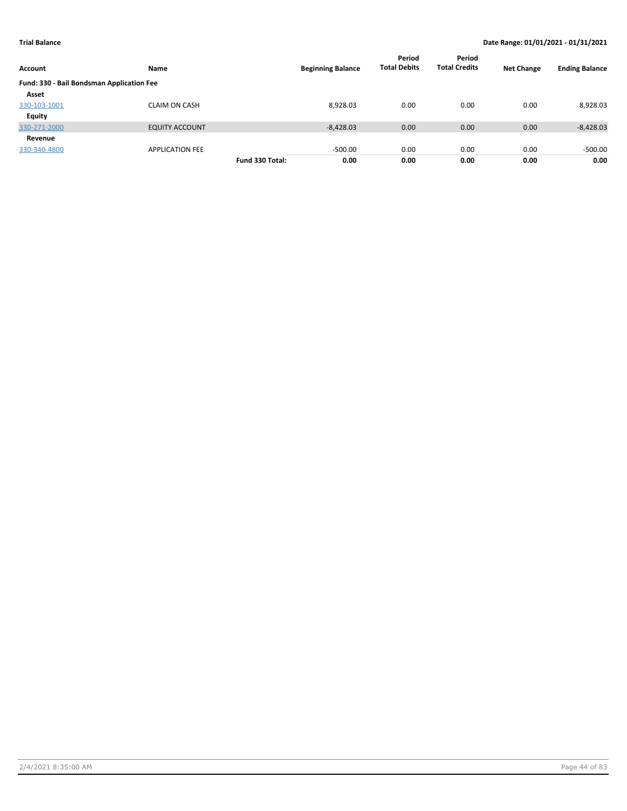| Account                                   | Name                   |                 | <b>Beginning Balance</b> | Period<br><b>Total Debits</b> | Period<br><b>Total Credits</b> | <b>Net Change</b> | <b>Ending Balance</b> |
|-------------------------------------------|------------------------|-----------------|--------------------------|-------------------------------|--------------------------------|-------------------|-----------------------|
| Fund: 330 - Bail Bondsman Application Fee |                        |                 |                          |                               |                                |                   |                       |
| Asset                                     |                        |                 |                          |                               |                                |                   |                       |
| 330-103-1001                              | <b>CLAIM ON CASH</b>   |                 | 8,928.03                 | 0.00                          | 0.00                           | 0.00              | 8,928.03              |
| <b>Equity</b>                             |                        |                 |                          |                               |                                |                   |                       |
| 330-271-2000                              | <b>EQUITY ACCOUNT</b>  |                 | $-8,428.03$              | 0.00                          | 0.00                           | 0.00              | $-8,428.03$           |
| Revenue                                   |                        |                 |                          |                               |                                |                   |                       |
| 330-340-4800                              | <b>APPLICATION FEE</b> |                 | $-500.00$                | 0.00                          | 0.00                           | 0.00              | $-500.00$             |
|                                           |                        | Fund 330 Total: | 0.00                     | 0.00                          | 0.00                           | 0.00              | 0.00                  |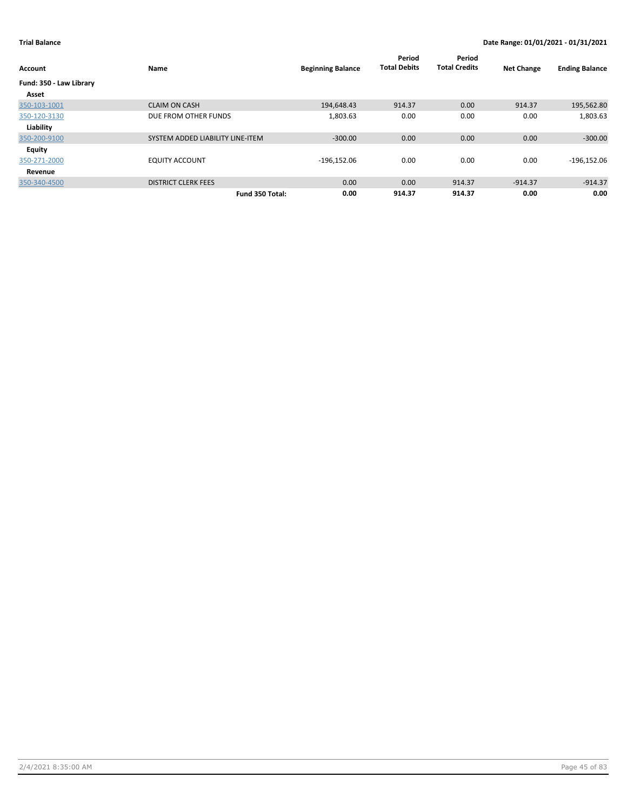| Account                 | Name                             | <b>Beginning Balance</b> | Period<br><b>Total Debits</b> | Period<br><b>Total Credits</b> | <b>Net Change</b> | <b>Ending Balance</b> |
|-------------------------|----------------------------------|--------------------------|-------------------------------|--------------------------------|-------------------|-----------------------|
| Fund: 350 - Law Library |                                  |                          |                               |                                |                   |                       |
| Asset                   |                                  |                          |                               |                                |                   |                       |
| 350-103-1001            | <b>CLAIM ON CASH</b>             | 194,648.43               | 914.37                        | 0.00                           | 914.37            | 195,562.80            |
| 350-120-3130            | DUE FROM OTHER FUNDS             | 1,803.63                 | 0.00                          | 0.00                           | 0.00              | 1,803.63              |
| Liability               |                                  |                          |                               |                                |                   |                       |
| 350-200-9100            | SYSTEM ADDED LIABILITY LINE-ITEM | $-300.00$                | 0.00                          | 0.00                           | 0.00              | $-300.00$             |
| Equity                  |                                  |                          |                               |                                |                   |                       |
| 350-271-2000            | <b>EQUITY ACCOUNT</b>            | $-196,152.06$            | 0.00                          | 0.00                           | 0.00              | $-196,152.06$         |
| Revenue                 |                                  |                          |                               |                                |                   |                       |
| 350-340-4500            | <b>DISTRICT CLERK FEES</b>       | 0.00                     | 0.00                          | 914.37                         | $-914.37$         | $-914.37$             |
|                         | Fund 350 Total:                  | 0.00                     | 914.37                        | 914.37                         | 0.00              | 0.00                  |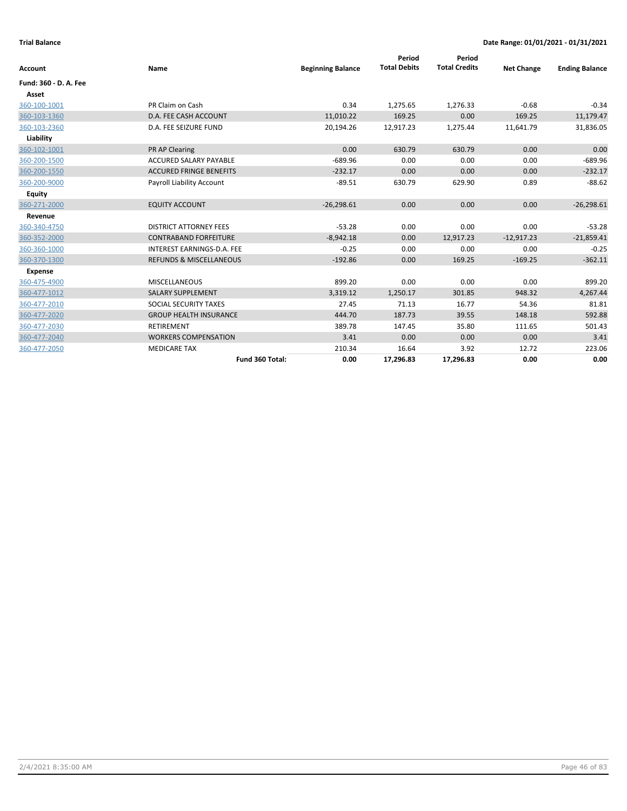| Account               | Name                               | <b>Beginning Balance</b> | Period<br><b>Total Debits</b> | Period<br><b>Total Credits</b> | <b>Net Change</b> | <b>Ending Balance</b> |
|-----------------------|------------------------------------|--------------------------|-------------------------------|--------------------------------|-------------------|-----------------------|
| Fund: 360 - D. A. Fee |                                    |                          |                               |                                |                   |                       |
| Asset                 |                                    |                          |                               |                                |                   |                       |
| 360-100-1001          | PR Claim on Cash                   | 0.34                     | 1,275.65                      | 1,276.33                       | $-0.68$           | $-0.34$               |
| 360-103-1360          | D.A. FEE CASH ACCOUNT              | 11,010.22                | 169.25                        | 0.00                           | 169.25            | 11,179.47             |
| 360-103-2360          | D.A. FEE SEIZURE FUND              | 20,194.26                | 12,917.23                     | 1,275.44                       | 11,641.79         | 31,836.05             |
| Liability             |                                    |                          |                               |                                |                   |                       |
| 360-102-1001          | <b>PR AP Clearing</b>              | 0.00                     | 630.79                        | 630.79                         | 0.00              | 0.00                  |
| 360-200-1500          | <b>ACCURED SALARY PAYABLE</b>      | $-689.96$                | 0.00                          | 0.00                           | 0.00              | $-689.96$             |
| 360-200-1550          | <b>ACCURED FRINGE BENEFITS</b>     | $-232.17$                | 0.00                          | 0.00                           | 0.00              | $-232.17$             |
| 360-200-9000          | Payroll Liability Account          | $-89.51$                 | 630.79                        | 629.90                         | 0.89              | $-88.62$              |
| <b>Equity</b>         |                                    |                          |                               |                                |                   |                       |
| 360-271-2000          | <b>EQUITY ACCOUNT</b>              | $-26,298.61$             | 0.00                          | 0.00                           | 0.00              | $-26,298.61$          |
| Revenue               |                                    |                          |                               |                                |                   |                       |
| 360-340-4750          | <b>DISTRICT ATTORNEY FEES</b>      | $-53.28$                 | 0.00                          | 0.00                           | 0.00              | $-53.28$              |
| 360-352-2000          | <b>CONTRABAND FORFEITURE</b>       | $-8,942.18$              | 0.00                          | 12,917.23                      | $-12,917.23$      | $-21,859.41$          |
| 360-360-1000          | INTEREST EARNINGS-D.A. FEE         | $-0.25$                  | 0.00                          | 0.00                           | 0.00              | $-0.25$               |
| 360-370-1300          | <b>REFUNDS &amp; MISCELLANEOUS</b> | $-192.86$                | 0.00                          | 169.25                         | $-169.25$         | $-362.11$             |
| <b>Expense</b>        |                                    |                          |                               |                                |                   |                       |
| 360-475-4900          | <b>MISCELLANEOUS</b>               | 899.20                   | 0.00                          | 0.00                           | 0.00              | 899.20                |
| 360-477-1012          | <b>SALARY SUPPLEMENT</b>           | 3,319.12                 | 1,250.17                      | 301.85                         | 948.32            | 4,267.44              |
| 360-477-2010          | SOCIAL SECURITY TAXES              | 27.45                    | 71.13                         | 16.77                          | 54.36             | 81.81                 |
| 360-477-2020          | <b>GROUP HEALTH INSURANCE</b>      | 444.70                   | 187.73                        | 39.55                          | 148.18            | 592.88                |
| 360-477-2030          | <b>RETIREMENT</b>                  | 389.78                   | 147.45                        | 35.80                          | 111.65            | 501.43                |
| 360-477-2040          | <b>WORKERS COMPENSATION</b>        | 3.41                     | 0.00                          | 0.00                           | 0.00              | 3.41                  |
| 360-477-2050          | <b>MEDICARE TAX</b>                | 210.34                   | 16.64                         | 3.92                           | 12.72             | 223.06                |
|                       | Fund 360 Total:                    | 0.00                     | 17,296.83                     | 17,296.83                      | 0.00              | 0.00                  |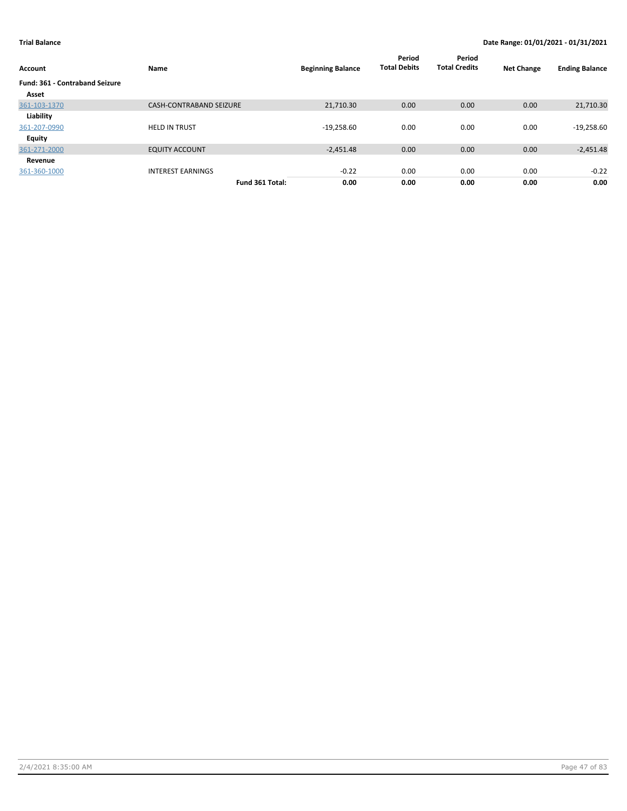| Account                               | Name                           | <b>Beginning Balance</b> | Period<br><b>Total Debits</b> | Period<br><b>Total Credits</b> | <b>Net Change</b> | <b>Ending Balance</b> |
|---------------------------------------|--------------------------------|--------------------------|-------------------------------|--------------------------------|-------------------|-----------------------|
| <b>Fund: 361 - Contraband Seizure</b> |                                |                          |                               |                                |                   |                       |
| Asset                                 |                                |                          |                               |                                |                   |                       |
| 361-103-1370                          | <b>CASH-CONTRABAND SEIZURE</b> | 21,710.30                | 0.00                          | 0.00                           | 0.00              | 21,710.30             |
| Liability                             |                                |                          |                               |                                |                   |                       |
| 361-207-0990                          | <b>HELD IN TRUST</b>           | $-19,258.60$             | 0.00                          | 0.00                           | 0.00              | $-19,258.60$          |
| Equity                                |                                |                          |                               |                                |                   |                       |
| 361-271-2000                          | <b>EQUITY ACCOUNT</b>          | $-2,451.48$              | 0.00                          | 0.00                           | 0.00              | $-2,451.48$           |
| Revenue                               |                                |                          |                               |                                |                   |                       |
| 361-360-1000                          | <b>INTEREST EARNINGS</b>       | $-0.22$                  | 0.00                          | 0.00                           | 0.00              | $-0.22$               |
|                                       | Fund 361 Total:                | 0.00                     | 0.00                          | 0.00                           | 0.00              | 0.00                  |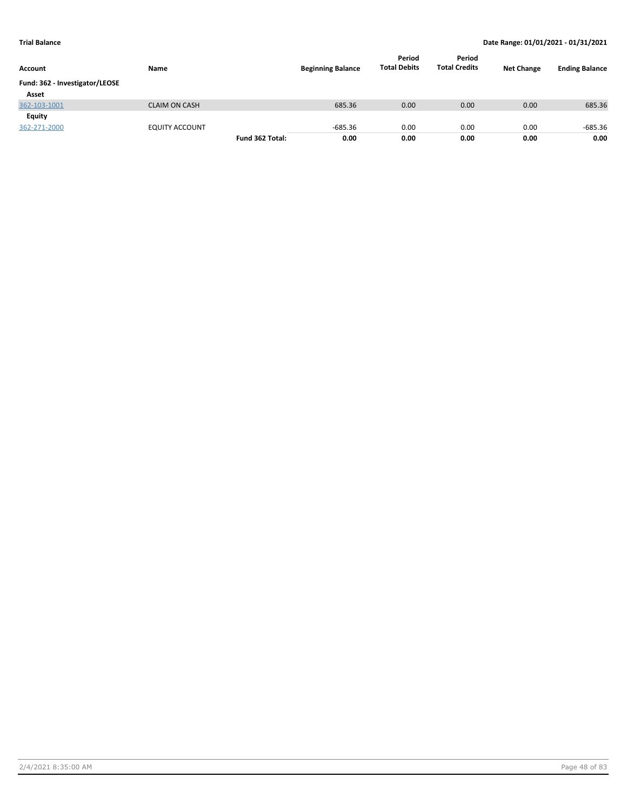| Account                        | Name                  |                 | <b>Beginning Balance</b> | Period<br><b>Total Debits</b> | Period<br><b>Total Credits</b> | <b>Net Change</b> | <b>Ending Balance</b> |
|--------------------------------|-----------------------|-----------------|--------------------------|-------------------------------|--------------------------------|-------------------|-----------------------|
| Fund: 362 - Investigator/LEOSE |                       |                 |                          |                               |                                |                   |                       |
| Asset                          |                       |                 |                          |                               |                                |                   |                       |
| 362-103-1001                   | <b>CLAIM ON CASH</b>  |                 | 685.36                   | 0.00                          | 0.00                           | 0.00              | 685.36                |
| <b>Equity</b>                  |                       |                 |                          |                               |                                |                   |                       |
| 362-271-2000                   | <b>EQUITY ACCOUNT</b> |                 | $-685.36$                | 0.00                          | 0.00                           | 0.00              | -685.36               |
|                                |                       | Fund 362 Total: | 0.00                     | 0.00                          | 0.00                           | 0.00              | 0.00                  |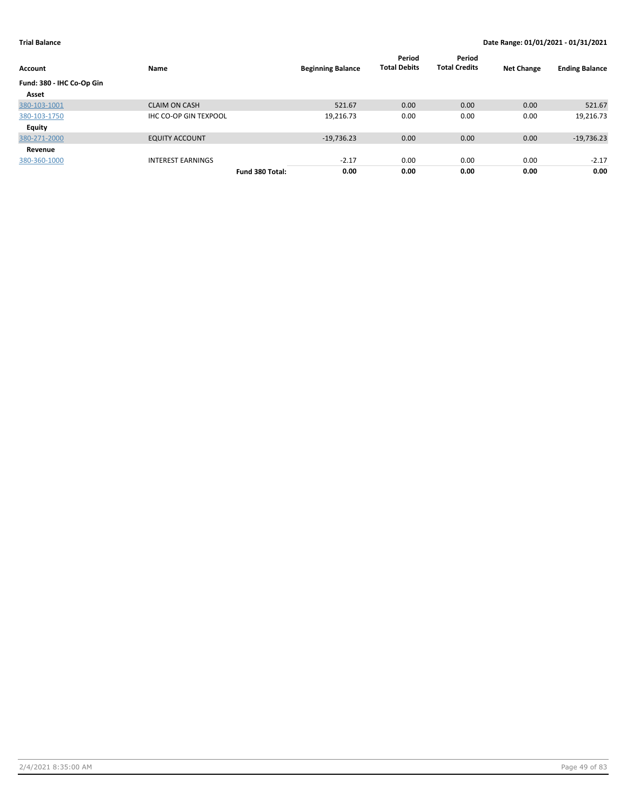| Account                   | Name                         |                 | <b>Beginning Balance</b> | Period<br><b>Total Debits</b> | Period<br><b>Total Credits</b> | <b>Net Change</b> | <b>Ending Balance</b> |
|---------------------------|------------------------------|-----------------|--------------------------|-------------------------------|--------------------------------|-------------------|-----------------------|
| Fund: 380 - IHC Co-Op Gin |                              |                 |                          |                               |                                |                   |                       |
| Asset                     |                              |                 |                          |                               |                                |                   |                       |
| 380-103-1001              | <b>CLAIM ON CASH</b>         |                 | 521.67                   | 0.00                          | 0.00                           | 0.00              | 521.67                |
| 380-103-1750              | <b>IHC CO-OP GIN TEXPOOL</b> |                 | 19,216.73                | 0.00                          | 0.00                           | 0.00              | 19,216.73             |
| Equity                    |                              |                 |                          |                               |                                |                   |                       |
| 380-271-2000              | <b>EQUITY ACCOUNT</b>        |                 | $-19,736.23$             | 0.00                          | 0.00                           | 0.00              | $-19,736.23$          |
| Revenue                   |                              |                 |                          |                               |                                |                   |                       |
| 380-360-1000              | <b>INTEREST EARNINGS</b>     |                 | $-2.17$                  | 0.00                          | 0.00                           | 0.00              | $-2.17$               |
|                           |                              | Fund 380 Total: | 0.00                     | 0.00                          | 0.00                           | 0.00              | 0.00                  |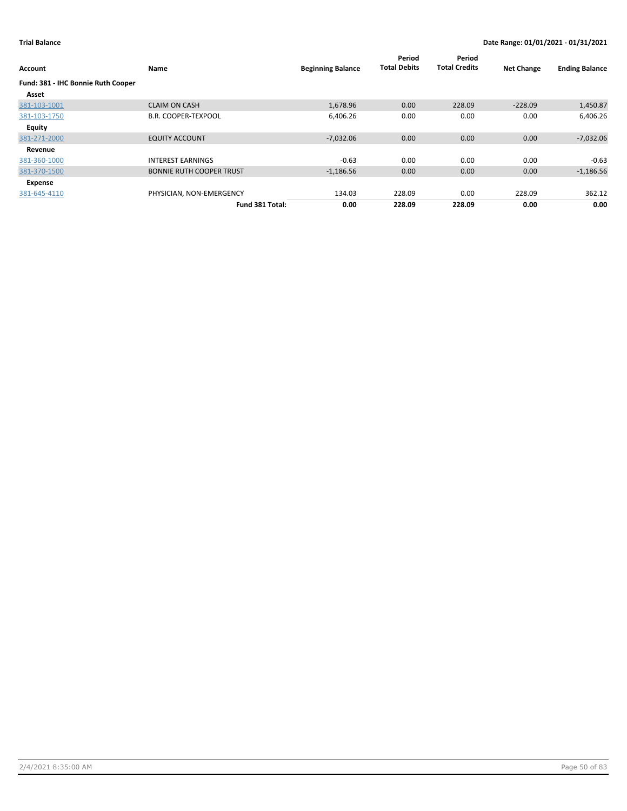| Account                                     | Name                            | <b>Beginning Balance</b> | Period<br><b>Total Debits</b> | Period<br><b>Total Credits</b> | <b>Net Change</b> | <b>Ending Balance</b> |
|---------------------------------------------|---------------------------------|--------------------------|-------------------------------|--------------------------------|-------------------|-----------------------|
| Fund: 381 - IHC Bonnie Ruth Cooper<br>Asset |                                 |                          |                               |                                |                   |                       |
| 381-103-1001                                | <b>CLAIM ON CASH</b>            | 1,678.96                 | 0.00                          | 228.09                         | $-228.09$         | 1,450.87              |
| 381-103-1750                                | <b>B.R. COOPER-TEXPOOL</b>      | 6,406.26                 | 0.00                          | 0.00                           | 0.00              | 6,406.26              |
| Equity                                      |                                 |                          |                               |                                |                   |                       |
| 381-271-2000                                | <b>EQUITY ACCOUNT</b>           | $-7,032.06$              | 0.00                          | 0.00                           | 0.00              | $-7,032.06$           |
| Revenue                                     |                                 |                          |                               |                                |                   |                       |
| 381-360-1000                                | <b>INTEREST EARNINGS</b>        | $-0.63$                  | 0.00                          | 0.00                           | 0.00              | $-0.63$               |
| 381-370-1500                                | <b>BONNIE RUTH COOPER TRUST</b> | $-1,186.56$              | 0.00                          | 0.00                           | 0.00              | $-1,186.56$           |
| Expense                                     |                                 |                          |                               |                                |                   |                       |
| 381-645-4110                                | PHYSICIAN, NON-EMERGENCY        | 134.03                   | 228.09                        | 0.00                           | 228.09            | 362.12                |
|                                             | Fund 381 Total:                 | 0.00                     | 228.09                        | 228.09                         | 0.00              | 0.00                  |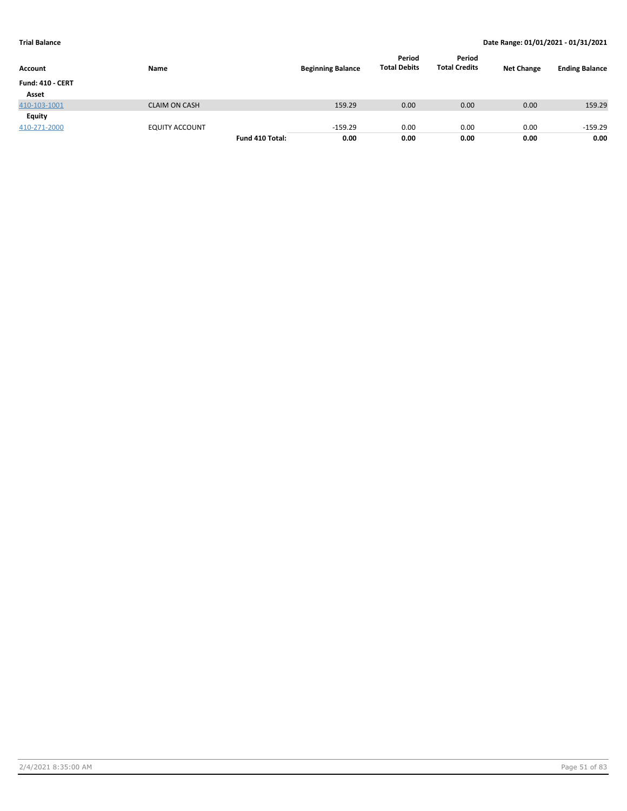| Account                 | Name                  |                 | <b>Beginning Balance</b> | Period<br><b>Total Debits</b> | Period<br><b>Total Credits</b> | <b>Net Change</b> | <b>Ending Balance</b> |
|-------------------------|-----------------------|-----------------|--------------------------|-------------------------------|--------------------------------|-------------------|-----------------------|
| <b>Fund: 410 - CERT</b> |                       |                 |                          |                               |                                |                   |                       |
| Asset                   |                       |                 |                          |                               |                                |                   |                       |
| 410-103-1001            | <b>CLAIM ON CASH</b>  |                 | 159.29                   | 0.00                          | 0.00                           | 0.00              | 159.29                |
| Equity                  |                       |                 |                          |                               |                                |                   |                       |
| 410-271-2000            | <b>EQUITY ACCOUNT</b> |                 | $-159.29$                | 0.00                          | 0.00                           | 0.00              | $-159.29$             |
|                         |                       | Fund 410 Total: | 0.00                     | 0.00                          | 0.00                           | 0.00              | 0.00                  |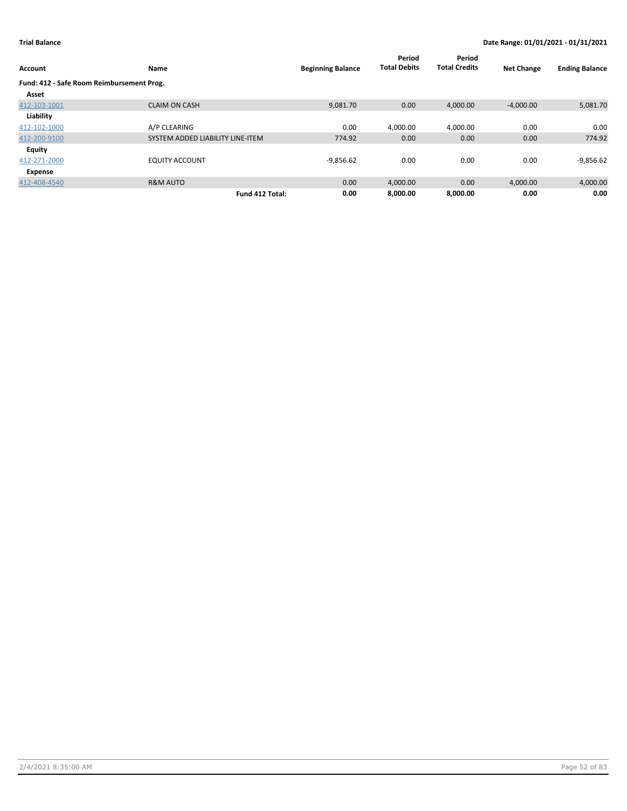| Account                                   | Name                             | <b>Beginning Balance</b> | Period<br><b>Total Debits</b> | Period<br><b>Total Credits</b> | <b>Net Change</b> | <b>Ending Balance</b> |
|-------------------------------------------|----------------------------------|--------------------------|-------------------------------|--------------------------------|-------------------|-----------------------|
| Fund: 412 - Safe Room Reimbursement Prog. |                                  |                          |                               |                                |                   |                       |
| Asset                                     |                                  |                          |                               |                                |                   |                       |
| 412-103-1001                              | <b>CLAIM ON CASH</b>             | 9,081.70                 | 0.00                          | 4,000.00                       | $-4,000.00$       | 5,081.70              |
| Liability                                 |                                  |                          |                               |                                |                   |                       |
| 412-102-1000                              | A/P CLEARING                     | 0.00                     | 4.000.00                      | 4.000.00                       | 0.00              | 0.00                  |
| 412-200-9100                              | SYSTEM ADDED LIABILITY LINE-ITEM | 774.92                   | 0.00                          | 0.00                           | 0.00              | 774.92                |
| Equity                                    |                                  |                          |                               |                                |                   |                       |
| 412-271-2000                              | <b>EQUITY ACCOUNT</b>            | $-9,856.62$              | 0.00                          | 0.00                           | 0.00              | $-9,856.62$           |
| Expense                                   |                                  |                          |                               |                                |                   |                       |
| 412-408-4540                              | <b>R&amp;M AUTO</b>              | 0.00                     | 4,000.00                      | 0.00                           | 4,000.00          | 4,000.00              |
|                                           | Fund 412 Total:                  | 0.00                     | 8.000.00                      | 8.000.00                       | 0.00              | 0.00                  |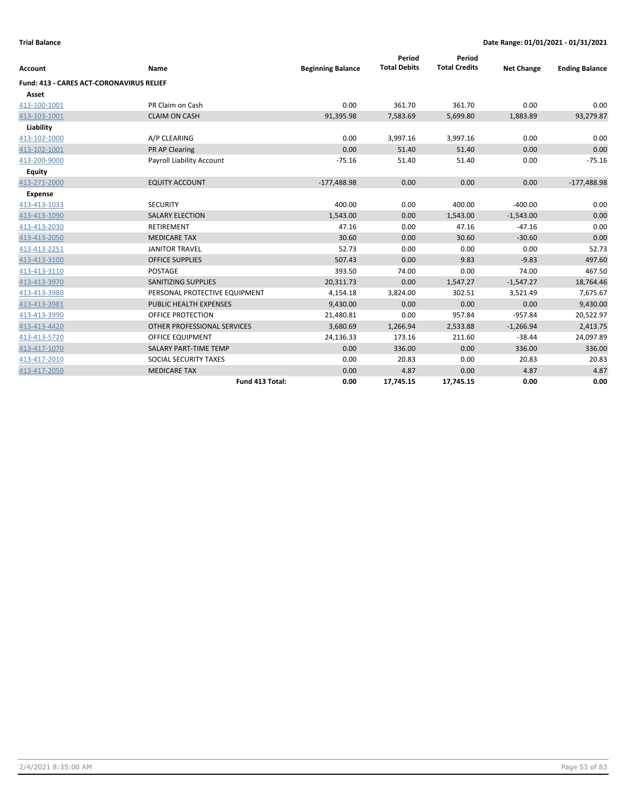|                                          |                               |                          | Period              | Period               |                   |                       |
|------------------------------------------|-------------------------------|--------------------------|---------------------|----------------------|-------------------|-----------------------|
| <b>Account</b>                           | Name                          | <b>Beginning Balance</b> | <b>Total Debits</b> | <b>Total Credits</b> | <b>Net Change</b> | <b>Ending Balance</b> |
| Fund: 413 - CARES ACT-CORONAVIRUS RELIEF |                               |                          |                     |                      |                   |                       |
| Asset                                    |                               |                          |                     |                      |                   |                       |
| 413-100-1001                             | PR Claim on Cash              | 0.00                     | 361.70              | 361.70               | 0.00              | 0.00                  |
| 413-103-1001                             | <b>CLAIM ON CASH</b>          | 91,395.98                | 7,583.69            | 5,699.80             | 1,883.89          | 93,279.87             |
| Liability                                |                               |                          |                     |                      |                   |                       |
| 413-102-1000                             | A/P CLEARING                  | 0.00                     | 3,997.16            | 3,997.16             | 0.00              | 0.00                  |
| 413-102-1001                             | PR AP Clearing                | 0.00                     | 51.40               | 51.40                | 0.00              | 0.00                  |
| 413-200-9000                             | Payroll Liability Account     | $-75.16$                 | 51.40               | 51.40                | 0.00              | $-75.16$              |
| Equity                                   |                               |                          |                     |                      |                   |                       |
| 413-271-2000                             | <b>EQUITY ACCOUNT</b>         | $-177,488.98$            | 0.00                | 0.00                 | 0.00              | $-177,488.98$         |
| <b>Expense</b>                           |                               |                          |                     |                      |                   |                       |
| 413-413-1033                             | <b>SECURITY</b>               | 400.00                   | 0.00                | 400.00               | $-400.00$         | 0.00                  |
| 413-413-1090                             | <b>SALARY ELECTION</b>        | 1,543.00                 | 0.00                | 1,543.00             | $-1,543.00$       | 0.00                  |
| 413-413-2030                             | <b>RETIREMENT</b>             | 47.16                    | 0.00                | 47.16                | $-47.16$          | 0.00                  |
| 413-413-2050                             | <b>MEDICARE TAX</b>           | 30.60                    | 0.00                | 30.60                | $-30.60$          | 0.00                  |
| 413-413-2251                             | <b>JANITOR TRAVEL</b>         | 52.73                    | 0.00                | 0.00                 | 0.00              | 52.73                 |
| 413-413-3100                             | <b>OFFICE SUPPLIES</b>        | 507.43                   | 0.00                | 9.83                 | $-9.83$           | 497.60                |
| 413-413-3110                             | <b>POSTAGE</b>                | 393.50                   | 74.00               | 0.00                 | 74.00             | 467.50                |
| 413-413-3970                             | <b>SANITIZING SUPPLIES</b>    | 20,311.73                | 0.00                | 1,547.27             | $-1,547.27$       | 18,764.46             |
| 413-413-3980                             | PERSONAL PROTECTIVE EQUIPMENT | 4,154.18                 | 3,824.00            | 302.51               | 3,521.49          | 7,675.67              |
| 413-413-3981                             | <b>PUBLIC HEALTH EXPENSES</b> | 9,430.00                 | 0.00                | 0.00                 | 0.00              | 9,430.00              |
| 413-413-3990                             | <b>OFFICE PROTECTION</b>      | 21,480.81                | 0.00                | 957.84               | $-957.84$         | 20,522.97             |
| 413-413-4420                             | OTHER PROFESSIONAL SERVICES   | 3,680.69                 | 1,266.94            | 2,533.88             | $-1,266.94$       | 2,413.75              |
| 413-413-5720                             | OFFICE EQUIPMENT              | 24,136.33                | 173.16              | 211.60               | $-38.44$          | 24,097.89             |
| 413-417-1070                             | SALARY PART-TIME TEMP         | 0.00                     | 336.00              | 0.00                 | 336.00            | 336.00                |
| 413-417-2010                             | SOCIAL SECURITY TAXES         | 0.00                     | 20.83               | 0.00                 | 20.83             | 20.83                 |
| 413-417-2050                             | <b>MEDICARE TAX</b>           | 0.00                     | 4.87                | 0.00                 | 4.87              | 4.87                  |
|                                          | Fund 413 Total:               | 0.00                     | 17,745.15           | 17,745.15            | 0.00              | 0.00                  |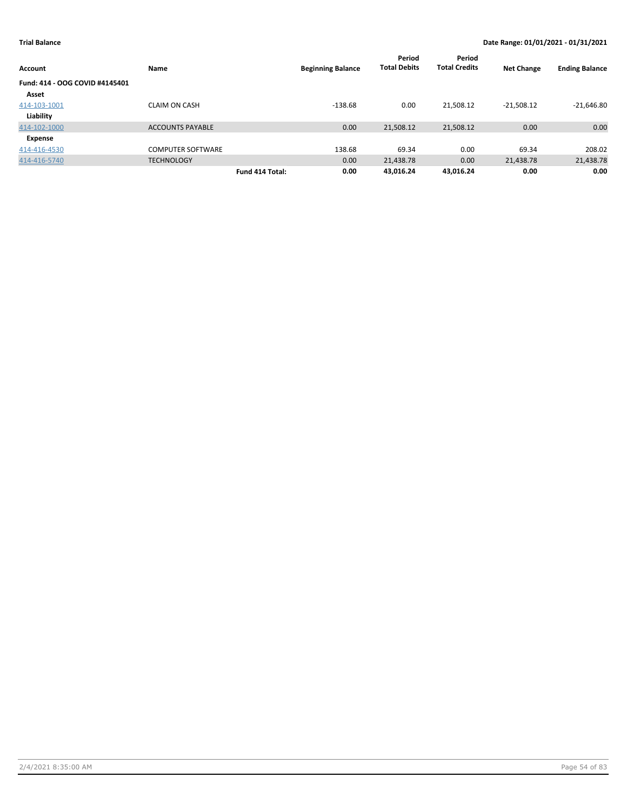| Account                        | Name                     |                 | <b>Beginning Balance</b> | Period<br><b>Total Debits</b> | Period<br><b>Total Credits</b> | <b>Net Change</b> | <b>Ending Balance</b> |
|--------------------------------|--------------------------|-----------------|--------------------------|-------------------------------|--------------------------------|-------------------|-----------------------|
| Fund: 414 - OOG COVID #4145401 |                          |                 |                          |                               |                                |                   |                       |
| Asset                          |                          |                 |                          |                               |                                |                   |                       |
| 414-103-1001                   | <b>CLAIM ON CASH</b>     |                 | $-138.68$                | 0.00                          | 21,508.12                      | $-21,508.12$      | $-21,646.80$          |
| Liability                      |                          |                 |                          |                               |                                |                   |                       |
| 414-102-1000                   | <b>ACCOUNTS PAYABLE</b>  |                 | 0.00                     | 21,508.12                     | 21,508.12                      | 0.00              | 0.00                  |
| Expense                        |                          |                 |                          |                               |                                |                   |                       |
| 414-416-4530                   | <b>COMPUTER SOFTWARE</b> |                 | 138.68                   | 69.34                         | 0.00                           | 69.34             | 208.02                |
| 414-416-5740                   | <b>TECHNOLOGY</b>        |                 | 0.00                     | 21,438.78                     | 0.00                           | 21,438.78         | 21,438.78             |
|                                |                          | Fund 414 Total: | 0.00                     | 43.016.24                     | 43.016.24                      | 0.00              | 0.00                  |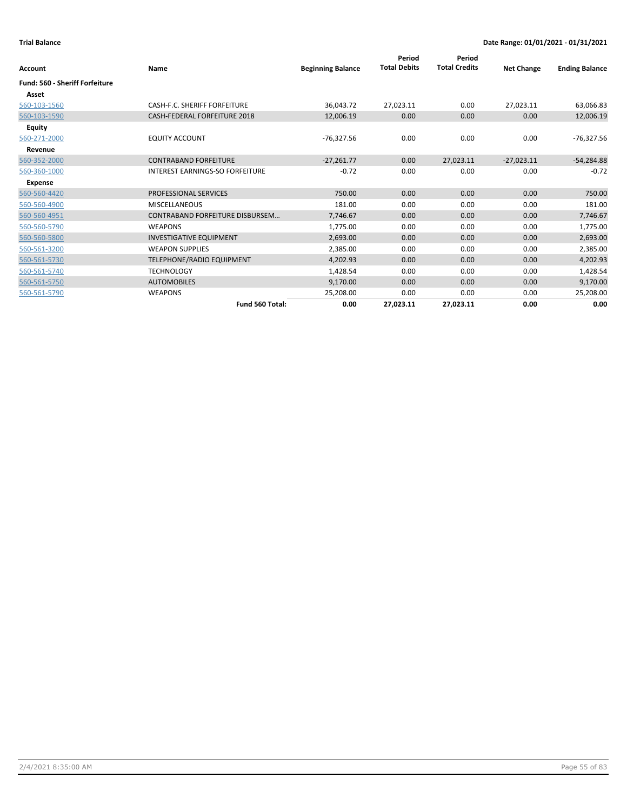| Account                        | Name                                   | <b>Beginning Balance</b> | Period<br><b>Total Debits</b> | Period<br><b>Total Credits</b> | <b>Net Change</b> | <b>Ending Balance</b> |
|--------------------------------|----------------------------------------|--------------------------|-------------------------------|--------------------------------|-------------------|-----------------------|
| Fund: 560 - Sheriff Forfeiture |                                        |                          |                               |                                |                   |                       |
| Asset                          |                                        |                          |                               |                                |                   |                       |
| 560-103-1560                   | CASH-F.C. SHERIFF FORFEITURE           | 36,043.72                | 27,023.11                     | 0.00                           | 27,023.11         | 63,066.83             |
| 560-103-1590                   | <b>CASH-FEDERAL FORFEITURE 2018</b>    | 12,006.19                | 0.00                          | 0.00                           | 0.00              | 12,006.19             |
| <b>Equity</b>                  |                                        |                          |                               |                                |                   |                       |
| 560-271-2000                   | <b>EQUITY ACCOUNT</b>                  | $-76,327.56$             | 0.00                          | 0.00                           | 0.00              | -76,327.56            |
| Revenue                        |                                        |                          |                               |                                |                   |                       |
| 560-352-2000                   | <b>CONTRABAND FORFEITURE</b>           | $-27,261.77$             | 0.00                          | 27,023.11                      | $-27,023.11$      | $-54,284.88$          |
| 560-360-1000                   | <b>INTEREST EARNINGS-SO FORFEITURE</b> | $-0.72$                  | 0.00                          | 0.00                           | 0.00              | $-0.72$               |
| Expense                        |                                        |                          |                               |                                |                   |                       |
| 560-560-4420                   | PROFESSIONAL SERVICES                  | 750.00                   | 0.00                          | 0.00                           | 0.00              | 750.00                |
| 560-560-4900                   | <b>MISCELLANEOUS</b>                   | 181.00                   | 0.00                          | 0.00                           | 0.00              | 181.00                |
| 560-560-4951                   | CONTRABAND FORFEITURE DISBURSEM        | 7,746.67                 | 0.00                          | 0.00                           | 0.00              | 7,746.67              |
| 560-560-5790                   | <b>WEAPONS</b>                         | 1,775.00                 | 0.00                          | 0.00                           | 0.00              | 1,775.00              |
| 560-560-5800                   | <b>INVESTIGATIVE EQUIPMENT</b>         | 2,693.00                 | 0.00                          | 0.00                           | 0.00              | 2,693.00              |
| 560-561-3200                   | <b>WEAPON SUPPLIES</b>                 | 2,385.00                 | 0.00                          | 0.00                           | 0.00              | 2,385.00              |
| 560-561-5730                   | TELEPHONE/RADIO EQUIPMENT              | 4,202.93                 | 0.00                          | 0.00                           | 0.00              | 4,202.93              |
| 560-561-5740                   | <b>TECHNOLOGY</b>                      | 1,428.54                 | 0.00                          | 0.00                           | 0.00              | 1,428.54              |
| 560-561-5750                   | <b>AUTOMOBILES</b>                     | 9,170.00                 | 0.00                          | 0.00                           | 0.00              | 9,170.00              |
| 560-561-5790                   | <b>WEAPONS</b>                         | 25,208.00                | 0.00                          | 0.00                           | 0.00              | 25,208.00             |
|                                | Fund 560 Total:                        | 0.00                     | 27,023.11                     | 27,023.11                      | 0.00              | 0.00                  |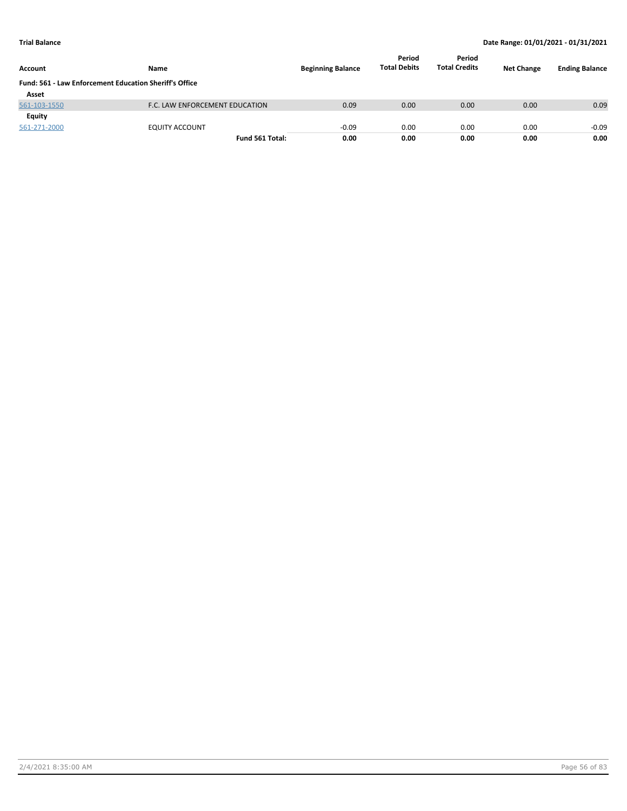| Account                                                       | Name                           | <b>Beginning Balance</b> | Period<br><b>Total Debits</b> | Period<br><b>Total Credits</b> | <b>Net Change</b> | <b>Ending Balance</b> |
|---------------------------------------------------------------|--------------------------------|--------------------------|-------------------------------|--------------------------------|-------------------|-----------------------|
| <b>Fund: 561 - Law Enforcement Education Sheriff's Office</b> |                                |                          |                               |                                |                   |                       |
| Asset                                                         |                                |                          |                               |                                |                   |                       |
| 561-103-1550                                                  | F.C. LAW ENFORCEMENT EDUCATION | 0.09                     | 0.00                          | 0.00                           | 0.00              | 0.09                  |
| Equity                                                        |                                |                          |                               |                                |                   |                       |
| 561-271-2000                                                  | <b>EQUITY ACCOUNT</b>          | $-0.09$                  | 0.00                          | 0.00                           | 0.00              | $-0.09$               |
|                                                               | Fund 561 Total:                | 0.00                     | 0.00                          | 0.00                           | 0.00              | 0.00                  |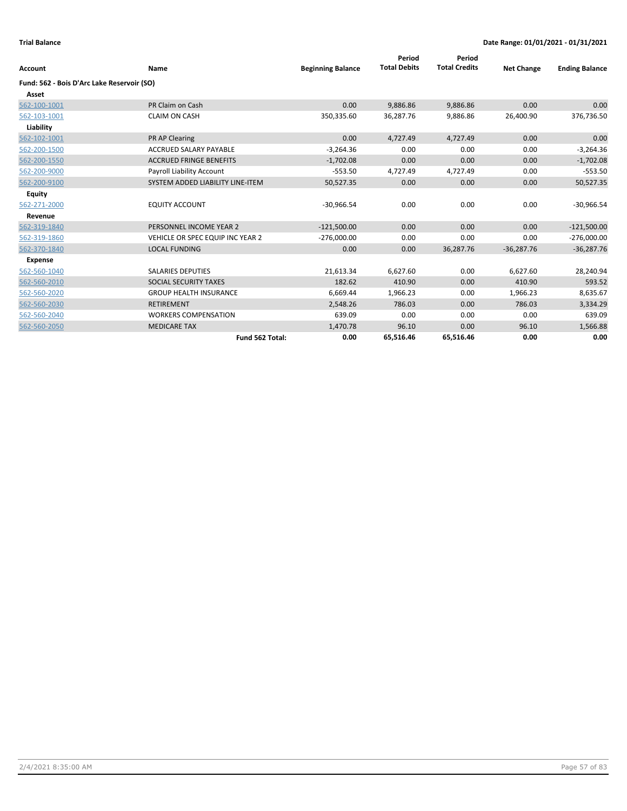| <b>Account</b>                             | Name                             | <b>Beginning Balance</b> | Period<br><b>Total Debits</b> | Period<br><b>Total Credits</b> | <b>Net Change</b> | <b>Ending Balance</b> |
|--------------------------------------------|----------------------------------|--------------------------|-------------------------------|--------------------------------|-------------------|-----------------------|
| Fund: 562 - Bois D'Arc Lake Reservoir (SO) |                                  |                          |                               |                                |                   |                       |
| Asset                                      |                                  |                          |                               |                                |                   |                       |
| 562-100-1001                               | PR Claim on Cash                 | 0.00                     | 9,886.86                      | 9,886.86                       | 0.00              | 0.00                  |
| 562-103-1001                               | <b>CLAIM ON CASH</b>             | 350,335.60               | 36,287.76                     | 9,886.86                       | 26,400.90         | 376,736.50            |
| Liability                                  |                                  |                          |                               |                                |                   |                       |
| 562-102-1001                               | PR AP Clearing                   | 0.00                     | 4,727.49                      | 4,727.49                       | 0.00              | 0.00                  |
| 562-200-1500                               | <b>ACCRUED SALARY PAYABLE</b>    | $-3,264.36$              | 0.00                          | 0.00                           | 0.00              | $-3,264.36$           |
| 562-200-1550                               | <b>ACCRUED FRINGE BENEFITS</b>   | $-1,702.08$              | 0.00                          | 0.00                           | 0.00              | $-1,702.08$           |
| 562-200-9000                               | Payroll Liability Account        | $-553.50$                | 4,727.49                      | 4,727.49                       | 0.00              | $-553.50$             |
| 562-200-9100                               | SYSTEM ADDED LIABILITY LINE-ITEM | 50,527.35                | 0.00                          | 0.00                           | 0.00              | 50,527.35             |
| <b>Equity</b>                              |                                  |                          |                               |                                |                   |                       |
| 562-271-2000                               | <b>EQUITY ACCOUNT</b>            | $-30,966.54$             | 0.00                          | 0.00                           | 0.00              | $-30,966.54$          |
| Revenue                                    |                                  |                          |                               |                                |                   |                       |
| 562-319-1840                               | PERSONNEL INCOME YEAR 2          | $-121,500.00$            | 0.00                          | 0.00                           | 0.00              | $-121,500.00$         |
| 562-319-1860                               | VEHICLE OR SPEC EQUIP INC YEAR 2 | $-276,000.00$            | 0.00                          | 0.00                           | 0.00              | $-276,000.00$         |
| 562-370-1840                               | <b>LOCAL FUNDING</b>             | 0.00                     | 0.00                          | 36,287.76                      | $-36,287.76$      | $-36,287.76$          |
| <b>Expense</b>                             |                                  |                          |                               |                                |                   |                       |
| 562-560-1040                               | <b>SALARIES DEPUTIES</b>         | 21,613.34                | 6,627.60                      | 0.00                           | 6,627.60          | 28,240.94             |
| 562-560-2010                               | SOCIAL SECURITY TAXES            | 182.62                   | 410.90                        | 0.00                           | 410.90            | 593.52                |
| 562-560-2020                               | <b>GROUP HEALTH INSURANCE</b>    | 6,669.44                 | 1,966.23                      | 0.00                           | 1,966.23          | 8,635.67              |
| 562-560-2030                               | <b>RETIREMENT</b>                | 2,548.26                 | 786.03                        | 0.00                           | 786.03            | 3,334.29              |
| 562-560-2040                               | <b>WORKERS COMPENSATION</b>      | 639.09                   | 0.00                          | 0.00                           | 0.00              | 639.09                |
| 562-560-2050                               | <b>MEDICARE TAX</b>              | 1,470.78                 | 96.10                         | 0.00                           | 96.10             | 1,566.88              |
|                                            | Fund 562 Total:                  | 0.00                     | 65,516.46                     | 65,516.46                      | 0.00              | 0.00                  |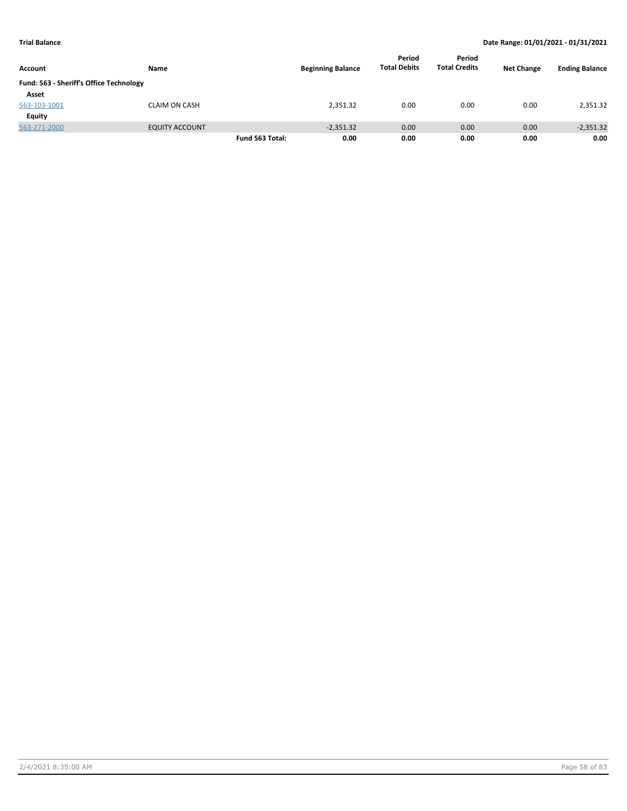| Account                                 | Name                  |                 | <b>Beginning Balance</b> | Period<br><b>Total Debits</b> | Period<br><b>Total Credits</b> | <b>Net Change</b> | <b>Ending Balance</b> |
|-----------------------------------------|-----------------------|-----------------|--------------------------|-------------------------------|--------------------------------|-------------------|-----------------------|
| Fund: 563 - Sheriff's Office Technology |                       |                 |                          |                               |                                |                   |                       |
| Asset                                   |                       |                 |                          |                               |                                |                   |                       |
| 563-103-1001                            | <b>CLAIM ON CASH</b>  |                 | 2,351.32                 | 0.00                          | 0.00                           | 0.00              | 2,351.32              |
| Equity                                  |                       |                 |                          |                               |                                |                   |                       |
| 563-271-2000                            | <b>EQUITY ACCOUNT</b> |                 | $-2,351.32$              | 0.00                          | 0.00                           | 0.00              | $-2,351.32$           |
|                                         |                       | Fund 563 Total: | 0.00                     | 0.00                          | 0.00                           | 0.00              | 0.00                  |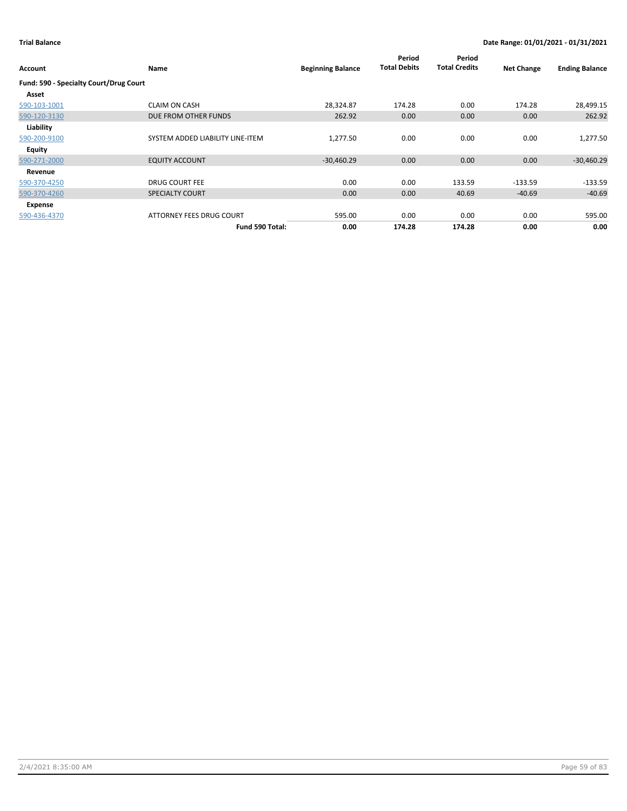| Account                                | Name                             | <b>Beginning Balance</b> | Period<br><b>Total Debits</b> | Period<br><b>Total Credits</b> | <b>Net Change</b> | <b>Ending Balance</b> |
|----------------------------------------|----------------------------------|--------------------------|-------------------------------|--------------------------------|-------------------|-----------------------|
| Fund: 590 - Specialty Court/Drug Court |                                  |                          |                               |                                |                   |                       |
| Asset                                  |                                  |                          |                               |                                |                   |                       |
| 590-103-1001                           | <b>CLAIM ON CASH</b>             | 28,324.87                | 174.28                        | 0.00                           | 174.28            | 28,499.15             |
| 590-120-3130                           | DUE FROM OTHER FUNDS             | 262.92                   | 0.00                          | 0.00                           | 0.00              | 262.92                |
| Liability                              |                                  |                          |                               |                                |                   |                       |
| 590-200-9100                           | SYSTEM ADDED LIABILITY LINE-ITEM | 1,277.50                 | 0.00                          | 0.00                           | 0.00              | 1,277.50              |
| Equity                                 |                                  |                          |                               |                                |                   |                       |
| 590-271-2000                           | <b>EQUITY ACCOUNT</b>            | $-30,460.29$             | 0.00                          | 0.00                           | 0.00              | $-30,460.29$          |
| Revenue                                |                                  |                          |                               |                                |                   |                       |
| 590-370-4250                           | <b>DRUG COURT FEE</b>            | 0.00                     | 0.00                          | 133.59                         | $-133.59$         | $-133.59$             |
| 590-370-4260                           | <b>SPECIALTY COURT</b>           | 0.00                     | 0.00                          | 40.69                          | $-40.69$          | $-40.69$              |
| Expense                                |                                  |                          |                               |                                |                   |                       |
| 590-436-4370                           | ATTORNEY FEES DRUG COURT         | 595.00                   | 0.00                          | 0.00                           | 0.00              | 595.00                |
|                                        | Fund 590 Total:                  | 0.00                     | 174.28                        | 174.28                         | 0.00              | 0.00                  |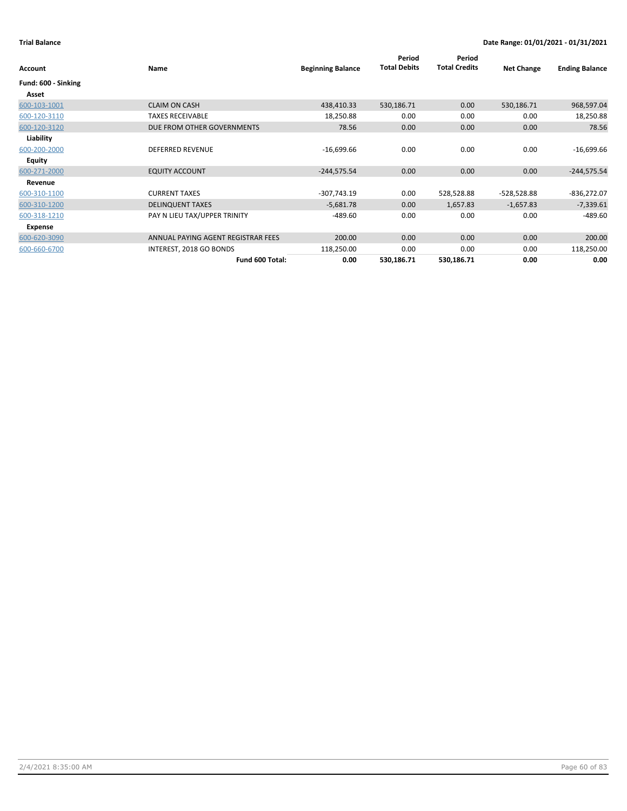| Account             | Name                               | <b>Beginning Balance</b> | Period<br><b>Total Debits</b> | Period<br><b>Total Credits</b> | <b>Net Change</b> | <b>Ending Balance</b> |
|---------------------|------------------------------------|--------------------------|-------------------------------|--------------------------------|-------------------|-----------------------|
| Fund: 600 - Sinking |                                    |                          |                               |                                |                   |                       |
| Asset               |                                    |                          |                               |                                |                   |                       |
| 600-103-1001        | <b>CLAIM ON CASH</b>               | 438,410.33               | 530,186.71                    | 0.00                           | 530,186.71        | 968,597.04            |
| 600-120-3110        | <b>TAXES RECEIVABLE</b>            | 18,250.88                | 0.00                          | 0.00                           | 0.00              | 18,250.88             |
| 600-120-3120        | DUE FROM OTHER GOVERNMENTS         | 78.56                    | 0.00                          | 0.00                           | 0.00              | 78.56                 |
| Liability           |                                    |                          |                               |                                |                   |                       |
| 600-200-2000        | <b>DEFERRED REVENUE</b>            | $-16,699.66$             | 0.00                          | 0.00                           | 0.00              | $-16,699.66$          |
| Equity              |                                    |                          |                               |                                |                   |                       |
| 600-271-2000        | <b>EQUITY ACCOUNT</b>              | $-244,575.54$            | 0.00                          | 0.00                           | 0.00              | $-244,575.54$         |
| Revenue             |                                    |                          |                               |                                |                   |                       |
| 600-310-1100        | <b>CURRENT TAXES</b>               | $-307,743.19$            | 0.00                          | 528,528.88                     | -528,528.88       | $-836,272.07$         |
| 600-310-1200        | <b>DELINQUENT TAXES</b>            | $-5,681.78$              | 0.00                          | 1,657.83                       | $-1,657.83$       | $-7,339.61$           |
| 600-318-1210        | PAY N LIEU TAX/UPPER TRINITY       | $-489.60$                | 0.00                          | 0.00                           | 0.00              | $-489.60$             |
| Expense             |                                    |                          |                               |                                |                   |                       |
| 600-620-3090        | ANNUAL PAYING AGENT REGISTRAR FEES | 200.00                   | 0.00                          | 0.00                           | 0.00              | 200.00                |
| 600-660-6700        | INTEREST, 2018 GO BONDS            | 118,250.00               | 0.00                          | 0.00                           | 0.00              | 118,250.00            |
|                     | Fund 600 Total:                    | 0.00                     | 530,186.71                    | 530,186.71                     | 0.00              | 0.00                  |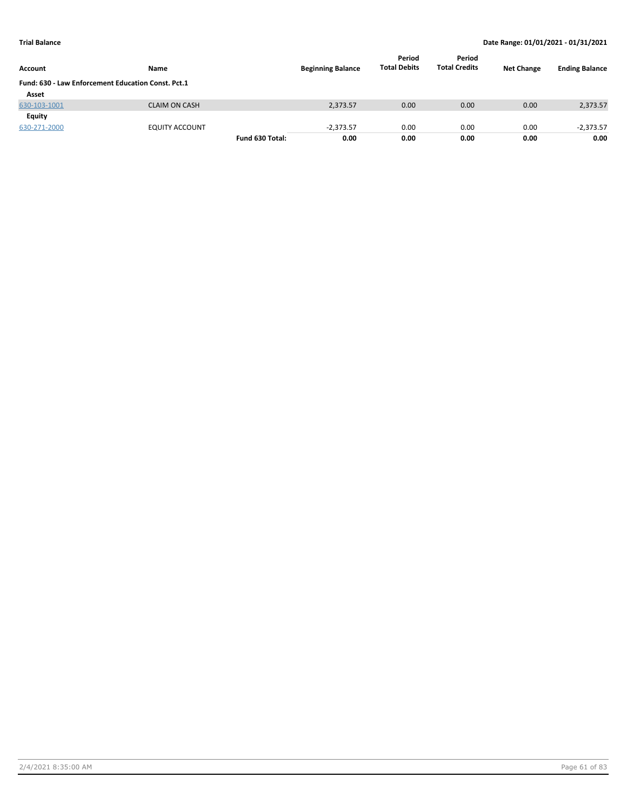| Account                                            | Name                  |                 | <b>Beginning Balance</b> | Period<br><b>Total Debits</b> | Period<br><b>Total Credits</b> | <b>Net Change</b> | <b>Ending Balance</b> |
|----------------------------------------------------|-----------------------|-----------------|--------------------------|-------------------------------|--------------------------------|-------------------|-----------------------|
| Fund: 630 - Law Enforcement Education Const. Pct.1 |                       |                 |                          |                               |                                |                   |                       |
| Asset                                              |                       |                 |                          |                               |                                |                   |                       |
| 630-103-1001                                       | <b>CLAIM ON CASH</b>  |                 | 2,373.57                 | 0.00                          | 0.00                           | 0.00              | 2,373.57              |
| Equity                                             |                       |                 |                          |                               |                                |                   |                       |
| 630-271-2000                                       | <b>EQUITY ACCOUNT</b> |                 | $-2.373.57$              | 0.00                          | 0.00                           | 0.00              | $-2,373.57$           |
|                                                    |                       | Fund 630 Total: | 0.00                     | 0.00                          | 0.00                           | 0.00              | 0.00                  |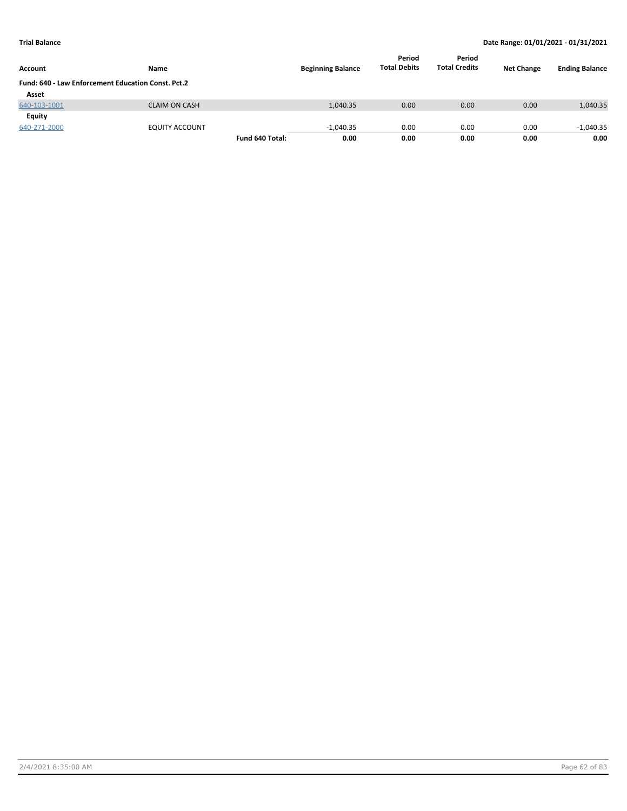| <b>Account</b>                                     | Name                 |                 | <b>Beginning Balance</b> | Period<br><b>Total Debits</b> | Period<br><b>Total Credits</b> | <b>Net Change</b> | <b>Ending Balance</b> |
|----------------------------------------------------|----------------------|-----------------|--------------------------|-------------------------------|--------------------------------|-------------------|-----------------------|
| Fund: 640 - Law Enforcement Education Const. Pct.2 |                      |                 |                          |                               |                                |                   |                       |
| Asset                                              |                      |                 |                          |                               |                                |                   |                       |
| 640-103-1001                                       | <b>CLAIM ON CASH</b> |                 | 1,040.35                 | 0.00                          | 0.00                           | 0.00              | 1,040.35              |
| Equity                                             |                      |                 |                          |                               |                                |                   |                       |
| 640-271-2000                                       | EQUITY ACCOUNT       |                 | $-1.040.35$              | 0.00                          | 0.00                           | 0.00              | $-1,040.35$           |
|                                                    |                      | Fund 640 Total: | 0.00                     | 0.00                          | 0.00                           | 0.00              | 0.00                  |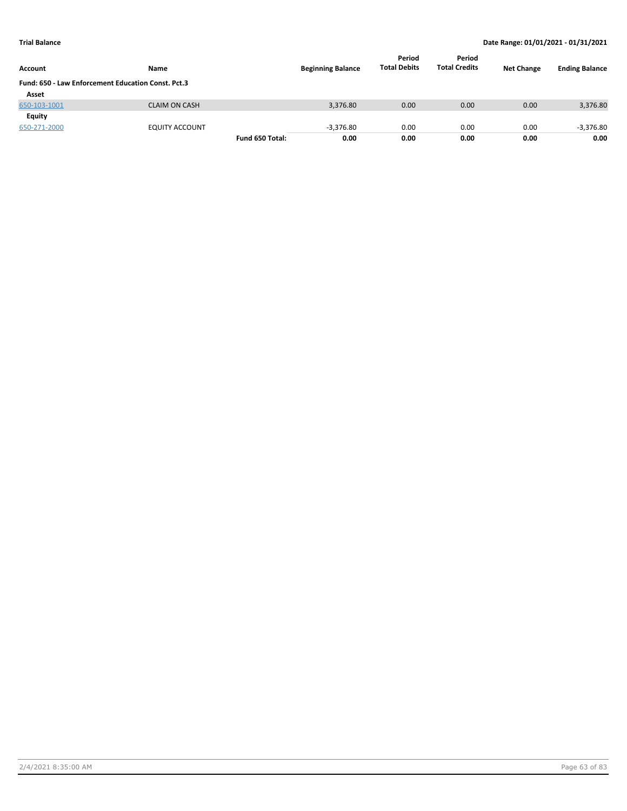| Account                                            | Name                  |                 | <b>Beginning Balance</b> | Period<br><b>Total Debits</b> | Period<br><b>Total Credits</b> | <b>Net Change</b> | <b>Ending Balance</b> |
|----------------------------------------------------|-----------------------|-----------------|--------------------------|-------------------------------|--------------------------------|-------------------|-----------------------|
| Fund: 650 - Law Enforcement Education Const. Pct.3 |                       |                 |                          |                               |                                |                   |                       |
| Asset                                              |                       |                 |                          |                               |                                |                   |                       |
| 650-103-1001                                       | <b>CLAIM ON CASH</b>  |                 | 3,376.80                 | 0.00                          | 0.00                           | 0.00              | 3,376.80              |
| Equity                                             |                       |                 |                          |                               |                                |                   |                       |
| 650-271-2000                                       | <b>EQUITY ACCOUNT</b> |                 | $-3,376.80$              | 0.00                          | 0.00                           | 0.00              | $-3,376.80$           |
|                                                    |                       | Fund 650 Total: | 0.00                     | 0.00                          | 0.00                           | 0.00              | 0.00                  |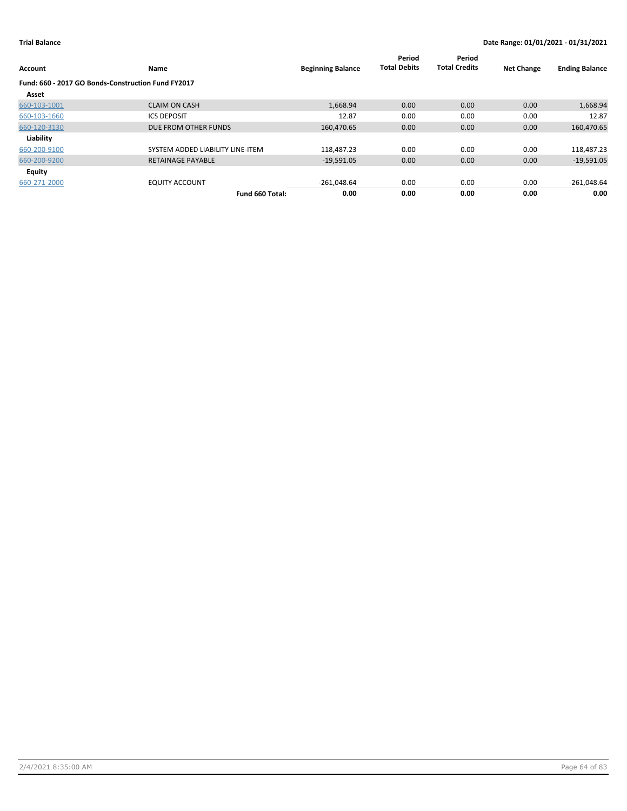| Account                                            | Name                             | <b>Beginning Balance</b> | Period<br><b>Total Debits</b> | Period<br><b>Total Credits</b> | <b>Net Change</b> | <b>Ending Balance</b> |
|----------------------------------------------------|----------------------------------|--------------------------|-------------------------------|--------------------------------|-------------------|-----------------------|
| Fund: 660 - 2017 GO Bonds-Construction Fund FY2017 |                                  |                          |                               |                                |                   |                       |
| Asset                                              |                                  |                          |                               |                                |                   |                       |
| 660-103-1001                                       | <b>CLAIM ON CASH</b>             | 1,668.94                 | 0.00                          | 0.00                           | 0.00              | 1,668.94              |
| 660-103-1660                                       | <b>ICS DEPOSIT</b>               | 12.87                    | 0.00                          | 0.00                           | 0.00              | 12.87                 |
| 660-120-3130                                       | DUE FROM OTHER FUNDS             | 160,470.65               | 0.00                          | 0.00                           | 0.00              | 160,470.65            |
| Liability                                          |                                  |                          |                               |                                |                   |                       |
| 660-200-9100                                       | SYSTEM ADDED LIABILITY LINE-ITEM | 118,487.23               | 0.00                          | 0.00                           | 0.00              | 118,487.23            |
| 660-200-9200                                       | <b>RETAINAGE PAYABLE</b>         | $-19,591.05$             | 0.00                          | 0.00                           | 0.00              | $-19,591.05$          |
| <b>Equity</b>                                      |                                  |                          |                               |                                |                   |                       |
| 660-271-2000                                       | <b>EQUITY ACCOUNT</b>            | $-261,048.64$            | 0.00                          | 0.00                           | 0.00              | $-261,048.64$         |
|                                                    | Fund 660 Total:                  | 0.00                     | 0.00                          | 0.00                           | 0.00              | 0.00                  |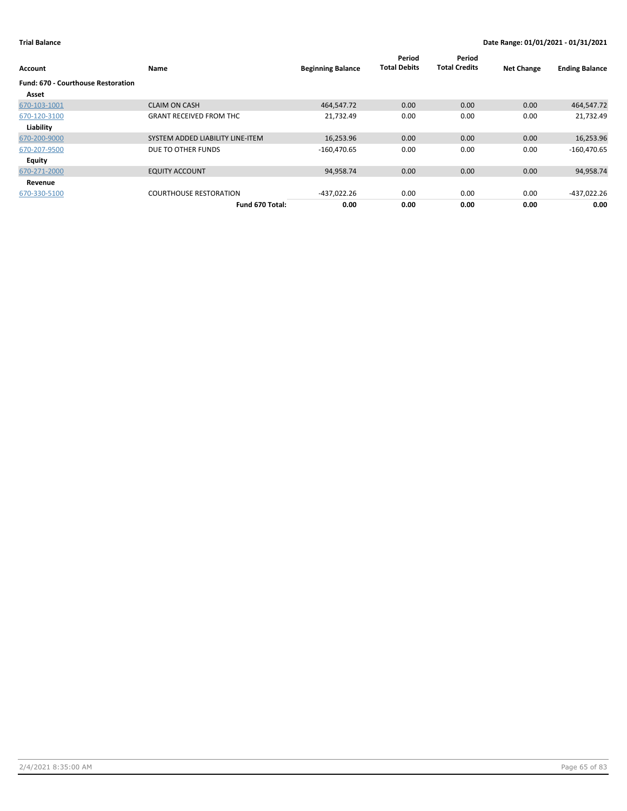| Account                                   | Name                             | <b>Beginning Balance</b> | Period<br><b>Total Debits</b> | Period<br><b>Total Credits</b> | <b>Net Change</b> | <b>Ending Balance</b> |
|-------------------------------------------|----------------------------------|--------------------------|-------------------------------|--------------------------------|-------------------|-----------------------|
| <b>Fund: 670 - Courthouse Restoration</b> |                                  |                          |                               |                                |                   |                       |
| Asset                                     |                                  |                          |                               |                                |                   |                       |
| 670-103-1001                              | <b>CLAIM ON CASH</b>             | 464,547.72               | 0.00                          | 0.00                           | 0.00              | 464,547.72            |
| 670-120-3100                              | <b>GRANT RECEIVED FROM THC</b>   | 21,732.49                | 0.00                          | 0.00                           | 0.00              | 21,732.49             |
| Liability                                 |                                  |                          |                               |                                |                   |                       |
| 670-200-9000                              | SYSTEM ADDED LIABILITY LINE-ITEM | 16,253.96                | 0.00                          | 0.00                           | 0.00              | 16,253.96             |
| 670-207-9500                              | DUE TO OTHER FUNDS               | $-160,470.65$            | 0.00                          | 0.00                           | 0.00              | $-160,470.65$         |
| Equity                                    |                                  |                          |                               |                                |                   |                       |
| 670-271-2000                              | <b>EQUITY ACCOUNT</b>            | 94,958.74                | 0.00                          | 0.00                           | 0.00              | 94,958.74             |
| Revenue                                   |                                  |                          |                               |                                |                   |                       |
| 670-330-5100                              | <b>COURTHOUSE RESTORATION</b>    | -437,022.26              | 0.00                          | 0.00                           | 0.00              | -437,022.26           |
|                                           | Fund 670 Total:                  | 0.00                     | 0.00                          | 0.00                           | 0.00              | 0.00                  |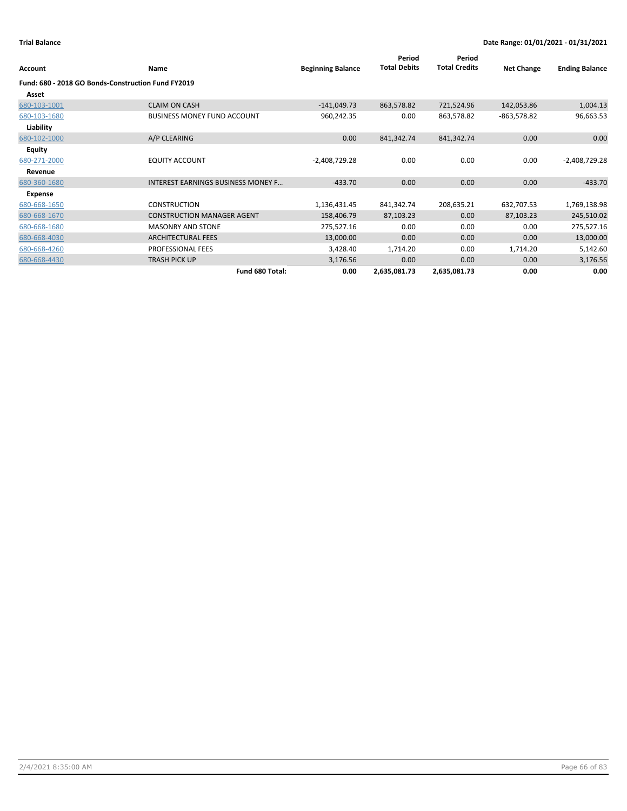| Account       | Name                                               | <b>Beginning Balance</b> | Period<br><b>Total Debits</b> | Period<br><b>Total Credits</b> | <b>Net Change</b> | <b>Ending Balance</b> |
|---------------|----------------------------------------------------|--------------------------|-------------------------------|--------------------------------|-------------------|-----------------------|
|               | Fund: 680 - 2018 GO Bonds-Construction Fund FY2019 |                          |                               |                                |                   |                       |
| Asset         |                                                    |                          |                               |                                |                   |                       |
| 680-103-1001  | <b>CLAIM ON CASH</b>                               | $-141,049.73$            | 863,578.82                    | 721,524.96                     | 142,053.86        | 1,004.13              |
| 680-103-1680  | <b>BUSINESS MONEY FUND ACCOUNT</b>                 | 960,242.35               | 0.00                          | 863,578.82                     | -863,578.82       | 96,663.53             |
| Liability     |                                                    |                          |                               |                                |                   |                       |
| 680-102-1000  | A/P CLEARING                                       | 0.00                     | 841,342.74                    | 841,342.74                     | 0.00              | 0.00                  |
| <b>Equity</b> |                                                    |                          |                               |                                |                   |                       |
| 680-271-2000  | <b>EQUITY ACCOUNT</b>                              | $-2,408,729.28$          | 0.00                          | 0.00                           | 0.00              | $-2,408,729.28$       |
| Revenue       |                                                    |                          |                               |                                |                   |                       |
| 680-360-1680  | <b>INTEREST EARNINGS BUSINESS MONEY F</b>          | $-433.70$                | 0.00                          | 0.00                           | 0.00              | $-433.70$             |
| Expense       |                                                    |                          |                               |                                |                   |                       |
| 680-668-1650  | <b>CONSTRUCTION</b>                                | 1,136,431.45             | 841,342.74                    | 208,635.21                     | 632,707.53        | 1,769,138.98          |
| 680-668-1670  | <b>CONSTRUCTION MANAGER AGENT</b>                  | 158,406.79               | 87,103.23                     | 0.00                           | 87,103.23         | 245,510.02            |
| 680-668-1680  | <b>MASONRY AND STONE</b>                           | 275,527.16               | 0.00                          | 0.00                           | 0.00              | 275,527.16            |
| 680-668-4030  | <b>ARCHITECTURAL FEES</b>                          | 13,000.00                | 0.00                          | 0.00                           | 0.00              | 13,000.00             |
| 680-668-4260  | PROFESSIONAL FEES                                  | 3,428.40                 | 1,714.20                      | 0.00                           | 1,714.20          | 5,142.60              |
| 680-668-4430  | <b>TRASH PICK UP</b>                               | 3,176.56                 | 0.00                          | 0.00                           | 0.00              | 3,176.56              |
|               | Fund 680 Total:                                    | 0.00                     | 2,635,081.73                  | 2,635,081.73                   | 0.00              | 0.00                  |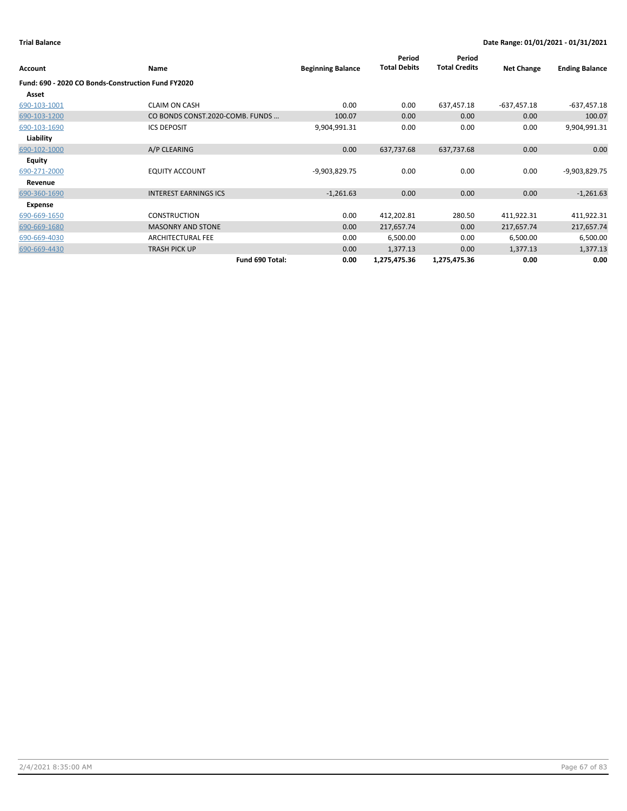| Account                                            | Name                            | <b>Beginning Balance</b> | Period<br><b>Total Debits</b> | Period<br><b>Total Credits</b> | <b>Net Change</b> | <b>Ending Balance</b> |
|----------------------------------------------------|---------------------------------|--------------------------|-------------------------------|--------------------------------|-------------------|-----------------------|
| Fund: 690 - 2020 CO Bonds-Construction Fund FY2020 |                                 |                          |                               |                                |                   |                       |
| Asset                                              |                                 |                          |                               |                                |                   |                       |
| 690-103-1001                                       | <b>CLAIM ON CASH</b>            | 0.00                     | 0.00                          | 637,457.18                     | $-637,457.18$     | $-637,457.18$         |
| 690-103-1200                                       | CO BONDS CONST.2020-COMB. FUNDS | 100.07                   | 0.00                          | 0.00                           | 0.00              | 100.07                |
| 690-103-1690                                       | <b>ICS DEPOSIT</b>              | 9,904,991.31             | 0.00                          | 0.00                           | 0.00              | 9,904,991.31          |
| Liability                                          |                                 |                          |                               |                                |                   |                       |
| 690-102-1000                                       | A/P CLEARING                    | 0.00                     | 637,737.68                    | 637,737.68                     | 0.00              | 0.00                  |
| <b>Equity</b>                                      |                                 |                          |                               |                                |                   |                       |
| 690-271-2000                                       | <b>EQUITY ACCOUNT</b>           | -9,903,829.75            | 0.00                          | 0.00                           | 0.00              | -9,903,829.75         |
| Revenue                                            |                                 |                          |                               |                                |                   |                       |
| 690-360-1690                                       | <b>INTEREST EARNINGS ICS</b>    | $-1,261.63$              | 0.00                          | 0.00                           | 0.00              | $-1,261.63$           |
| Expense                                            |                                 |                          |                               |                                |                   |                       |
| 690-669-1650                                       | <b>CONSTRUCTION</b>             | 0.00                     | 412,202.81                    | 280.50                         | 411,922.31        | 411,922.31            |
| 690-669-1680                                       | <b>MASONRY AND STONE</b>        | 0.00                     | 217,657.74                    | 0.00                           | 217,657.74        | 217,657.74            |
| 690-669-4030                                       | <b>ARCHITECTURAL FEE</b>        | 0.00                     | 6,500.00                      | 0.00                           | 6,500.00          | 6,500.00              |
| 690-669-4430                                       | <b>TRASH PICK UP</b>            | 0.00                     | 1,377.13                      | 0.00                           | 1,377.13          | 1,377.13              |
|                                                    | Fund 690 Total:                 | 0.00                     | 1,275,475.36                  | 1,275,475.36                   | 0.00              | 0.00                  |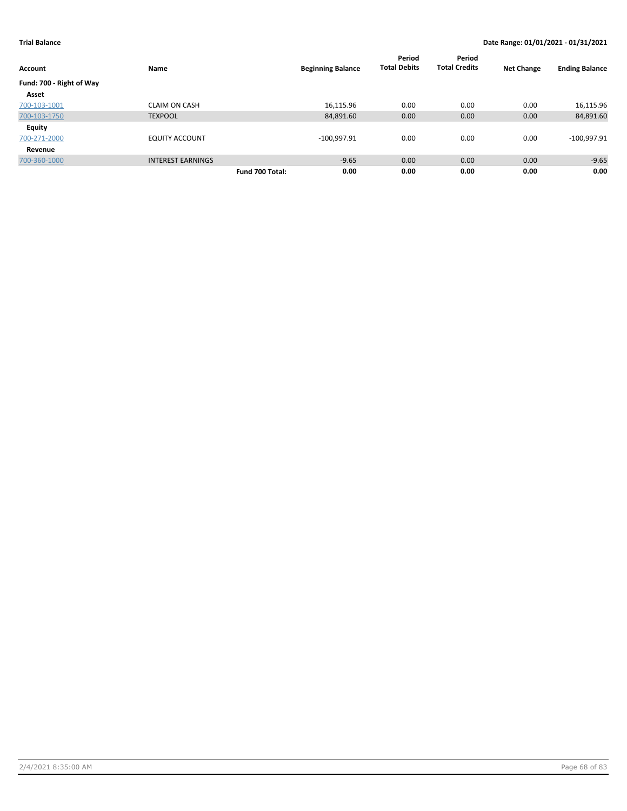| <b>Account</b>           | Name                     | <b>Beginning Balance</b> | Period<br><b>Total Debits</b> | Period<br><b>Total Credits</b> | <b>Net Change</b> | <b>Ending Balance</b> |
|--------------------------|--------------------------|--------------------------|-------------------------------|--------------------------------|-------------------|-----------------------|
| Fund: 700 - Right of Way |                          |                          |                               |                                |                   |                       |
| Asset                    |                          |                          |                               |                                |                   |                       |
| 700-103-1001             | <b>CLAIM ON CASH</b>     | 16,115.96                | 0.00                          | 0.00                           | 0.00              | 16,115.96             |
| 700-103-1750             | <b>TEXPOOL</b>           | 84,891.60                | 0.00                          | 0.00                           | 0.00              | 84,891.60             |
| <b>Equity</b>            |                          |                          |                               |                                |                   |                       |
| 700-271-2000             | <b>EQUITY ACCOUNT</b>    | $-100,997.91$            | 0.00                          | 0.00                           | 0.00              | $-100,997.91$         |
| Revenue                  |                          |                          |                               |                                |                   |                       |
| 700-360-1000             | <b>INTEREST EARNINGS</b> | $-9.65$                  | 0.00                          | 0.00                           | 0.00              | $-9.65$               |
|                          |                          | 0.00<br>Fund 700 Total:  | 0.00                          | 0.00                           | 0.00              | 0.00                  |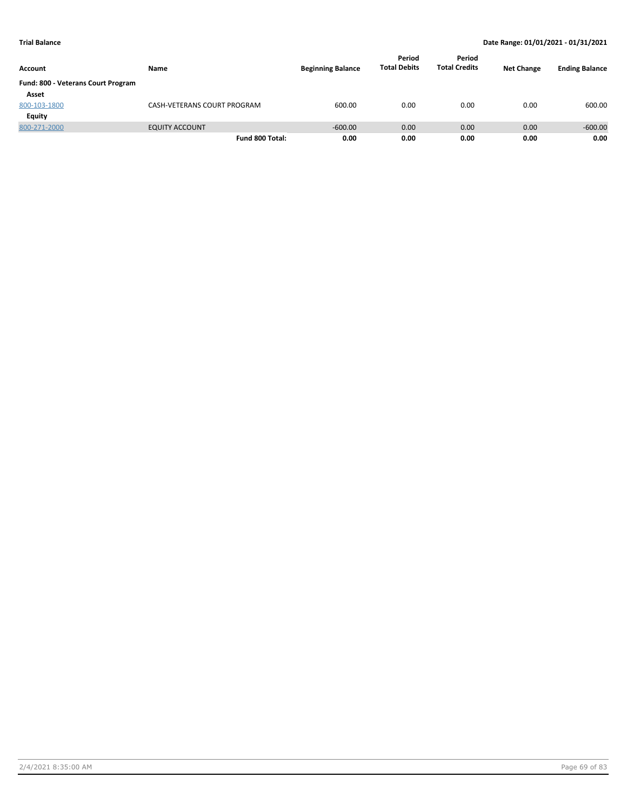| Account                            | Name                        | <b>Beginning Balance</b> | Period<br><b>Total Debits</b> | Period<br><b>Total Credits</b> | <b>Net Change</b> | <b>Ending Balance</b> |
|------------------------------------|-----------------------------|--------------------------|-------------------------------|--------------------------------|-------------------|-----------------------|
| Fund: 800 - Veterans Court Program |                             |                          |                               |                                |                   |                       |
| Asset                              |                             |                          |                               |                                |                   |                       |
| 800-103-1800                       | CASH-VETERANS COURT PROGRAM | 600.00                   | 0.00                          | 0.00                           | 0.00              | 600.00                |
| Equity                             |                             |                          |                               |                                |                   |                       |
| 800-271-2000                       | <b>EQUITY ACCOUNT</b>       | $-600.00$                | 0.00                          | 0.00                           | 0.00              | $-600.00$             |
|                                    | Fund 800 Total:             | 0.00                     | 0.00                          | 0.00                           | 0.00              | 0.00                  |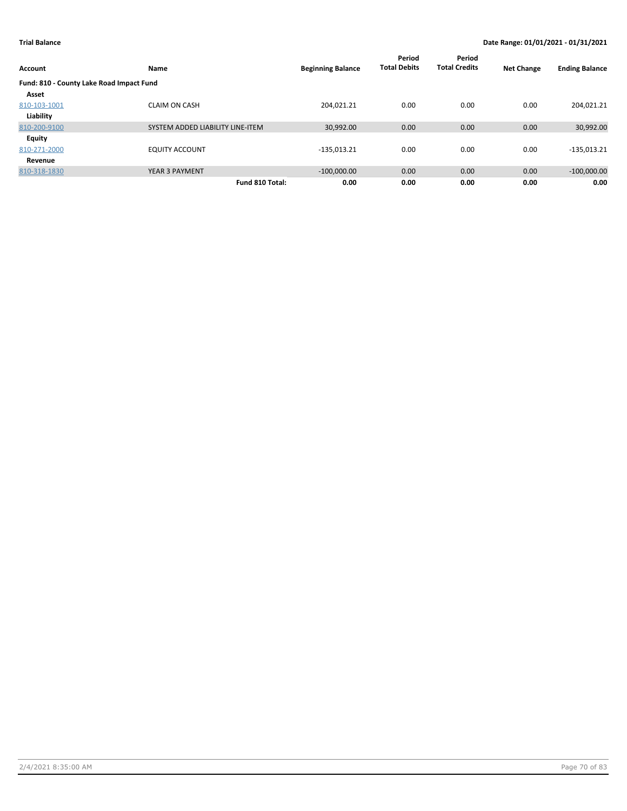| Account                                  | Name                             | <b>Beginning Balance</b> | Period<br><b>Total Debits</b> | Period<br><b>Total Credits</b> | <b>Net Change</b> | <b>Ending Balance</b> |
|------------------------------------------|----------------------------------|--------------------------|-------------------------------|--------------------------------|-------------------|-----------------------|
| Fund: 810 - County Lake Road Impact Fund |                                  |                          |                               |                                |                   |                       |
| Asset                                    |                                  |                          |                               |                                |                   |                       |
| 810-103-1001                             | <b>CLAIM ON CASH</b>             | 204.021.21               | 0.00                          | 0.00                           | 0.00              | 204,021.21            |
| Liability                                |                                  |                          |                               |                                |                   |                       |
| 810-200-9100                             | SYSTEM ADDED LIABILITY LINE-ITEM | 30,992.00                | 0.00                          | 0.00                           | 0.00              | 30,992.00             |
| Equity                                   |                                  |                          |                               |                                |                   |                       |
| 810-271-2000                             | <b>EQUITY ACCOUNT</b>            | $-135,013.21$            | 0.00                          | 0.00                           | 0.00              | $-135,013.21$         |
| Revenue                                  |                                  |                          |                               |                                |                   |                       |
| 810-318-1830                             | <b>YEAR 3 PAYMENT</b>            | $-100,000.00$            | 0.00                          | 0.00                           | 0.00              | $-100,000.00$         |
|                                          | Fund 810 Total:                  | 0.00                     | 0.00                          | 0.00                           | 0.00              | 0.00                  |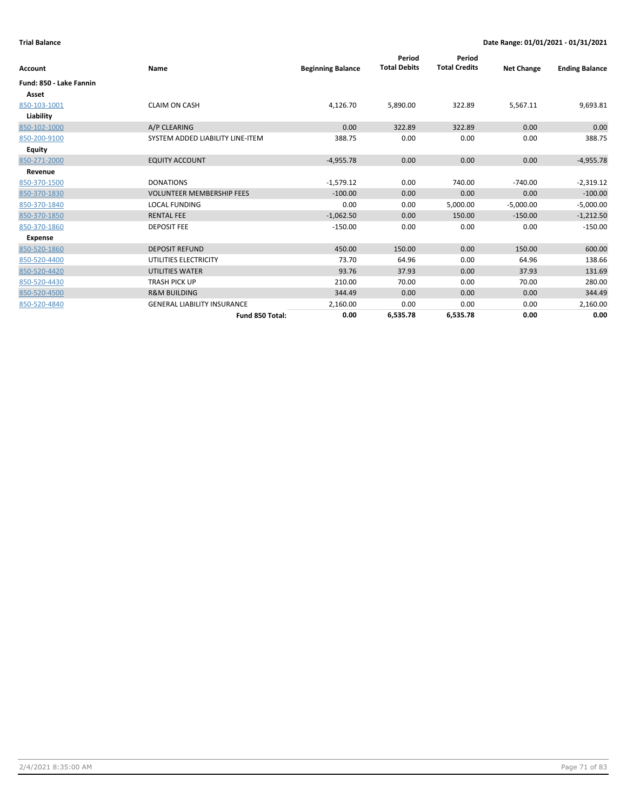| Account                 | Name                               | <b>Beginning Balance</b> | Period<br><b>Total Debits</b> | Period<br><b>Total Credits</b> | <b>Net Change</b> | <b>Ending Balance</b> |
|-------------------------|------------------------------------|--------------------------|-------------------------------|--------------------------------|-------------------|-----------------------|
| Fund: 850 - Lake Fannin |                                    |                          |                               |                                |                   |                       |
| Asset                   |                                    |                          |                               |                                |                   |                       |
| 850-103-1001            | <b>CLAIM ON CASH</b>               | 4,126.70                 | 5,890.00                      | 322.89                         | 5,567.11          | 9,693.81              |
| Liability               |                                    |                          |                               |                                |                   |                       |
| 850-102-1000            | A/P CLEARING                       | 0.00                     | 322.89                        | 322.89                         | 0.00              | 0.00                  |
| 850-200-9100            | SYSTEM ADDED LIABILITY LINE-ITEM   | 388.75                   | 0.00                          | 0.00                           | 0.00              | 388.75                |
| Equity                  |                                    |                          |                               |                                |                   |                       |
| 850-271-2000            | <b>EQUITY ACCOUNT</b>              | $-4,955.78$              | 0.00                          | 0.00                           | 0.00              | $-4,955.78$           |
| Revenue                 |                                    |                          |                               |                                |                   |                       |
| 850-370-1500            | <b>DONATIONS</b>                   | $-1,579.12$              | 0.00                          | 740.00                         | $-740.00$         | $-2,319.12$           |
| 850-370-1830            | <b>VOLUNTEER MEMBERSHIP FEES</b>   | $-100.00$                | 0.00                          | 0.00                           | 0.00              | $-100.00$             |
| 850-370-1840            | <b>LOCAL FUNDING</b>               | 0.00                     | 0.00                          | 5,000.00                       | $-5,000.00$       | $-5,000.00$           |
| 850-370-1850            | <b>RENTAL FEE</b>                  | $-1,062.50$              | 0.00                          | 150.00                         | $-150.00$         | $-1,212.50$           |
| 850-370-1860            | <b>DEPOSIT FEE</b>                 | $-150.00$                | 0.00                          | 0.00                           | 0.00              | $-150.00$             |
| Expense                 |                                    |                          |                               |                                |                   |                       |
| 850-520-1860            | <b>DEPOSIT REFUND</b>              | 450.00                   | 150.00                        | 0.00                           | 150.00            | 600.00                |
| 850-520-4400            | UTILITIES ELECTRICITY              | 73.70                    | 64.96                         | 0.00                           | 64.96             | 138.66                |
| 850-520-4420            | <b>UTILITIES WATER</b>             | 93.76                    | 37.93                         | 0.00                           | 37.93             | 131.69                |
| 850-520-4430            | <b>TRASH PICK UP</b>               | 210.00                   | 70.00                         | 0.00                           | 70.00             | 280.00                |
| 850-520-4500            | <b>R&amp;M BUILDING</b>            | 344.49                   | 0.00                          | 0.00                           | 0.00              | 344.49                |
| 850-520-4840            | <b>GENERAL LIABILITY INSURANCE</b> | 2,160.00                 | 0.00                          | 0.00                           | 0.00              | 2,160.00              |
|                         | Fund 850 Total:                    | 0.00                     | 6,535.78                      | 6,535.78                       | 0.00              | 0.00                  |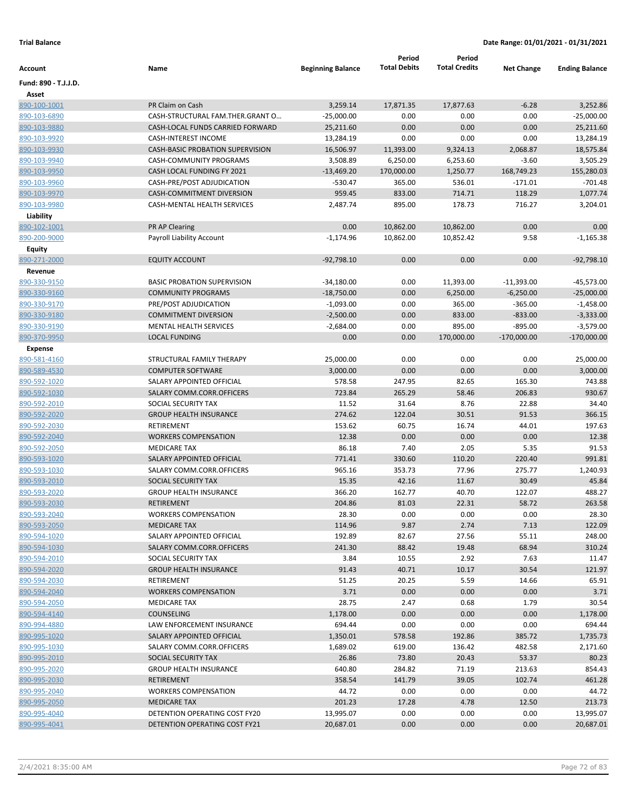|                      |                                         |                          | Period              | Period               |                   |                       |
|----------------------|-----------------------------------------|--------------------------|---------------------|----------------------|-------------------|-----------------------|
| Account              | Name                                    | <b>Beginning Balance</b> | <b>Total Debits</b> | <b>Total Credits</b> | <b>Net Change</b> | <b>Ending Balance</b> |
| Fund: 890 - T.J.J.D. |                                         |                          |                     |                      |                   |                       |
| Asset                |                                         |                          |                     |                      |                   |                       |
| 890-100-1001         | PR Claim on Cash                        | 3,259.14                 | 17,871.35           | 17,877.63            | $-6.28$           | 3,252.86              |
| 890-103-6890         | CASH-STRUCTURAL FAM.THER.GRANT O        | $-25,000.00$             | 0.00                | 0.00                 | 0.00              | $-25,000.00$          |
| 890-103-9880         | CASH-LOCAL FUNDS CARRIED FORWARD        | 25,211.60                | 0.00                | 0.00                 | 0.00              | 25,211.60             |
| 890-103-9920         | <b>CASH-INTEREST INCOME</b>             | 13,284.19                | 0.00                | 0.00                 | 0.00              | 13,284.19             |
| 890-103-9930         | <b>CASH-BASIC PROBATION SUPERVISION</b> | 16,506.97                | 11,393.00           | 9,324.13             | 2,068.87          | 18,575.84             |
| 890-103-9940         | CASH-COMMUNITY PROGRAMS                 | 3,508.89                 | 6,250.00            | 6,253.60             | $-3.60$           | 3,505.29              |
| 890-103-9950         | CASH LOCAL FUNDING FY 2021              | $-13,469.20$             | 170,000.00          | 1,250.77             | 168,749.23        | 155,280.03            |
| 890-103-9960         | CASH-PRE/POST ADJUDICATION              | -530.47                  | 365.00              | 536.01               | $-171.01$         | $-701.48$             |
| 890-103-9970         | CASH-COMMITMENT DIVERSION               | 959.45                   | 833.00              | 714.71               | 118.29            | 1,077.74              |
| 890-103-9980         | CASH-MENTAL HEALTH SERVICES             | 2,487.74                 | 895.00              | 178.73               | 716.27            | 3,204.01              |
| Liability            |                                         |                          |                     |                      |                   |                       |
| 890-102-1001         | PR AP Clearing                          | 0.00                     | 10,862.00           | 10,862.00            | 0.00              | 0.00                  |
| 890-200-9000         | Payroll Liability Account               | $-1,174.96$              | 10,862.00           | 10,852.42            | 9.58              | $-1,165.38$           |
| <b>Equity</b>        |                                         |                          |                     |                      |                   |                       |
| 890-271-2000         | <b>EQUITY ACCOUNT</b>                   | $-92,798.10$             | 0.00                | 0.00                 | 0.00              | $-92,798.10$          |
| Revenue              |                                         |                          |                     |                      |                   |                       |
| 890-330-9150         | <b>BASIC PROBATION SUPERVISION</b>      | $-34,180.00$             | 0.00                | 11,393.00            | $-11,393.00$      | -45,573.00            |
| 890-330-9160         | <b>COMMUNITY PROGRAMS</b>               | $-18,750.00$             | 0.00                | 6,250.00             | $-6,250.00$       | $-25,000.00$          |
| 890-330-9170         | PRE/POST ADJUDICATION                   | $-1,093.00$              | 0.00                | 365.00               | $-365.00$         | $-1,458.00$           |
| 890-330-9180         | <b>COMMITMENT DIVERSION</b>             | $-2,500.00$              | 0.00                | 833.00               | $-833.00$         | $-3,333.00$           |
| 890-330-9190         | <b>MENTAL HEALTH SERVICES</b>           | $-2,684.00$              | 0.00                | 895.00               | $-895.00$         | $-3,579.00$           |
| 890-370-9950         | <b>LOCAL FUNDING</b>                    | 0.00                     | 0.00                | 170,000.00           | $-170,000.00$     | $-170,000.00$         |
| <b>Expense</b>       |                                         |                          |                     |                      |                   |                       |
| 890-581-4160         | STRUCTURAL FAMILY THERAPY               | 25,000.00                | 0.00                | 0.00                 | 0.00              | 25,000.00             |
| 890-589-4530         | <b>COMPUTER SOFTWARE</b>                | 3,000.00                 | 0.00                | 0.00                 | 0.00              | 3,000.00              |
| 890-592-1020         | SALARY APPOINTED OFFICIAL               | 578.58                   | 247.95              | 82.65                | 165.30            | 743.88                |
| 890-592-1030         | SALARY COMM.CORR.OFFICERS               | 723.84                   | 265.29              | 58.46                | 206.83            | 930.67                |
| 890-592-2010         | SOCIAL SECURITY TAX                     | 11.52                    | 31.64               | 8.76                 | 22.88             | 34.40                 |
| 890-592-2020         | <b>GROUP HEALTH INSURANCE</b>           | 274.62                   | 122.04              | 30.51                | 91.53             | 366.15                |
| 890-592-2030         | RETIREMENT                              | 153.62                   | 60.75               | 16.74                | 44.01             | 197.63                |
| 890-592-2040         | <b>WORKERS COMPENSATION</b>             | 12.38                    | 0.00                | 0.00                 | 0.00              | 12.38                 |
| 890-592-2050         | <b>MEDICARE TAX</b>                     | 86.18                    | 7.40                | 2.05                 | 5.35              | 91.53                 |
| 890-593-1020         | SALARY APPOINTED OFFICIAL               | 771.41                   | 330.60              | 110.20               | 220.40            | 991.81                |
| 890-593-1030         | SALARY COMM.CORR.OFFICERS               | 965.16                   | 353.73              | 77.96                | 275.77            | 1,240.93              |
| 890-593-2010         | SOCIAL SECURITY TAX                     | 15.35                    | 42.16               | 11.67                | 30.49             | 45.84                 |
| 890-593-2020         | <b>GROUP HEALTH INSURANCE</b>           | 366.20                   | 162.77              | 40.70                | 122.07            | 488.27                |
| 890-593-2030         | RETIREMENT                              | 204.86                   | 81.03               | 22.31                | 58.72             | 263.58                |
| 890-593-2040         | <b>WORKERS COMPENSATION</b>             | 28.30                    | 0.00                | 0.00                 | 0.00              | 28.30                 |
| 890-593-2050         | <b>MEDICARE TAX</b>                     | 114.96                   | 9.87                | 2.74                 | 7.13              | 122.09                |
| 890-594-1020         | SALARY APPOINTED OFFICIAL               | 192.89                   | 82.67               | 27.56                | 55.11             | 248.00                |
| 890-594-1030         | SALARY COMM.CORR.OFFICERS               | 241.30                   | 88.42               | 19.48                | 68.94             | 310.24                |
| 890-594-2010         | SOCIAL SECURITY TAX                     | 3.84                     | 10.55               | 2.92                 | 7.63              | 11.47                 |
| 890-594-2020         | <b>GROUP HEALTH INSURANCE</b>           | 91.43                    | 40.71               | 10.17                | 30.54             | 121.97                |
| 890-594-2030         | RETIREMENT                              | 51.25                    | 20.25               | 5.59                 | 14.66             | 65.91                 |
| 890-594-2040         | <b>WORKERS COMPENSATION</b>             | 3.71                     | 0.00                | 0.00                 | 0.00              | 3.71                  |
| 890-594-2050         | <b>MEDICARE TAX</b>                     | 28.75                    | 2.47                | 0.68                 | 1.79              | 30.54                 |
| 890-594-4140         | COUNSELING                              | 1,178.00                 | 0.00                | 0.00                 | 0.00              | 1,178.00              |
| 890-994-4880         | LAW ENFORCEMENT INSURANCE               | 694.44                   | 0.00                | 0.00                 | 0.00              | 694.44                |
| 890-995-1020         | SALARY APPOINTED OFFICIAL               | 1,350.01                 | 578.58              | 192.86               | 385.72            | 1,735.73              |
| 890-995-1030         | SALARY COMM.CORR.OFFICERS               | 1,689.02                 | 619.00              | 136.42               | 482.58            | 2,171.60              |
| 890-995-2010         | SOCIAL SECURITY TAX                     | 26.86                    | 73.80               | 20.43                | 53.37             | 80.23                 |
| 890-995-2020         | <b>GROUP HEALTH INSURANCE</b>           | 640.80                   | 284.82              | 71.19                | 213.63            | 854.43                |
| 890-995-2030         | RETIREMENT                              | 358.54                   | 141.79              | 39.05                | 102.74            | 461.28                |
| 890-995-2040         | <b>WORKERS COMPENSATION</b>             | 44.72                    | 0.00                | 0.00                 | 0.00              | 44.72                 |
| 890-995-2050         | <b>MEDICARE TAX</b>                     | 201.23                   | 17.28               | 4.78                 | 12.50             | 213.73                |
| 890-995-4040         | DETENTION OPERATING COST FY20           | 13,995.07                | 0.00                | 0.00                 | 0.00              | 13,995.07             |
| 890-995-4041         | DETENTION OPERATING COST FY21           | 20,687.01                | 0.00                | 0.00                 | 0.00              | 20,687.01             |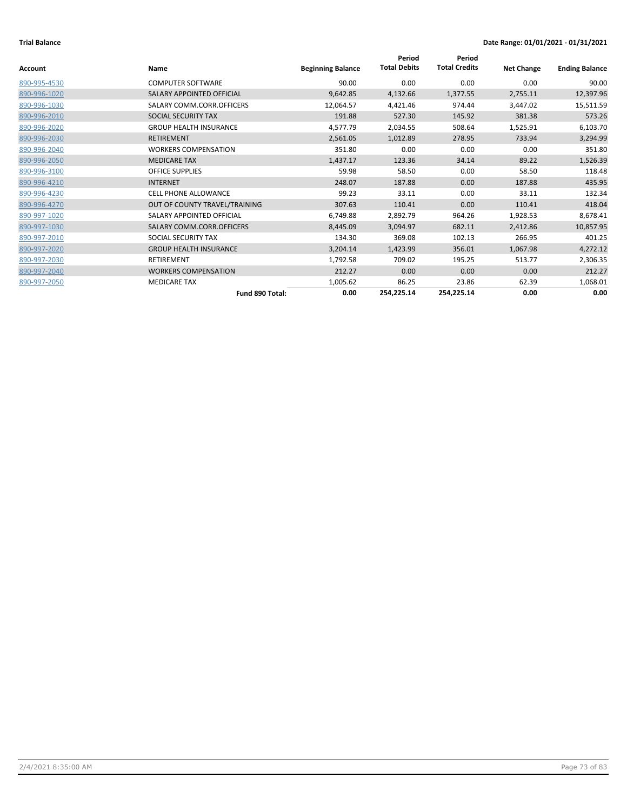|              |                               |                          | Period              | Period               |                   |                       |
|--------------|-------------------------------|--------------------------|---------------------|----------------------|-------------------|-----------------------|
| Account      | Name                          | <b>Beginning Balance</b> | <b>Total Debits</b> | <b>Total Credits</b> | <b>Net Change</b> | <b>Ending Balance</b> |
| 890-995-4530 | <b>COMPUTER SOFTWARE</b>      | 90.00                    | 0.00                | 0.00                 | 0.00              | 90.00                 |
| 890-996-1020 | SALARY APPOINTED OFFICIAL     | 9,642.85                 | 4,132.66            | 1,377.55             | 2,755.11          | 12,397.96             |
| 890-996-1030 | SALARY COMM.CORR.OFFICERS     | 12,064.57                | 4,421.46            | 974.44               | 3,447.02          | 15,511.59             |
| 890-996-2010 | SOCIAL SECURITY TAX           | 191.88                   | 527.30              | 145.92               | 381.38            | 573.26                |
| 890-996-2020 | <b>GROUP HEALTH INSURANCE</b> | 4,577.79                 | 2,034.55            | 508.64               | 1,525.91          | 6,103.70              |
| 890-996-2030 | RETIREMENT                    | 2,561.05                 | 1,012.89            | 278.95               | 733.94            | 3,294.99              |
| 890-996-2040 | <b>WORKERS COMPENSATION</b>   | 351.80                   | 0.00                | 0.00                 | 0.00              | 351.80                |
| 890-996-2050 | <b>MEDICARE TAX</b>           | 1,437.17                 | 123.36              | 34.14                | 89.22             | 1,526.39              |
| 890-996-3100 | <b>OFFICE SUPPLIES</b>        | 59.98                    | 58.50               | 0.00                 | 58.50             | 118.48                |
| 890-996-4210 | <b>INTERNET</b>               | 248.07                   | 187.88              | 0.00                 | 187.88            | 435.95                |
| 890-996-4230 | <b>CELL PHONE ALLOWANCE</b>   | 99.23                    | 33.11               | 0.00                 | 33.11             | 132.34                |
| 890-996-4270 | OUT OF COUNTY TRAVEL/TRAINING | 307.63                   | 110.41              | 0.00                 | 110.41            | 418.04                |
| 890-997-1020 | SALARY APPOINTED OFFICIAL     | 6,749.88                 | 2,892.79            | 964.26               | 1,928.53          | 8,678.41              |
| 890-997-1030 | SALARY COMM.CORR.OFFICERS     | 8,445.09                 | 3,094.97            | 682.11               | 2,412.86          | 10,857.95             |
| 890-997-2010 | SOCIAL SECURITY TAX           | 134.30                   | 369.08              | 102.13               | 266.95            | 401.25                |
| 890-997-2020 | <b>GROUP HEALTH INSURANCE</b> | 3,204.14                 | 1,423.99            | 356.01               | 1,067.98          | 4,272.12              |
| 890-997-2030 | <b>RETIREMENT</b>             | 1,792.58                 | 709.02              | 195.25               | 513.77            | 2,306.35              |
| 890-997-2040 | <b>WORKERS COMPENSATION</b>   | 212.27                   | 0.00                | 0.00                 | 0.00              | 212.27                |
| 890-997-2050 | <b>MEDICARE TAX</b>           | 1,005.62                 | 86.25               | 23.86                | 62.39             | 1,068.01              |
|              | Fund 890 Total:               | 0.00                     | 254,225.14          | 254,225.14           | 0.00              | 0.00                  |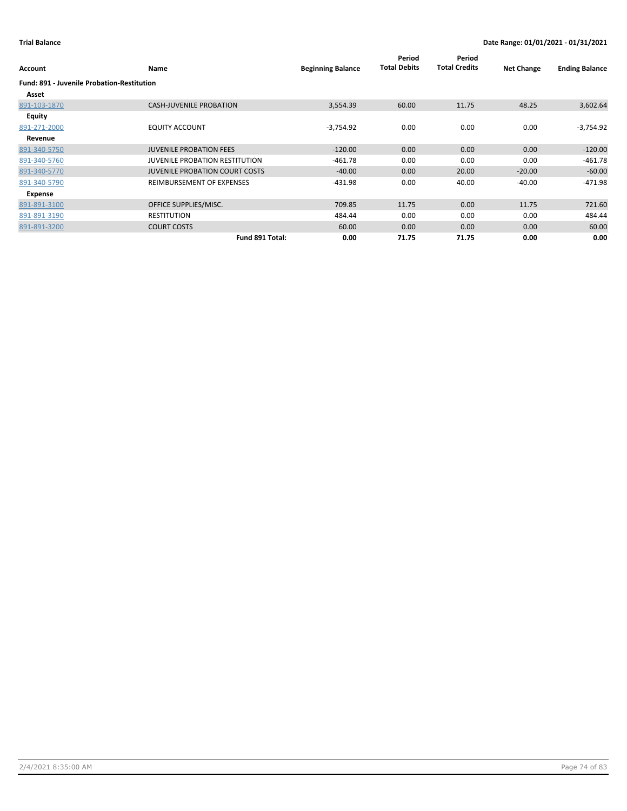| Account                                           | Name                                  | <b>Beginning Balance</b> | Period<br><b>Total Debits</b> | Period<br><b>Total Credits</b> | <b>Net Change</b> | <b>Ending Balance</b> |
|---------------------------------------------------|---------------------------------------|--------------------------|-------------------------------|--------------------------------|-------------------|-----------------------|
| <b>Fund: 891 - Juvenile Probation-Restitution</b> |                                       |                          |                               |                                |                   |                       |
| Asset                                             |                                       |                          |                               |                                |                   |                       |
| 891-103-1870                                      | <b>CASH-JUVENILE PROBATION</b>        | 3,554.39                 | 60.00                         | 11.75                          | 48.25             | 3,602.64              |
| <b>Equity</b>                                     |                                       |                          |                               |                                |                   |                       |
| 891-271-2000                                      | <b>EQUITY ACCOUNT</b>                 | $-3,754.92$              | 0.00                          | 0.00                           | 0.00              | $-3,754.92$           |
| Revenue                                           |                                       |                          |                               |                                |                   |                       |
| 891-340-5750                                      | <b>JUVENILE PROBATION FEES</b>        | $-120.00$                | 0.00                          | 0.00                           | 0.00              | $-120.00$             |
| 891-340-5760                                      | <b>JUVENILE PROBATION RESTITUTION</b> | $-461.78$                | 0.00                          | 0.00                           | 0.00              | $-461.78$             |
| 891-340-5770                                      | <b>JUVENILE PROBATION COURT COSTS</b> | $-40.00$                 | 0.00                          | 20.00                          | $-20.00$          | $-60.00$              |
| 891-340-5790                                      | REIMBURSEMENT OF EXPENSES             | $-431.98$                | 0.00                          | 40.00                          | $-40.00$          | $-471.98$             |
| Expense                                           |                                       |                          |                               |                                |                   |                       |
| 891-891-3100                                      | OFFICE SUPPLIES/MISC.                 | 709.85                   | 11.75                         | 0.00                           | 11.75             | 721.60                |
| 891-891-3190                                      | <b>RESTITUTION</b>                    | 484.44                   | 0.00                          | 0.00                           | 0.00              | 484.44                |
| 891-891-3200                                      | <b>COURT COSTS</b>                    | 60.00                    | 0.00                          | 0.00                           | 0.00              | 60.00                 |
|                                                   | Fund 891 Total:                       | 0.00                     | 71.75                         | 71.75                          | 0.00              | 0.00                  |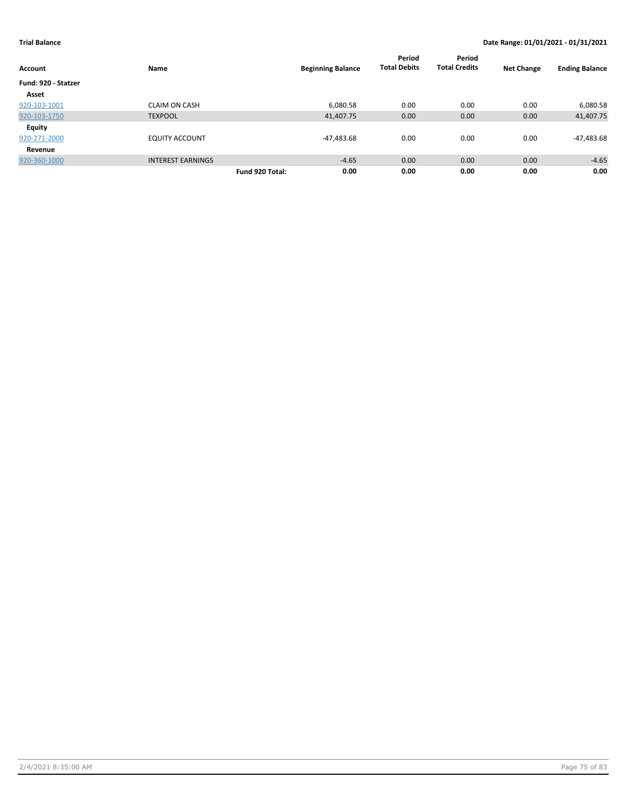| <b>Account</b>      | Name                     | <b>Beginning Balance</b> |            | Period<br><b>Total Debits</b> | Period<br><b>Total Credits</b> | <b>Net Change</b> | <b>Ending Balance</b> |
|---------------------|--------------------------|--------------------------|------------|-------------------------------|--------------------------------|-------------------|-----------------------|
| Fund: 920 - Statzer |                          |                          |            |                               |                                |                   |                       |
| Asset               |                          |                          |            |                               |                                |                   |                       |
| 920-103-1001        | <b>CLAIM ON CASH</b>     |                          | 6,080.58   | 0.00                          | 0.00                           | 0.00              | 6,080.58              |
| 920-103-1750        | <b>TEXPOOL</b>           |                          | 41,407.75  | 0.00                          | 0.00                           | 0.00              | 41,407.75             |
| <b>Equity</b>       |                          |                          |            |                               |                                |                   |                       |
| 920-271-2000        | EQUITY ACCOUNT           |                          | -47,483.68 | 0.00                          | 0.00                           | 0.00              | -47,483.68            |
| Revenue             |                          |                          |            |                               |                                |                   |                       |
| 920-360-1000        | <b>INTEREST EARNINGS</b> |                          | $-4.65$    | 0.00                          | 0.00                           | 0.00              | $-4.65$               |
|                     |                          | Fund 920 Total:          | 0.00       | 0.00                          | 0.00                           | 0.00              | 0.00                  |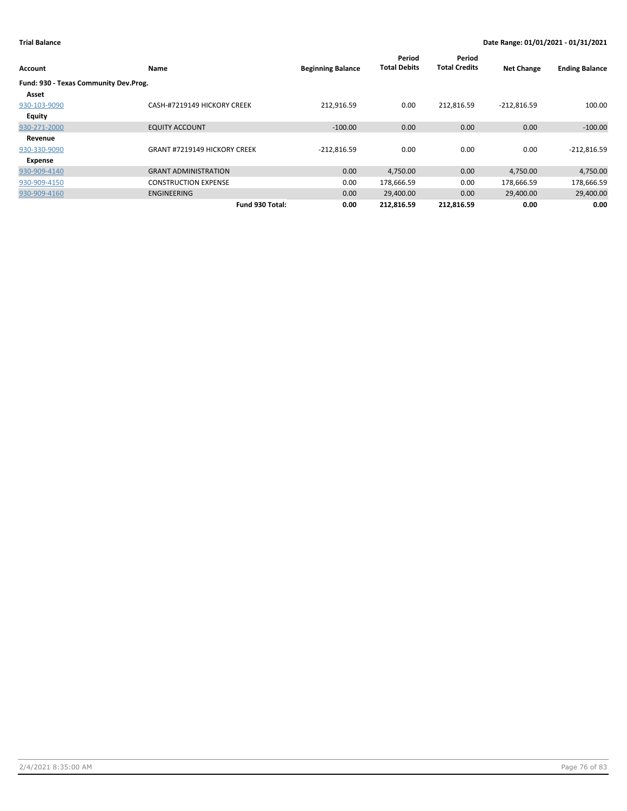| Account                               | Name                                | <b>Beginning Balance</b> | Period<br><b>Total Debits</b> | Period<br><b>Total Credits</b> | <b>Net Change</b> | <b>Ending Balance</b> |
|---------------------------------------|-------------------------------------|--------------------------|-------------------------------|--------------------------------|-------------------|-----------------------|
| Fund: 930 - Texas Community Dev.Prog. |                                     |                          |                               |                                |                   |                       |
| Asset                                 |                                     |                          |                               |                                |                   |                       |
| 930-103-9090                          | CASH-#7219149 HICKORY CREEK         | 212,916.59               | 0.00                          | 212,816.59                     | $-212,816.59$     | 100.00                |
| Equity                                |                                     |                          |                               |                                |                   |                       |
| 930-271-2000                          | <b>EQUITY ACCOUNT</b>               | $-100.00$                | 0.00                          | 0.00                           | 0.00              | $-100.00$             |
| Revenue                               |                                     |                          |                               |                                |                   |                       |
| 930-330-9090                          | <b>GRANT #7219149 HICKORY CREEK</b> | $-212,816.59$            | 0.00                          | 0.00                           | 0.00              | $-212,816.59$         |
| Expense                               |                                     |                          |                               |                                |                   |                       |
| 930-909-4140                          | <b>GRANT ADMINISTRATION</b>         | 0.00                     | 4,750.00                      | 0.00                           | 4,750.00          | 4,750.00              |
| 930-909-4150                          | <b>CONSTRUCTION EXPENSE</b>         | 0.00                     | 178,666.59                    | 0.00                           | 178,666.59        | 178,666.59            |
| 930-909-4160                          | <b>ENGINEERING</b>                  | 0.00                     | 29,400.00                     | 0.00                           | 29,400.00         | 29,400.00             |
|                                       | Fund 930 Total:                     | 0.00                     | 212.816.59                    | 212.816.59                     | 0.00              | 0.00                  |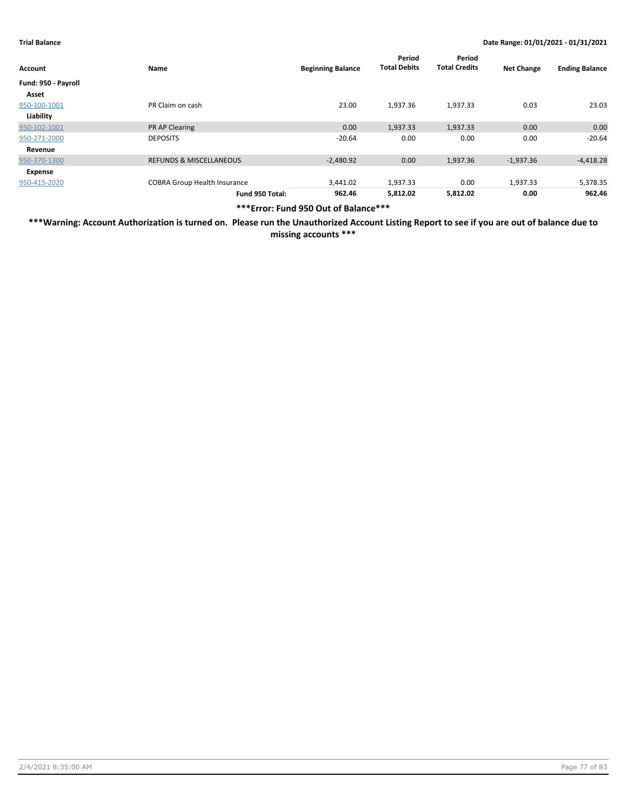| Account             | Name                                | <b>Beginning Balance</b> | Period<br><b>Total Debits</b> | Period<br><b>Total Credits</b> | <b>Net Change</b> | <b>Ending Balance</b> |
|---------------------|-------------------------------------|--------------------------|-------------------------------|--------------------------------|-------------------|-----------------------|
| Fund: 950 - Payroll |                                     |                          |                               |                                |                   |                       |
| Asset               |                                     |                          |                               |                                |                   |                       |
| 950-100-1001        | PR Claim on cash                    | 23.00                    | 1,937.36                      | 1,937.33                       | 0.03              | 23.03                 |
| Liability           |                                     |                          |                               |                                |                   |                       |
| 950-102-1001        | <b>PR AP Clearing</b>               | 0.00                     | 1,937.33                      | 1,937.33                       | 0.00              | 0.00                  |
| 950-271-2000        | <b>DEPOSITS</b>                     | $-20.64$                 | 0.00                          | 0.00                           | 0.00              | $-20.64$              |
| Revenue             |                                     |                          |                               |                                |                   |                       |
| 950-370-1300        | <b>REFUNDS &amp; MISCELLANEOUS</b>  | $-2,480.92$              | 0.00                          | 1,937.36                       | $-1,937.36$       | $-4,418.28$           |
| Expense             |                                     |                          |                               |                                |                   |                       |
| 950-415-2020        | <b>COBRA Group Health Insurance</b> | 3,441.02                 | 1,937.33                      | 0.00                           | 1,937.33          | 5,378.35              |
|                     | Fund 950 Total:                     | 962.46                   | 5,812.02                      | 5,812.02                       | 0.00              | 962.46                |

**\*\*\*Error: Fund 950 Out of Balance\*\*\***

**\*\*\*Warning: Account Authorization is turned on. Please run the Unauthorized Account Listing Report to see if you are out of balance due to missing accounts \*\*\***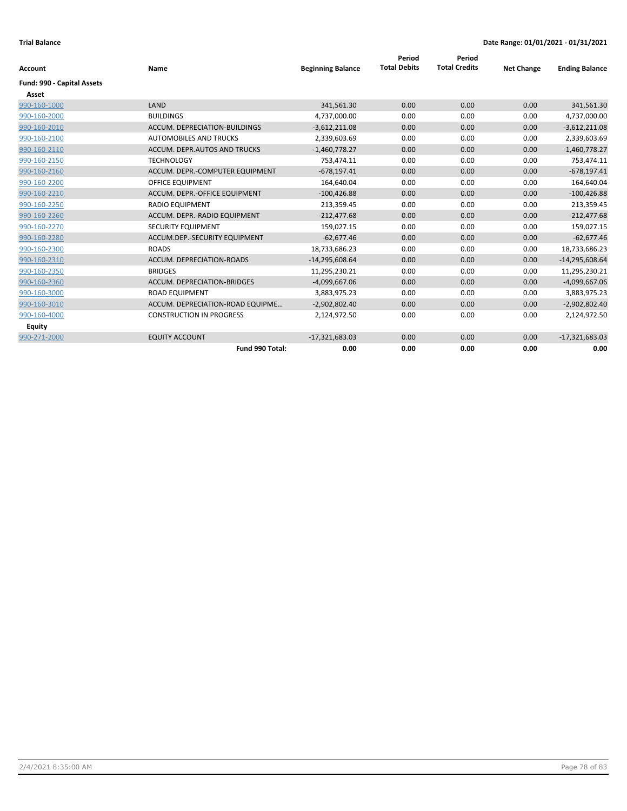|                            | Name                             | <b>Beginning Balance</b> | Period<br><b>Total Debits</b> | Period<br><b>Total Credits</b> | <b>Net Change</b> |                       |
|----------------------------|----------------------------------|--------------------------|-------------------------------|--------------------------------|-------------------|-----------------------|
| Account                    |                                  |                          |                               |                                |                   | <b>Ending Balance</b> |
| Fund: 990 - Capital Assets |                                  |                          |                               |                                |                   |                       |
| Asset                      |                                  |                          |                               |                                |                   |                       |
| 990-160-1000               | LAND                             | 341,561.30               | 0.00                          | 0.00                           | 0.00              | 341,561.30            |
| 990-160-2000               | <b>BUILDINGS</b>                 | 4,737,000.00             | 0.00                          | 0.00                           | 0.00              | 4,737,000.00          |
| 990-160-2010               | ACCUM. DEPRECIATION-BUILDINGS    | $-3,612,211.08$          | 0.00                          | 0.00                           | 0.00              | $-3,612,211.08$       |
| 990-160-2100               | <b>AUTOMOBILES AND TRUCKS</b>    | 2,339,603.69             | 0.00                          | 0.00                           | 0.00              | 2,339,603.69          |
| 990-160-2110               | ACCUM. DEPR.AUTOS AND TRUCKS     | $-1,460,778.27$          | 0.00                          | 0.00                           | 0.00              | $-1,460,778.27$       |
| 990-160-2150               | <b>TECHNOLOGY</b>                | 753,474.11               | 0.00                          | 0.00                           | 0.00              | 753,474.11            |
| 990-160-2160               | ACCUM. DEPR.-COMPUTER EQUIPMENT  | $-678,197.41$            | 0.00                          | 0.00                           | 0.00              | $-678,197.41$         |
| 990-160-2200               | <b>OFFICE EQUIPMENT</b>          | 164,640.04               | 0.00                          | 0.00                           | 0.00              | 164,640.04            |
| 990-160-2210               | ACCUM. DEPR.-OFFICE EQUIPMENT    | $-100,426.88$            | 0.00                          | 0.00                           | 0.00              | $-100,426.88$         |
| 990-160-2250               | <b>RADIO EQUIPMENT</b>           | 213,359.45               | 0.00                          | 0.00                           | 0.00              | 213,359.45            |
| 990-160-2260               | ACCUM. DEPR.-RADIO EQUIPMENT     | $-212,477.68$            | 0.00                          | 0.00                           | 0.00              | $-212,477.68$         |
| 990-160-2270               | SECURITY EQUIPMENT               | 159,027.15               | 0.00                          | 0.00                           | 0.00              | 159,027.15            |
| 990-160-2280               | ACCUM.DEP.-SECURITY EQUIPMENT    | $-62,677.46$             | 0.00                          | 0.00                           | 0.00              | $-62,677.46$          |
| 990-160-2300               | <b>ROADS</b>                     | 18,733,686.23            | 0.00                          | 0.00                           | 0.00              | 18,733,686.23         |
| 990-160-2310               | ACCUM. DEPRECIATION-ROADS        | $-14,295,608.64$         | 0.00                          | 0.00                           | 0.00              | $-14,295,608.64$      |
| 990-160-2350               | <b>BRIDGES</b>                   | 11,295,230.21            | 0.00                          | 0.00                           | 0.00              | 11,295,230.21         |
| 990-160-2360               | ACCUM. DEPRECIATION-BRIDGES      | $-4,099,667.06$          | 0.00                          | 0.00                           | 0.00              | $-4,099,667.06$       |
| 990-160-3000               | <b>ROAD EQUIPMENT</b>            | 3,883,975.23             | 0.00                          | 0.00                           | 0.00              | 3,883,975.23          |
| 990-160-3010               | ACCUM. DEPRECIATION-ROAD EQUIPME | $-2,902,802.40$          | 0.00                          | 0.00                           | 0.00              | $-2,902,802.40$       |
| 990-160-4000               | <b>CONSTRUCTION IN PROGRESS</b>  | 2,124,972.50             | 0.00                          | 0.00                           | 0.00              | 2,124,972.50          |
| <b>Equity</b>              |                                  |                          |                               |                                |                   |                       |
| 990-271-2000               | <b>EQUITY ACCOUNT</b>            | $-17,321,683.03$         | 0.00                          | 0.00                           | 0.00              | $-17,321,683.03$      |
|                            | Fund 990 Total:                  | 0.00                     | 0.00                          | 0.00                           | 0.00              | 0.00                  |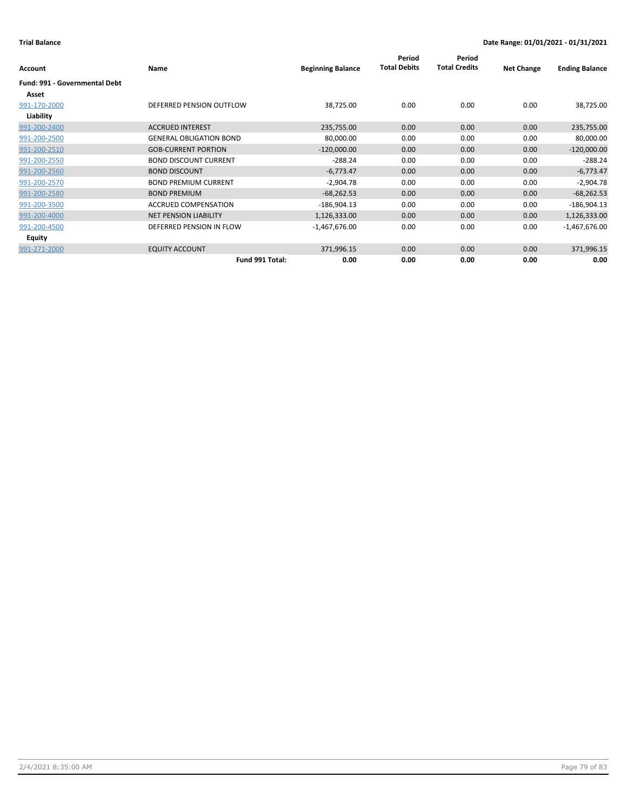|                                      |                                |                          | Period<br><b>Total Debits</b> | Period<br><b>Total Credits</b> |                   |                       |
|--------------------------------------|--------------------------------|--------------------------|-------------------------------|--------------------------------|-------------------|-----------------------|
| <b>Account</b>                       | Name                           | <b>Beginning Balance</b> |                               |                                | <b>Net Change</b> | <b>Ending Balance</b> |
| <b>Fund: 991 - Governmental Debt</b> |                                |                          |                               |                                |                   |                       |
| Asset                                |                                |                          |                               |                                |                   |                       |
| 991-170-2000                         | DEFERRED PENSION OUTFLOW       | 38,725.00                | 0.00                          | 0.00                           | 0.00              | 38,725.00             |
| Liability                            |                                |                          |                               |                                |                   |                       |
| 991-200-2400                         | <b>ACCRUED INTEREST</b>        | 235,755.00               | 0.00                          | 0.00                           | 0.00              | 235,755.00            |
| 991-200-2500                         | <b>GENERAL OBLIGATION BOND</b> | 80,000.00                | 0.00                          | 0.00                           | 0.00              | 80,000.00             |
| 991-200-2510                         | <b>GOB-CURRENT PORTION</b>     | $-120,000.00$            | 0.00                          | 0.00                           | 0.00              | $-120,000.00$         |
| 991-200-2550                         | <b>BOND DISCOUNT CURRENT</b>   | $-288.24$                | 0.00                          | 0.00                           | 0.00              | $-288.24$             |
| 991-200-2560                         | <b>BOND DISCOUNT</b>           | $-6,773.47$              | 0.00                          | 0.00                           | 0.00              | $-6,773.47$           |
| 991-200-2570                         | <b>BOND PREMIUM CURRENT</b>    | $-2,904.78$              | 0.00                          | 0.00                           | 0.00              | $-2,904.78$           |
| 991-200-2580                         | <b>BOND PREMIUM</b>            | $-68,262.53$             | 0.00                          | 0.00                           | 0.00              | $-68,262.53$          |
| 991-200-3500                         | <b>ACCRUED COMPENSATION</b>    | $-186,904.13$            | 0.00                          | 0.00                           | 0.00              | $-186,904.13$         |
| 991-200-4000                         | <b>NET PENSION LIABILITY</b>   | 1,126,333.00             | 0.00                          | 0.00                           | 0.00              | 1,126,333.00          |
| 991-200-4500                         | DEFERRED PENSION IN FLOW       | $-1,467,676.00$          | 0.00                          | 0.00                           | 0.00              | $-1,467,676.00$       |
| Equity                               |                                |                          |                               |                                |                   |                       |
| 991-271-2000                         | <b>EQUITY ACCOUNT</b>          | 371,996.15               | 0.00                          | 0.00                           | 0.00              | 371,996.15            |
|                                      | Fund 991 Total:                | 0.00                     | 0.00                          | 0.00                           | 0.00              | 0.00                  |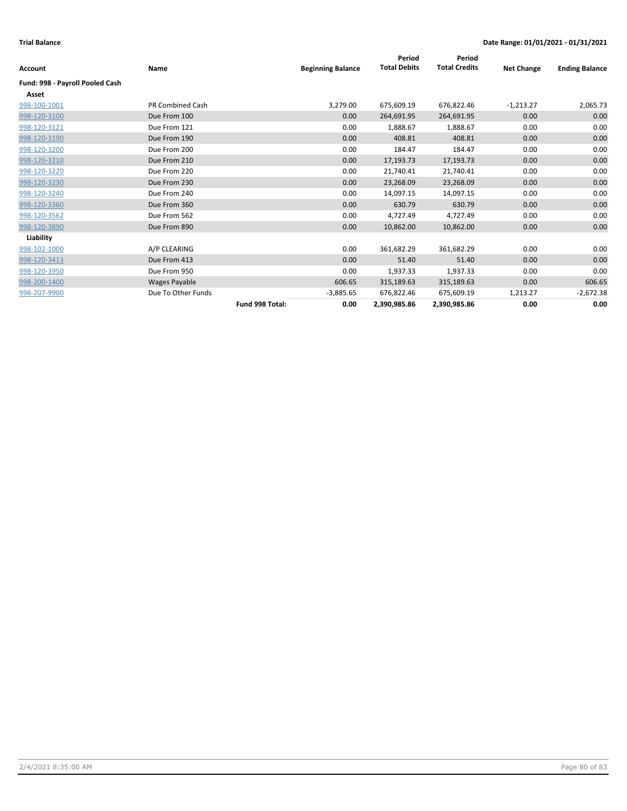|                                 |                         |                 |                          | Period              | Period               |                   |                       |
|---------------------------------|-------------------------|-----------------|--------------------------|---------------------|----------------------|-------------------|-----------------------|
| <b>Account</b>                  | Name                    |                 | <b>Beginning Balance</b> | <b>Total Debits</b> | <b>Total Credits</b> | <b>Net Change</b> | <b>Ending Balance</b> |
| Fund: 998 - Payroll Pooled Cash |                         |                 |                          |                     |                      |                   |                       |
| Asset                           |                         |                 |                          |                     |                      |                   |                       |
| 998-100-1001                    | <b>PR Combined Cash</b> |                 | 3,279.00                 | 675,609.19          | 676,822.46           | $-1,213.27$       | 2,065.73              |
| 998-120-3100                    | Due From 100            |                 | 0.00                     | 264,691.95          | 264,691.95           | 0.00              | 0.00                  |
| 998-120-3121                    | Due From 121            |                 | 0.00                     | 1,888.67            | 1,888.67             | 0.00              | 0.00                  |
| 998-120-3190                    | Due From 190            |                 | 0.00                     | 408.81              | 408.81               | 0.00              | 0.00                  |
| 998-120-3200                    | Due From 200            |                 | 0.00                     | 184.47              | 184.47               | 0.00              | 0.00                  |
| 998-120-3210                    | Due From 210            |                 | 0.00                     | 17,193.73           | 17,193.73            | 0.00              | 0.00                  |
| 998-120-3220                    | Due From 220            |                 | 0.00                     | 21,740.41           | 21,740.41            | 0.00              | 0.00                  |
| 998-120-3230                    | Due From 230            |                 | 0.00                     | 23,268.09           | 23,268.09            | 0.00              | 0.00                  |
| 998-120-3240                    | Due From 240            |                 | 0.00                     | 14,097.15           | 14,097.15            | 0.00              | 0.00                  |
| 998-120-3360                    | Due From 360            |                 | 0.00                     | 630.79              | 630.79               | 0.00              | 0.00                  |
| 998-120-3562                    | Due From 562            |                 | 0.00                     | 4,727.49            | 4,727.49             | 0.00              | 0.00                  |
| 998-120-3890                    | Due From 890            |                 | 0.00                     | 10,862.00           | 10,862.00            | 0.00              | 0.00                  |
| Liability                       |                         |                 |                          |                     |                      |                   |                       |
| 998-102-1000                    | A/P CLEARING            |                 | 0.00                     | 361,682.29          | 361,682.29           | 0.00              | 0.00                  |
| 998-120-3413                    | Due From 413            |                 | 0.00                     | 51.40               | 51.40                | 0.00              | 0.00                  |
| 998-120-3950                    | Due From 950            |                 | 0.00                     | 1,937.33            | 1,937.33             | 0.00              | 0.00                  |
| 998-200-1400                    | Wages Payable           |                 | 606.65                   | 315,189.63          | 315,189.63           | 0.00              | 606.65                |
| 998-207-9900                    | Due To Other Funds      |                 | $-3,885.65$              | 676,822.46          | 675,609.19           | 1,213.27          | $-2,672.38$           |
|                                 |                         | Fund 998 Total: | 0.00                     | 2,390,985.86        | 2,390,985.86         | 0.00              | 0.00                  |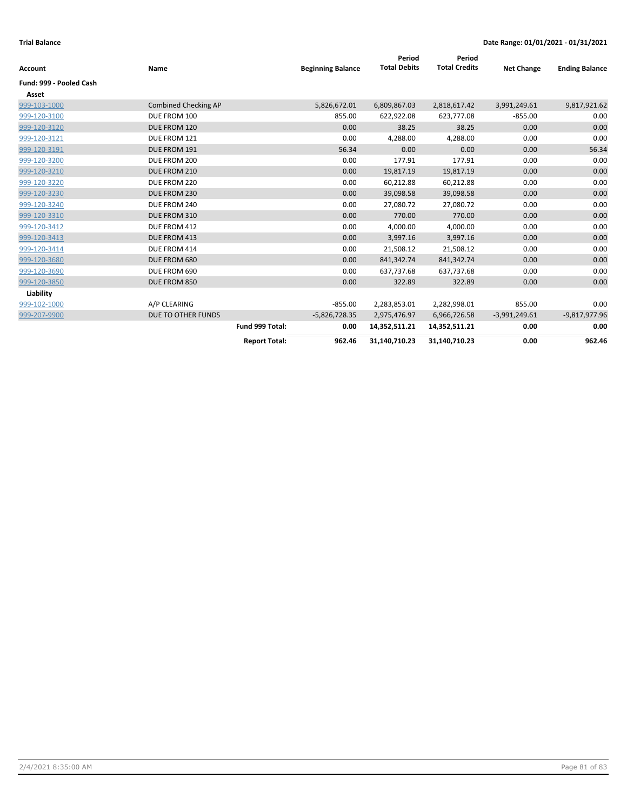| <b>Account</b>          | Name                        |                      | <b>Beginning Balance</b> | Period<br><b>Total Debits</b> | Period<br><b>Total Credits</b> | <b>Net Change</b> | <b>Ending Balance</b> |
|-------------------------|-----------------------------|----------------------|--------------------------|-------------------------------|--------------------------------|-------------------|-----------------------|
| Fund: 999 - Pooled Cash |                             |                      |                          |                               |                                |                   |                       |
| Asset                   |                             |                      |                          |                               |                                |                   |                       |
| 999-103-1000            | <b>Combined Checking AP</b> |                      | 5,826,672.01             | 6,809,867.03                  | 2,818,617.42                   | 3,991,249.61      | 9,817,921.62          |
| 999-120-3100            | DUE FROM 100                |                      | 855.00                   | 622,922.08                    | 623,777.08                     | $-855.00$         | 0.00                  |
| 999-120-3120            | DUE FROM 120                |                      | 0.00                     | 38.25                         | 38.25                          | 0.00              | 0.00                  |
| 999-120-3121            | DUE FROM 121                |                      | 0.00                     | 4,288.00                      | 4,288.00                       | 0.00              | 0.00                  |
| 999-120-3191            | DUE FROM 191                |                      | 56.34                    | 0.00                          | 0.00                           | 0.00              | 56.34                 |
| 999-120-3200            | DUE FROM 200                |                      | 0.00                     | 177.91                        | 177.91                         | 0.00              | 0.00                  |
| 999-120-3210            | DUE FROM 210                |                      | 0.00                     | 19,817.19                     | 19,817.19                      | 0.00              | 0.00                  |
| 999-120-3220            | DUE FROM 220                |                      | 0.00                     | 60,212.88                     | 60,212.88                      | 0.00              | 0.00                  |
| 999-120-3230            | DUE FROM 230                |                      | 0.00                     | 39,098.58                     | 39,098.58                      | 0.00              | 0.00                  |
| 999-120-3240            | DUE FROM 240                |                      | 0.00                     | 27,080.72                     | 27,080.72                      | 0.00              | 0.00                  |
| 999-120-3310            | DUE FROM 310                |                      | 0.00                     | 770.00                        | 770.00                         | 0.00              | 0.00                  |
| 999-120-3412            | DUE FROM 412                |                      | 0.00                     | 4,000.00                      | 4,000.00                       | 0.00              | 0.00                  |
| 999-120-3413            | DUE FROM 413                |                      | 0.00                     | 3,997.16                      | 3,997.16                       | 0.00              | 0.00                  |
| 999-120-3414            | DUE FROM 414                |                      | 0.00                     | 21,508.12                     | 21,508.12                      | 0.00              | 0.00                  |
| 999-120-3680            | DUE FROM 680                |                      | 0.00                     | 841,342.74                    | 841,342.74                     | 0.00              | 0.00                  |
| 999-120-3690            | DUE FROM 690                |                      | 0.00                     | 637,737.68                    | 637,737.68                     | 0.00              | 0.00                  |
| 999-120-3850            | DUE FROM 850                |                      | 0.00                     | 322.89                        | 322.89                         | 0.00              | 0.00                  |
| Liability               |                             |                      |                          |                               |                                |                   |                       |
| 999-102-1000            | A/P CLEARING                |                      | $-855.00$                | 2,283,853.01                  | 2,282,998.01                   | 855.00            | 0.00                  |
| 999-207-9900            | DUE TO OTHER FUNDS          |                      | $-5,826,728.35$          | 2,975,476.97                  | 6,966,726.58                   | $-3,991,249.61$   | $-9,817,977.96$       |
|                         |                             | Fund 999 Total:      | 0.00                     | 14,352,511.21                 | 14,352,511.21                  | 0.00              | 0.00                  |
|                         |                             | <b>Report Total:</b> | 962.46                   | 31,140,710.23                 | 31,140,710.23                  | 0.00              | 962.46                |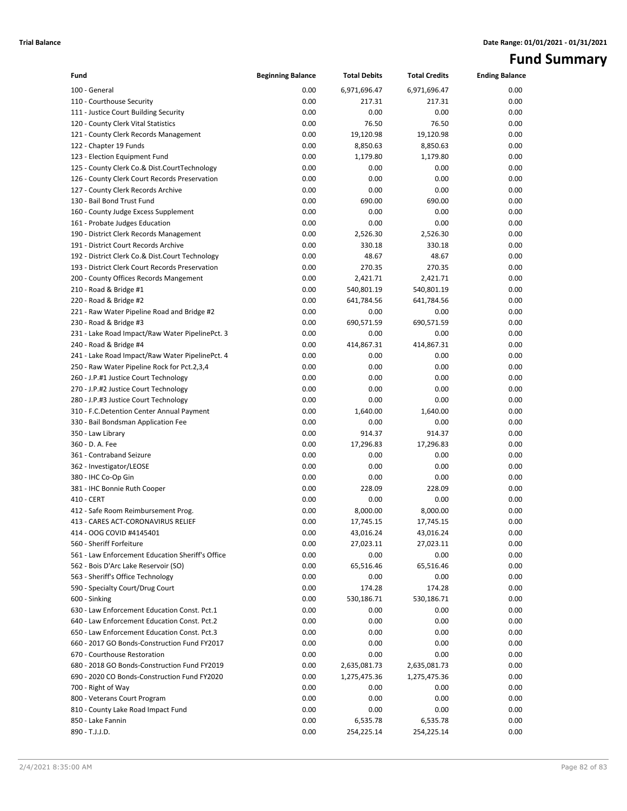# **Fund Summary**

| Fund                                                                  | <b>Beginning Balance</b> | <b>Total Debits</b> | <b>Total Credits</b> | <b>Ending Balance</b> |
|-----------------------------------------------------------------------|--------------------------|---------------------|----------------------|-----------------------|
| 100 - General                                                         | 0.00                     | 6,971,696.47        | 6,971,696.47         | 0.00                  |
| 110 - Courthouse Security                                             | 0.00                     | 217.31              | 217.31               | 0.00                  |
| 111 - Justice Court Building Security                                 | 0.00                     | 0.00                | 0.00                 | 0.00                  |
| 120 - County Clerk Vital Statistics                                   | 0.00                     | 76.50               | 76.50                | 0.00                  |
| 121 - County Clerk Records Management                                 | 0.00                     | 19,120.98           | 19,120.98            | 0.00                  |
| 122 - Chapter 19 Funds                                                | 0.00                     | 8,850.63            | 8,850.63             | 0.00                  |
| 123 - Election Equipment Fund                                         | 0.00                     | 1,179.80            | 1,179.80             | 0.00                  |
| 125 - County Clerk Co.& Dist.CourtTechnology                          | 0.00                     | 0.00                | 0.00                 | 0.00                  |
| 126 - County Clerk Court Records Preservation                         | 0.00                     | 0.00                | 0.00                 | 0.00                  |
| 127 - County Clerk Records Archive                                    | 0.00                     | 0.00                | 0.00                 | 0.00                  |
| 130 - Bail Bond Trust Fund                                            | 0.00                     | 690.00              | 690.00               | 0.00                  |
| 160 - County Judge Excess Supplement                                  | 0.00                     | 0.00                | 0.00                 | 0.00                  |
| 161 - Probate Judges Education                                        | 0.00                     | 0.00                | 0.00                 | 0.00                  |
| 190 - District Clerk Records Management                               | 0.00                     | 2,526.30            | 2,526.30             | 0.00                  |
| 191 - District Court Records Archive                                  | 0.00                     | 330.18              | 330.18               | 0.00                  |
| 192 - District Clerk Co.& Dist.Court Technology                       | 0.00                     | 48.67               | 48.67                | 0.00                  |
| 193 - District Clerk Court Records Preservation                       | 0.00                     | 270.35              | 270.35               | 0.00                  |
| 200 - County Offices Records Mangement                                | 0.00                     | 2,421.71            | 2,421.71             | 0.00                  |
| 210 - Road & Bridge #1                                                | 0.00                     | 540,801.19          | 540,801.19           | 0.00                  |
| 220 - Road & Bridge #2                                                | 0.00                     | 641,784.56          | 641,784.56           | 0.00                  |
| 221 - Raw Water Pipeline Road and Bridge #2                           | 0.00                     | 0.00                | 0.00                 | 0.00                  |
| 230 - Road & Bridge #3                                                | 0.00                     | 690,571.59          | 690,571.59           | 0.00                  |
| 231 - Lake Road Impact/Raw Water PipelinePct. 3                       | 0.00                     | 0.00                | 0.00                 | 0.00                  |
| 240 - Road & Bridge #4                                                | 0.00                     | 414,867.31          | 414,867.31           | 0.00                  |
| 241 - Lake Road Impact/Raw Water PipelinePct. 4                       | 0.00                     | 0.00                | 0.00                 | 0.00                  |
| 250 - Raw Water Pipeline Rock for Pct.2,3,4                           | 0.00                     | 0.00                | 0.00                 | 0.00                  |
| 260 - J.P.#1 Justice Court Technology                                 | 0.00                     | 0.00                | 0.00                 | 0.00                  |
| 270 - J.P.#2 Justice Court Technology                                 | 0.00                     | 0.00                | 0.00                 | 0.00                  |
| 280 - J.P.#3 Justice Court Technology                                 | 0.00                     | 0.00                | 0.00                 | 0.00                  |
| 310 - F.C.Detention Center Annual Payment                             | 0.00                     | 1,640.00            | 1,640.00             | 0.00                  |
| 330 - Bail Bondsman Application Fee                                   | 0.00                     | 0.00                | 0.00                 | 0.00                  |
| 350 - Law Library                                                     | 0.00                     | 914.37              | 914.37               | 0.00                  |
| 360 - D. A. Fee                                                       | 0.00                     | 17,296.83           | 17,296.83            | 0.00                  |
| 361 - Contraband Seizure                                              | 0.00                     | 0.00                | 0.00                 | 0.00                  |
| 362 - Investigator/LEOSE                                              | 0.00                     | 0.00                | 0.00                 | 0.00                  |
| 380 - IHC Co-Op Gin                                                   | 0.00                     | 0.00                | 0.00                 | 0.00                  |
| 381 - IHC Bonnie Ruth Cooper                                          | 0.00                     | 228.09              | 228.09               | 0.00                  |
| 410 - CERT                                                            | 0.00                     | 0.00                | 0.00                 | 0.00                  |
| 412 - Safe Room Reimbursement Prog.                                   | 0.00                     | 8,000.00            | 8,000.00             | 0.00                  |
| 413 - CARES ACT-CORONAVIRUS RELIEF                                    | 0.00                     | 17,745.15           | 17,745.15            | 0.00                  |
| 414 - OOG COVID #4145401                                              | 0.00                     | 43,016.24           | 43,016.24            | 0.00                  |
| 560 - Sheriff Forfeiture                                              | 0.00                     | 27,023.11           | 27,023.11            | 0.00                  |
| 561 - Law Enforcement Education Sheriff's Office                      | 0.00                     | 0.00<br>65,516.46   | 0.00<br>65,516.46    | 0.00                  |
| 562 - Bois D'Arc Lake Reservoir (SO)                                  | 0.00<br>0.00             |                     |                      | 0.00<br>0.00          |
| 563 - Sheriff's Office Technology<br>590 - Specialty Court/Drug Court | 0.00                     | 0.00<br>174.28      | 0.00<br>174.28       | 0.00                  |
| 600 - Sinking                                                         | 0.00                     | 530,186.71          | 530,186.71           | 0.00                  |
| 630 - Law Enforcement Education Const. Pct.1                          | 0.00                     | 0.00                | 0.00                 | 0.00                  |
| 640 - Law Enforcement Education Const. Pct.2                          | 0.00                     | 0.00                | 0.00                 | 0.00                  |
| 650 - Law Enforcement Education Const. Pct.3                          | 0.00                     | 0.00                | 0.00                 | 0.00                  |
| 660 - 2017 GO Bonds-Construction Fund FY2017                          | 0.00                     | 0.00                | 0.00                 | 0.00                  |
| 670 - Courthouse Restoration                                          | 0.00                     | 0.00                | 0.00                 | 0.00                  |
| 680 - 2018 GO Bonds-Construction Fund FY2019                          | 0.00                     | 2,635,081.73        | 2,635,081.73         | 0.00                  |
| 690 - 2020 CO Bonds-Construction Fund FY2020                          | 0.00                     | 1,275,475.36        | 1,275,475.36         | 0.00                  |
| 700 - Right of Way                                                    | 0.00                     | 0.00                | 0.00                 | 0.00                  |
| 800 - Veterans Court Program                                          | 0.00                     | 0.00                | 0.00                 | 0.00                  |
| 810 - County Lake Road Impact Fund                                    | 0.00                     | 0.00                | 0.00                 | 0.00                  |
| 850 - Lake Fannin                                                     | 0.00                     | 6,535.78            | 6,535.78             | 0.00                  |
| 890 - T.J.J.D.                                                        | 0.00                     | 254,225.14          | 254,225.14           | 0.00                  |